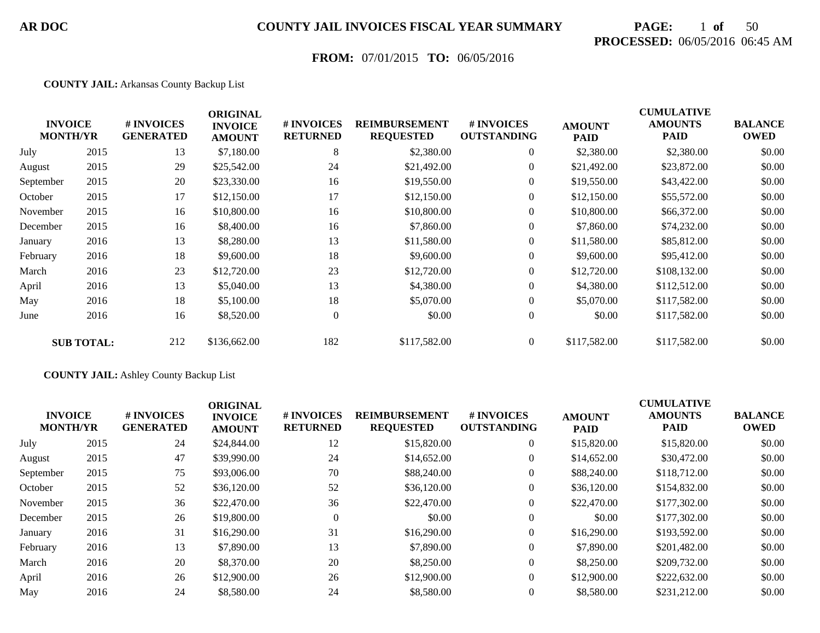# **PAGE:** 1 **of** 50 **PROCESSED:** 06/05/2016 06:45 AM

## **FROM:** 07/01/2015 **TO:** 06/05/2016

#### **COUNTY JAIL:** Arkansas County Backup List

|           | <b>INVOICE</b><br><b>MONTH/YR</b> | # INVOICES<br><b>GENERATED</b> | <b>ORIGINAL</b><br><b>INVOICE</b><br><b>AMOUNT</b> | # INVOICES<br><b>RETURNED</b> | <b>REIMBURSEMENT</b><br><b>REQUESTED</b> | # INVOICES<br><b>OUTSTANDING</b> | <b>AMOUNT</b><br><b>PAID</b> | <b>CUMULATIVE</b><br><b>AMOUNTS</b><br><b>PAID</b> | <b>BALANCE</b><br><b>OWED</b> |
|-----------|-----------------------------------|--------------------------------|----------------------------------------------------|-------------------------------|------------------------------------------|----------------------------------|------------------------------|----------------------------------------------------|-------------------------------|
| July      | 2015                              | 13                             | \$7,180.00                                         | 8                             | \$2,380.00                               | $\overline{0}$                   | \$2,380.00                   | \$2,380.00                                         | \$0.00                        |
| August    | 2015                              | 29                             | \$25,542.00                                        | 24                            | \$21,492.00                              | $\overline{0}$                   | \$21,492.00                  | \$23,872.00                                        | \$0.00                        |
| September | 2015                              | 20                             | \$23,330.00                                        | 16                            | \$19,550.00                              | $\overline{0}$                   | \$19,550.00                  | \$43,422.00                                        | \$0.00                        |
| October   | 2015                              | 17                             | \$12,150.00                                        | 17                            | \$12,150.00                              | $\overline{0}$                   | \$12,150.00                  | \$55,572.00                                        | \$0.00                        |
| November  | 2015                              | 16                             | \$10,800.00                                        | 16                            | \$10,800.00                              | $\boldsymbol{0}$                 | \$10,800.00                  | \$66,372.00                                        | \$0.00                        |
| December  | 2015                              | 16                             | \$8,400.00                                         | 16                            | \$7,860.00                               | $\overline{0}$                   | \$7,860.00                   | \$74,232.00                                        | \$0.00                        |
| January   | 2016                              | 13                             | \$8,280.00                                         | 13                            | \$11,580.00                              | $\overline{0}$                   | \$11,580.00                  | \$85,812.00                                        | \$0.00                        |
| February  | 2016                              | 18                             | \$9,600.00                                         | 18                            | \$9,600.00                               | $\overline{0}$                   | \$9,600.00                   | \$95,412.00                                        | \$0.00                        |
| March     | 2016                              | 23                             | \$12,720.00                                        | 23                            | \$12,720.00                              | $\overline{0}$                   | \$12,720.00                  | \$108,132.00                                       | \$0.00                        |
| April     | 2016                              | 13                             | \$5,040.00                                         | 13                            | \$4,380.00                               | $\overline{0}$                   | \$4,380.00                   | \$112,512.00                                       | \$0.00                        |
| May       | 2016                              | 18                             | \$5,100.00                                         | 18                            | \$5,070.00                               | $\overline{0}$                   | \$5,070.00                   | \$117,582.00                                       | \$0.00                        |
| June      | 2016                              | 16                             | \$8,520.00                                         | $\overline{0}$                | \$0.00                                   | $\boldsymbol{0}$                 | \$0.00                       | \$117,582.00                                       | \$0.00                        |
|           | <b>SUB TOTAL:</b>                 | 212                            | \$136,662.00                                       | 182                           | \$117,582.00                             | $\overline{0}$                   | \$117,582.00                 | \$117,582.00                                       | \$0.00                        |

#### **COUNTY JAIL:** Ashley County Backup List

| <b>INVOICE</b><br><b>MONTH/YR</b> |      | # INVOICES<br><b>GENERATED</b> | <b>ORIGINAL</b><br><b>INVOICE</b><br><b>AMOUNT</b> | <b># INVOICES</b><br><b>RETURNED</b> | <b>REIMBURSEMENT</b><br><b>REQUESTED</b> | # INVOICES<br><b>OUTSTANDING</b> | <b>AMOUNT</b><br><b>PAID</b> | <b>CUMULATIVE</b><br><b>AMOUNTS</b><br><b>PAID</b> | <b>BALANCE</b><br><b>OWED</b> |
|-----------------------------------|------|--------------------------------|----------------------------------------------------|--------------------------------------|------------------------------------------|----------------------------------|------------------------------|----------------------------------------------------|-------------------------------|
| July                              | 2015 | 24                             | \$24,844.00                                        | 12                                   | \$15,820.00                              | $\overline{0}$                   | \$15,820.00                  | \$15,820.00                                        | \$0.00                        |
| August                            | 2015 | 47                             | \$39,990.00                                        | 24                                   | \$14,652.00                              | $\overline{0}$                   | \$14,652.00                  | \$30,472.00                                        | \$0.00                        |
| September                         | 2015 | 75                             | \$93,006.00                                        | 70                                   | \$88,240.00                              | 0                                | \$88,240.00                  | \$118,712.00                                       | \$0.00                        |
| October                           | 2015 | 52                             | \$36,120.00                                        | 52                                   | \$36,120.00                              | 0                                | \$36,120.00                  | \$154,832.00                                       | \$0.00                        |
| November                          | 2015 | 36                             | \$22,470.00                                        | 36                                   | \$22,470.00                              | $\overline{0}$                   | \$22,470.00                  | \$177,302.00                                       | \$0.00                        |
| December                          | 2015 | 26                             | \$19,800.00                                        | $\theta$                             | \$0.00                                   | $\overline{0}$                   | \$0.00                       | \$177,302.00                                       | \$0.00                        |
| January                           | 2016 | 31                             | \$16,290.00                                        | 31                                   | \$16,290.00                              | $\overline{0}$                   | \$16,290.00                  | \$193,592.00                                       | \$0.00                        |
| February                          | 2016 | 13                             | \$7,890.00                                         | 13                                   | \$7,890.00                               | $\overline{0}$                   | \$7,890.00                   | \$201,482.00                                       | \$0.00                        |
| March                             | 2016 | 20                             | \$8,370.00                                         | 20                                   | \$8,250.00                               | $\overline{0}$                   | \$8,250.00                   | \$209,732.00                                       | \$0.00                        |
| April                             | 2016 | 26                             | \$12,900.00                                        | 26                                   | \$12,900.00                              | $\overline{0}$                   | \$12,900.00                  | \$222,632.00                                       | \$0.00                        |
| May                               | 2016 | 24                             | \$8,580.00                                         | 24                                   | \$8,580.00                               | $\overline{0}$                   | \$8,580.00                   | \$231,212.00                                       | \$0.00                        |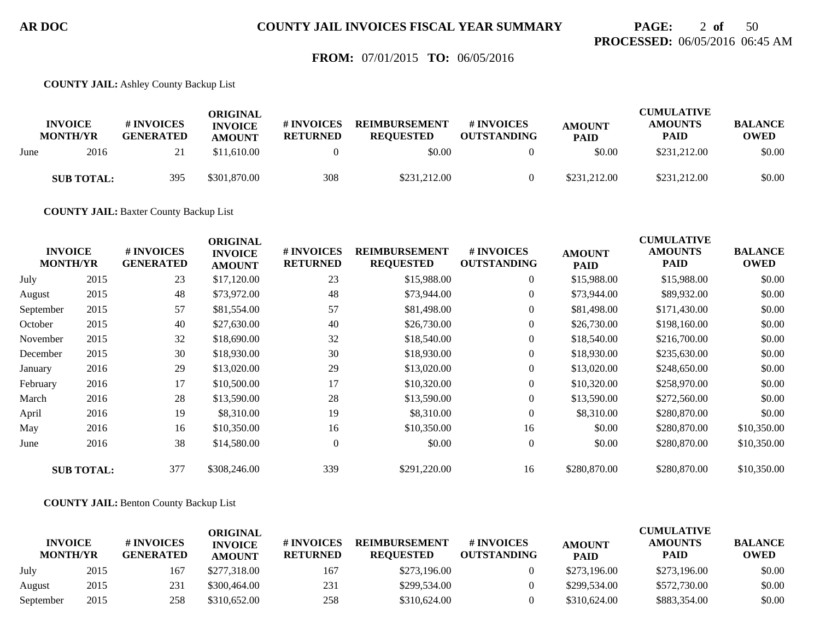## **PAGE:** 2 **of** 50 **PROCESSED:** 06/05/2016 06:45 AM

### **FROM:** 07/01/2015 **TO:** 06/05/2016

**COUNTY JAIL:** Ashley County Backup List

|      | <b>INVOICE</b><br><b>MONTH/YR</b> | # INVOICES<br><b>GENERATED</b> | ORIGINAL<br><b>INVOICE</b><br><b>AMOUNT</b> | # INVOICES<br><b>RETURNED</b> | <b>REIMBURSEMENT</b><br><b>REOUESTED</b> | <b>#INVOICES</b><br><b>OUTSTANDING</b> | <b>AMOUNT</b><br><b>PAID</b> | <b>CUMULATIVE</b><br><b>AMOUNTS</b><br><b>PAID</b> | <b>BALANCE</b><br><b>OWED</b> |
|------|-----------------------------------|--------------------------------|---------------------------------------------|-------------------------------|------------------------------------------|----------------------------------------|------------------------------|----------------------------------------------------|-------------------------------|
| June | 2016                              | ∠.                             | \$11,610.00                                 |                               | \$0.00                                   |                                        | \$0.00                       | \$231,212.00                                       | \$0.00                        |
|      | <b>SUB TOTAL:</b>                 | 395                            | \$301,870.00                                | 308                           | \$231,212.00                             |                                        | \$231,212.00                 | \$231,212.00                                       | \$0.00                        |

**COUNTY JAIL:** Baxter County Backup List

| <b>INVOICE</b><br><b>MONTH/YR</b> |                   | # INVOICES<br><b>GENERATED</b> | <b>ORIGINAL</b><br><b>INVOICE</b><br><b>AMOUNT</b> | # INVOICES<br><b>RETURNED</b> | <b>REIMBURSEMENT</b><br><b>REQUESTED</b> | # INVOICES<br><b>OUTSTANDING</b> | <b>AMOUNT</b><br><b>PAID</b> | <b>CUMULATIVE</b><br><b>AMOUNTS</b><br><b>PAID</b> | <b>BALANCE</b><br><b>OWED</b> |
|-----------------------------------|-------------------|--------------------------------|----------------------------------------------------|-------------------------------|------------------------------------------|----------------------------------|------------------------------|----------------------------------------------------|-------------------------------|
| July                              | 2015              | 23                             | \$17,120.00                                        | 23                            | \$15,988.00                              | $\overline{0}$                   | \$15,988.00                  | \$15,988.00                                        | \$0.00                        |
| August                            | 2015              | 48                             | \$73,972.00                                        | 48                            | \$73,944.00                              | $\boldsymbol{0}$                 | \$73,944.00                  | \$89,932.00                                        | \$0.00                        |
| September                         | 2015              | 57                             | \$81,554.00                                        | 57                            | \$81,498.00                              | $\overline{0}$                   | \$81,498.00                  | \$171,430.00                                       | \$0.00                        |
| October                           | 2015              | 40                             | \$27,630.00                                        | 40                            | \$26,730.00                              | $\boldsymbol{0}$                 | \$26,730.00                  | \$198,160.00                                       | \$0.00                        |
| November                          | 2015              | 32                             | \$18,690.00                                        | 32                            | \$18,540.00                              | $\overline{0}$                   | \$18,540.00                  | \$216,700.00                                       | \$0.00                        |
| December                          | 2015              | 30                             | \$18,930.00                                        | 30                            | \$18,930.00                              | $\overline{0}$                   | \$18,930.00                  | \$235,630.00                                       | \$0.00                        |
| January                           | 2016              | 29                             | \$13,020.00                                        | 29                            | \$13,020.00                              | $\boldsymbol{0}$                 | \$13,020.00                  | \$248,650.00                                       | \$0.00                        |
| February                          | 2016              | 17                             | \$10,500.00                                        | 17                            | \$10,320.00                              | $\overline{0}$                   | \$10,320.00                  | \$258,970.00                                       | \$0.00                        |
| March                             | 2016              | 28                             | \$13,590.00                                        | 28                            | \$13,590.00                              | $\overline{0}$                   | \$13,590.00                  | \$272,560.00                                       | \$0.00                        |
| April                             | 2016              | 19                             | \$8,310.00                                         | 19                            | \$8,310.00                               | $\overline{0}$                   | \$8,310.00                   | \$280,870.00                                       | \$0.00                        |
| May                               | 2016              | 16                             | \$10,350.00                                        | 16                            | \$10,350.00                              | 16                               | \$0.00                       | \$280,870.00                                       | \$10,350.00                   |
| June                              | 2016              | 38                             | \$14,580.00                                        | $\overline{0}$                | \$0.00                                   | $\overline{0}$                   | \$0.00                       | \$280,870.00                                       | \$10,350.00                   |
|                                   | <b>SUB TOTAL:</b> | 377                            | \$308,246.00                                       | 339                           | \$291,220.00                             | 16                               | \$280,870.00                 | \$280,870.00                                       | \$10,350.00                   |

**COUNTY JAIL:** Benton County Backup List

|                                   |      |                                | ORIGINAL                        |                               |                                          |                                        |                              | <b>CUMULATIVE</b>             |                               |
|-----------------------------------|------|--------------------------------|---------------------------------|-------------------------------|------------------------------------------|----------------------------------------|------------------------------|-------------------------------|-------------------------------|
| <b>INVOICE</b><br><b>MONTH/YR</b> |      | # INVOICES<br><b>GENERATED</b> | <b>INVOICE</b><br><b>AMOUNT</b> | # INVOICES<br><b>RETURNED</b> | <b>REIMBURSEMENT</b><br><b>REOUESTED</b> | <b>#INVOICES</b><br><b>OUTSTANDING</b> | <b>AMOUNT</b><br><b>PAID</b> | <b>AMOUNTS</b><br><b>PAID</b> | <b>BALANCE</b><br><b>OWED</b> |
| July                              | 2015 | 167                            | \$277,318.00                    | 167                           | \$273,196.00                             |                                        | \$273,196.00                 | \$273,196.00                  | \$0.00                        |
| August                            | 2015 | 231                            | \$300,464.00                    | 231                           | \$299,534.00                             |                                        | \$299,534.00                 | \$572,730.00                  | \$0.00                        |
| September                         | 2015 | 258                            | \$310,652.00                    | 258                           | \$310,624.00                             |                                        | \$310,624.00                 | \$883,354,00                  | \$0.00                        |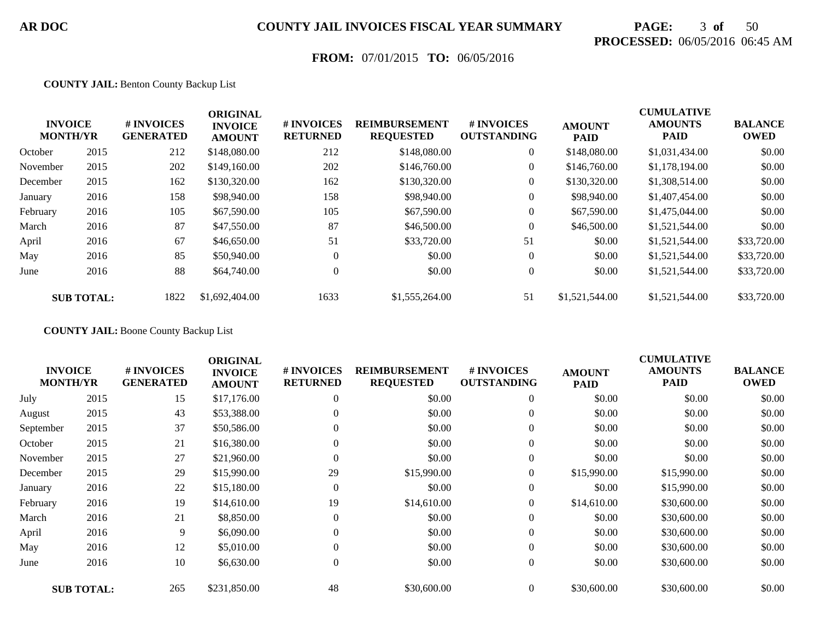# **PAGE:** 3 **of** 50 **PROCESSED:** 06/05/2016 06:45 AM

## **FROM:** 07/01/2015 **TO:** 06/05/2016

#### **COUNTY JAIL:** Benton County Backup List

|          | <b>INVOICE</b><br><b>MONTH/YR</b> | # INVOICES<br><b>GENERATED</b> | <b>ORIGINAL</b><br><b>INVOICE</b><br><b>AMOUNT</b> | # INVOICES<br><b>RETURNED</b> | <b>REIMBURSEMENT</b><br><b>REQUESTED</b> | # INVOICES<br><b>OUTSTANDING</b> | <b>AMOUNT</b><br><b>PAID</b> | <b>CUMULATIVE</b><br><b>AMOUNTS</b><br><b>PAID</b> | <b>BALANCE</b><br><b>OWED</b> |
|----------|-----------------------------------|--------------------------------|----------------------------------------------------|-------------------------------|------------------------------------------|----------------------------------|------------------------------|----------------------------------------------------|-------------------------------|
| October  | 2015                              | 212                            | \$148,080.00                                       | 212                           | \$148,080.00                             | $\overline{0}$                   | \$148,080.00                 | \$1,031,434.00                                     | \$0.00                        |
| November | 2015                              | 202                            | \$149,160.00                                       | 202                           | \$146,760.00                             | $\overline{0}$                   | \$146,760.00                 | \$1,178,194.00                                     | \$0.00                        |
| December | 2015                              | 162                            | \$130,320.00                                       | 162                           | \$130,320.00                             | $\overline{0}$                   | \$130,320.00                 | \$1,308,514.00                                     | \$0.00                        |
| January  | 2016                              | 158                            | \$98,940.00                                        | 158                           | \$98,940.00                              | $\overline{0}$                   | \$98,940.00                  | \$1,407,454.00                                     | \$0.00                        |
| February | 2016                              | 105                            | \$67,590.00                                        | 105                           | \$67,590.00                              | $\boldsymbol{0}$                 | \$67,590.00                  | \$1,475,044.00                                     | \$0.00                        |
| March    | 2016                              | 87                             | \$47,550.00                                        | 87                            | \$46,500.00                              | $\boldsymbol{0}$                 | \$46,500.00                  | \$1,521,544.00                                     | \$0.00                        |
| April    | 2016                              | 67                             | \$46,650.00                                        | 51                            | \$33,720.00                              | 51                               | \$0.00                       | \$1,521,544.00                                     | \$33,720.00                   |
| May      | 2016                              | 85                             | \$50,940.00                                        | $\theta$                      | \$0.00                                   | $\overline{0}$                   | \$0.00                       | \$1,521,544.00                                     | \$33,720.00                   |
| June     | 2016                              | 88                             | \$64,740.00                                        | $\theta$                      | \$0.00                                   | $\Omega$                         | \$0.00                       | \$1,521,544.00                                     | \$33,720.00                   |
|          | <b>SUB TOTAL:</b>                 | 1822                           | \$1,692,404.00                                     | 1633                          | \$1,555,264.00                           | 51                               | \$1,521,544.00               | \$1,521,544.00                                     | \$33,720.00                   |

**COUNTY JAIL:** Boone County Backup List

| <b>INVOICE</b><br><b>MONTH/YR</b> |                   | # INVOICES<br><b>GENERATED</b> | <b>ORIGINAL</b><br><b>INVOICE</b><br><b>AMOUNT</b> | # INVOICES<br><b>RETURNED</b> | <b>REIMBURSEMENT</b><br><b>REQUESTED</b> | # INVOICES<br><b>OUTSTANDING</b> | <b>AMOUNT</b><br><b>PAID</b> | <b>CUMULATIVE</b><br><b>AMOUNTS</b><br><b>PAID</b> | <b>BALANCE</b><br><b>OWED</b> |
|-----------------------------------|-------------------|--------------------------------|----------------------------------------------------|-------------------------------|------------------------------------------|----------------------------------|------------------------------|----------------------------------------------------|-------------------------------|
| July                              | 2015              | 15                             | \$17,176.00                                        | $\theta$                      | \$0.00                                   | $\overline{0}$                   | \$0.00                       | \$0.00                                             | \$0.00                        |
| August                            | 2015              | 43                             | \$53,388.00                                        | $\Omega$                      | \$0.00                                   | $\overline{0}$                   | \$0.00                       | \$0.00                                             | \$0.00                        |
| September                         | 2015              | 37                             | \$50,586.00                                        | $\Omega$                      | \$0.00                                   | $\boldsymbol{0}$                 | \$0.00                       | \$0.00                                             | \$0.00                        |
| October                           | 2015              | 21                             | \$16,380.00                                        | $\Omega$                      | \$0.00                                   | $\overline{0}$                   | \$0.00                       | \$0.00                                             | \$0.00                        |
| November                          | 2015              | 27                             | \$21,960.00                                        | $\Omega$                      | \$0.00                                   | $\overline{0}$                   | \$0.00                       | \$0.00                                             | \$0.00                        |
| December                          | 2015              | 29                             | \$15,990.00                                        | 29                            | \$15,990.00                              | $\overline{0}$                   | \$15,990.00                  | \$15,990.00                                        | \$0.00                        |
| January                           | 2016              | 22                             | \$15,180.00                                        | $\overline{0}$                | \$0.00                                   | $\boldsymbol{0}$                 | \$0.00                       | \$15,990.00                                        | \$0.00                        |
| February                          | 2016              | 19                             | \$14,610.00                                        | 19                            | \$14,610.00                              | $\overline{0}$                   | \$14,610.00                  | \$30,600.00                                        | \$0.00                        |
| March                             | 2016              | 21                             | \$8,850.00                                         | $\Omega$                      | \$0.00                                   | $\overline{0}$                   | \$0.00                       | \$30,600.00                                        | \$0.00                        |
| April                             | 2016              | 9                              | \$6,090.00                                         | $\mathbf{0}$                  | \$0.00                                   | $\overline{0}$                   | \$0.00                       | \$30,600.00                                        | \$0.00                        |
| May                               | 2016              | 12                             | \$5,010.00                                         | $\Omega$                      | \$0.00                                   | $\boldsymbol{0}$                 | \$0.00                       | \$30,600.00                                        | \$0.00                        |
| June                              | 2016              | 10                             | \$6,630.00                                         | $\mathbf{0}$                  | \$0.00                                   | $\overline{0}$                   | \$0.00                       | \$30,600.00                                        | \$0.00                        |
|                                   | <b>SUB TOTAL:</b> | 265                            | \$231,850.00                                       | 48                            | \$30,600.00                              | $\overline{0}$                   | \$30,600.00                  | \$30,600.00                                        | \$0.00                        |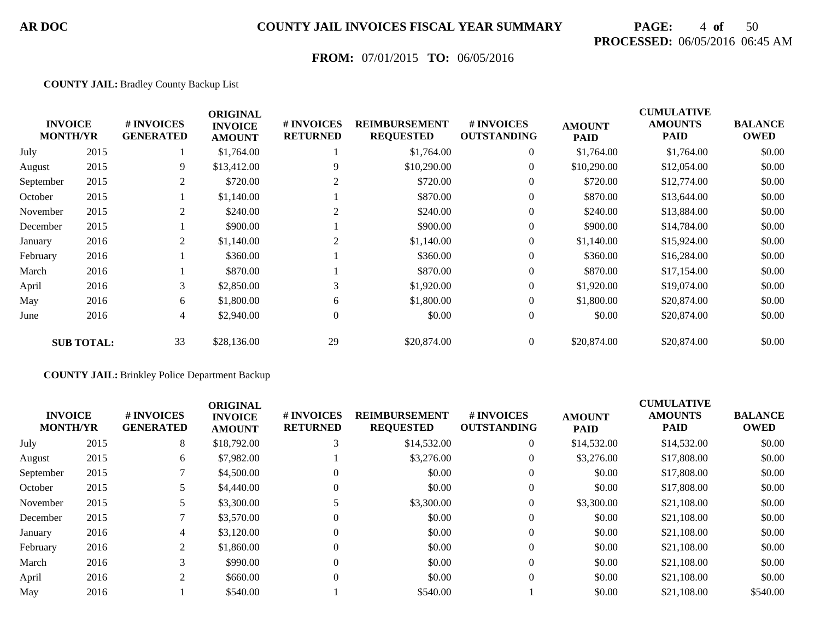# **PAGE:** 4 **of** 50 **PROCESSED:** 06/05/2016 06:45 AM

## **FROM:** 07/01/2015 **TO:** 06/05/2016

#### **COUNTY JAIL:** Bradley County Backup List

|           | <b>INVOICE</b><br><b>MONTH/YR</b> | # INVOICES<br><b>GENERATED</b> | <b>ORIGINAL</b><br><b>INVOICE</b><br><b>AMOUNT</b> | # INVOICES<br><b>RETURNED</b> | <b>REIMBURSEMENT</b><br><b>REQUESTED</b> | # INVOICES<br><b>OUTSTANDING</b> | <b>AMOUNT</b><br><b>PAID</b> | <b>CUMULATIVE</b><br><b>AMOUNTS</b><br><b>PAID</b> | <b>BALANCE</b><br><b>OWED</b> |
|-----------|-----------------------------------|--------------------------------|----------------------------------------------------|-------------------------------|------------------------------------------|----------------------------------|------------------------------|----------------------------------------------------|-------------------------------|
| July      | 2015                              |                                | \$1,764.00                                         |                               | \$1,764.00                               | $\boldsymbol{0}$                 | \$1,764.00                   | \$1,764.00                                         | \$0.00                        |
| August    | 2015                              | 9                              | \$13,412.00                                        | 9                             | \$10,290.00                              | $\boldsymbol{0}$                 | \$10,290.00                  | \$12,054.00                                        | \$0.00                        |
| September | 2015                              | 2                              | \$720.00                                           |                               | \$720.00                                 | $\overline{0}$                   | \$720.00                     | \$12,774.00                                        | \$0.00                        |
| October   | 2015                              |                                | \$1,140.00                                         |                               | \$870.00                                 | $\overline{0}$                   | \$870.00                     | \$13,644.00                                        | \$0.00                        |
| November  | 2015                              | 2                              | \$240.00                                           | 2                             | \$240.00                                 | $\overline{0}$                   | \$240.00                     | \$13,884.00                                        | \$0.00                        |
| December  | 2015                              |                                | \$900.00                                           |                               | \$900.00                                 | $\overline{0}$                   | \$900.00                     | \$14,784.00                                        | \$0.00                        |
| January   | 2016                              | 2                              | \$1,140.00                                         | 2                             | \$1,140.00                               | $\overline{0}$                   | \$1,140.00                   | \$15,924.00                                        | \$0.00                        |
| February  | 2016                              |                                | \$360.00                                           |                               | \$360.00                                 | $\overline{0}$                   | \$360.00                     | \$16,284.00                                        | \$0.00                        |
| March     | 2016                              |                                | \$870.00                                           |                               | \$870.00                                 | $\overline{0}$                   | \$870.00                     | \$17,154.00                                        | \$0.00                        |
| April     | 2016                              | 3                              | \$2,850.00                                         | 3                             | \$1,920.00                               | $\overline{0}$                   | \$1,920.00                   | \$19,074.00                                        | \$0.00                        |
| May       | 2016                              | 6                              | \$1,800.00                                         | 6                             | \$1,800.00                               | $\overline{0}$                   | \$1,800.00                   | \$20,874.00                                        | \$0.00                        |
| June      | 2016                              | 4                              | \$2,940.00                                         | $\overline{0}$                | \$0.00                                   | $\overline{0}$                   | \$0.00                       | \$20,874.00                                        | \$0.00                        |
|           | <b>SUB TOTAL:</b>                 | 33                             | \$28,136.00                                        | 29                            | \$20,874.00                              | $\overline{0}$                   | \$20,874.00                  | \$20,874.00                                        | \$0.00                        |

#### **COUNTY JAIL:** Brinkley Police Department Backup

| <b>INVOICE</b><br><b>MONTH/YR</b> |      | <b>#INVOICES</b><br><b>GENERATED</b> | <b>ORIGINAL</b><br><b>INVOICE</b><br><b>AMOUNT</b> | # INVOICES<br><b>RETURNED</b> | <b>REIMBURSEMENT</b><br><b>REQUESTED</b> | <b>#INVOICES</b><br><b>OUTSTANDING</b> | <b>AMOUNT</b><br><b>PAID</b> | <b>CUMULATIVE</b><br><b>AMOUNTS</b><br><b>PAID</b> | <b>BALANCE</b><br><b>OWED</b> |
|-----------------------------------|------|--------------------------------------|----------------------------------------------------|-------------------------------|------------------------------------------|----------------------------------------|------------------------------|----------------------------------------------------|-------------------------------|
| July                              | 2015 | 8                                    | \$18,792.00                                        |                               | \$14,532.00                              | $\theta$                               | \$14,532.00                  | \$14,532.00                                        | \$0.00                        |
| August                            | 2015 | 6                                    | \$7,982.00                                         |                               | \$3,276.00                               | $\theta$                               | \$3,276.00                   | \$17,808.00                                        | \$0.00                        |
| September                         | 2015 |                                      | \$4,500.00                                         |                               | \$0.00                                   | $\overline{0}$                         | \$0.00                       | \$17,808.00                                        | \$0.00                        |
| October                           | 2015 |                                      | \$4,440.00                                         |                               | \$0.00                                   | $\overline{0}$                         | \$0.00                       | \$17,808.00                                        | \$0.00                        |
| November                          | 2015 |                                      | \$3,300.00                                         |                               | \$3,300.00                               | $\overline{0}$                         | \$3,300.00                   | \$21,108.00                                        | \$0.00                        |
| December                          | 2015 |                                      | \$3,570.00                                         | 0                             | \$0.00                                   | $\overline{0}$                         | \$0.00                       | \$21,108.00                                        | \$0.00                        |
| January                           | 2016 | 4                                    | \$3,120.00                                         |                               | \$0.00                                   | $\overline{0}$                         | \$0.00                       | \$21,108.00                                        | \$0.00                        |
| February                          | 2016 | 2                                    | \$1,860.00                                         | 0                             | \$0.00                                   | $\overline{0}$                         | \$0.00                       | \$21,108.00                                        | \$0.00                        |
| March                             | 2016 | 3                                    | \$990.00                                           |                               | \$0.00                                   | $\overline{0}$                         | \$0.00                       | \$21,108.00                                        | \$0.00                        |
| April                             | 2016 | 2                                    | \$660.00                                           | $\Omega$                      | \$0.00                                   | $\overline{0}$                         | \$0.00                       | \$21,108.00                                        | \$0.00                        |
| May                               | 2016 |                                      | \$540.00                                           |                               | \$540.00                                 |                                        | \$0.00                       | \$21,108.00                                        | \$540.00                      |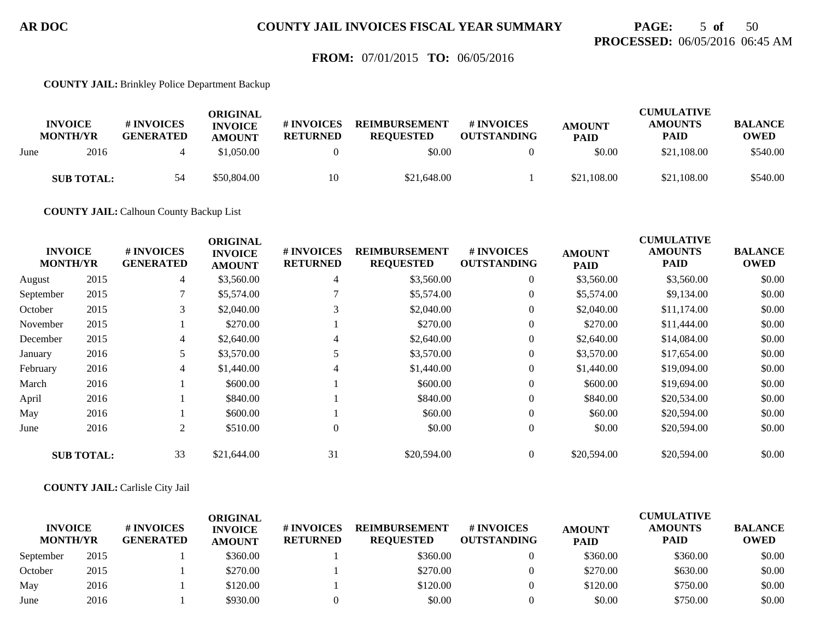## **PAGE:** 5 **of** 50 **PROCESSED:** 06/05/2016 06:45 AM

### **FROM:** 07/01/2015 **TO:** 06/05/2016

#### **COUNTY JAIL:** Brinkley Police Department Backup

|      | <b>INVOICE</b><br><b>MONTH/YR</b> | # INVOICES<br><b>GENERATED</b> | ORIGINAL<br><b>INVOICE</b><br><b>AMOUNT</b> | # INVOICES<br><b>RETURNED</b> | <b>REIMBURSEMENT</b><br><b>REOUESTED</b> | # INVOICES<br><b>OUTSTANDING</b> | <b>AMOUNT</b><br><b>PAID</b> | <b>CUMULATIVE</b><br><b>AMOUNTS</b><br><b>PAID</b> | <b>BALANCE</b><br><b>OWED</b> |
|------|-----------------------------------|--------------------------------|---------------------------------------------|-------------------------------|------------------------------------------|----------------------------------|------------------------------|----------------------------------------------------|-------------------------------|
| June | 2016                              |                                | \$1.050.00                                  |                               | \$0.00                                   |                                  | \$0.00                       | \$21,108.00                                        | \$540.00                      |
|      | <b>SUB TOTAL:</b>                 | 54                             | \$50,804.00                                 | 10                            | \$21,648.00                              |                                  | \$21,108.00                  | \$21,108.00                                        | \$540.00                      |

**COUNTY JAIL:** Calhoun County Backup List

|                                   |                   |                                | <b>ORIGINAL</b>                 |                               |                                          |                                  |                              | <b>CUMULATIVE</b>      |                               |
|-----------------------------------|-------------------|--------------------------------|---------------------------------|-------------------------------|------------------------------------------|----------------------------------|------------------------------|------------------------|-------------------------------|
| <b>INVOICE</b><br><b>MONTH/YR</b> |                   | # INVOICES<br><b>GENERATED</b> | <b>INVOICE</b><br><b>AMOUNT</b> | # INVOICES<br><b>RETURNED</b> | <b>REIMBURSEMENT</b><br><b>REQUESTED</b> | # INVOICES<br><b>OUTSTANDING</b> | <b>AMOUNT</b><br><b>PAID</b> | <b>AMOUNTS</b><br>PAID | <b>BALANCE</b><br><b>OWED</b> |
| August                            | 2015              | $\overline{4}$                 | \$3,560.00                      | 4                             | \$3,560.00                               | $\overline{0}$                   | \$3,560.00                   | \$3,560.00             | \$0.00                        |
| September                         | 2015              | $\mathcal{I}$                  | \$5,574.00                      |                               | \$5,574.00                               | $\overline{0}$                   | \$5,574.00                   | \$9,134.00             | \$0.00                        |
| October                           | 2015              | 3                              | \$2,040.00                      | 3                             | \$2,040.00                               | $\overline{0}$                   | \$2,040.00                   | \$11,174.00            | \$0.00                        |
| November                          | 2015              |                                | \$270.00                        |                               | \$270.00                                 | $\overline{0}$                   | \$270.00                     | \$11,444.00            | \$0.00                        |
| December                          | 2015              | 4                              | \$2,640.00                      | 4                             | \$2,640.00                               | $\overline{0}$                   | \$2,640.00                   | \$14,084.00            | \$0.00                        |
| January                           | 2016              |                                | \$3,570.00                      |                               | \$3,570.00                               | $\overline{0}$                   | \$3,570.00                   | \$17,654.00            | \$0.00                        |
| February                          | 2016              | 4                              | \$1,440.00                      | 4                             | \$1,440.00                               | $\overline{0}$                   | \$1,440.00                   | \$19,094.00            | \$0.00                        |
| March                             | 2016              |                                | \$600.00                        |                               | \$600.00                                 | $\overline{0}$                   | \$600.00                     | \$19,694.00            | \$0.00                        |
| April                             | 2016              |                                | \$840.00                        |                               | \$840.00                                 | $\overline{0}$                   | \$840.00                     | \$20,534.00            | \$0.00                        |
| May                               | 2016              |                                | \$600.00                        |                               | \$60.00                                  | $\overline{0}$                   | \$60.00                      | \$20,594.00            | \$0.00                        |
| June                              | 2016              | 2                              | \$510.00                        | $\theta$                      | \$0.00                                   | $\boldsymbol{0}$                 | \$0.00                       | \$20,594.00            | \$0.00                        |
|                                   | <b>SUB TOTAL:</b> | 33                             | \$21,644.00                     | 31                            | \$20,594.00                              | $\overline{0}$                   | \$20,594.00                  | \$20,594.00            | \$0.00                        |

#### **COUNTY JAIL:** Carlisle City Jail

|                                   |      |                                      | ORIGINAL                        |                                     |                                          |                                  |                              | <b>CUMULATIVE</b>             |                               |
|-----------------------------------|------|--------------------------------------|---------------------------------|-------------------------------------|------------------------------------------|----------------------------------|------------------------------|-------------------------------|-------------------------------|
| <b>INVOICE</b><br><b>MONTH/YR</b> |      | <b>#INVOICES</b><br><b>GENERATED</b> | <b>INVOICE</b><br><b>AMOUNT</b> | <b>#INVOICES</b><br><b>RETURNED</b> | <b>REIMBURSEMENT</b><br><b>REOUESTED</b> | # INVOICES<br><b>OUTSTANDING</b> | <b>AMOUNT</b><br><b>PAID</b> | <b>AMOUNTS</b><br><b>PAID</b> | <b>BALANCE</b><br><b>OWED</b> |
| September                         | 2015 |                                      | \$360.00                        |                                     | \$360.00                                 |                                  | \$360.00                     | \$360.00                      | \$0.00                        |
| October                           | 2015 |                                      | \$270.00                        |                                     | \$270.00                                 |                                  | \$270.00                     | \$630.00                      | \$0.00                        |
| May                               | 2016 |                                      | \$120.00                        |                                     | \$120.00                                 |                                  | \$120.00                     | \$750.00                      | \$0.00                        |
| June                              | 2016 |                                      | \$930.00                        |                                     | \$0.00                                   |                                  | \$0.00                       | \$750.00                      | \$0.00                        |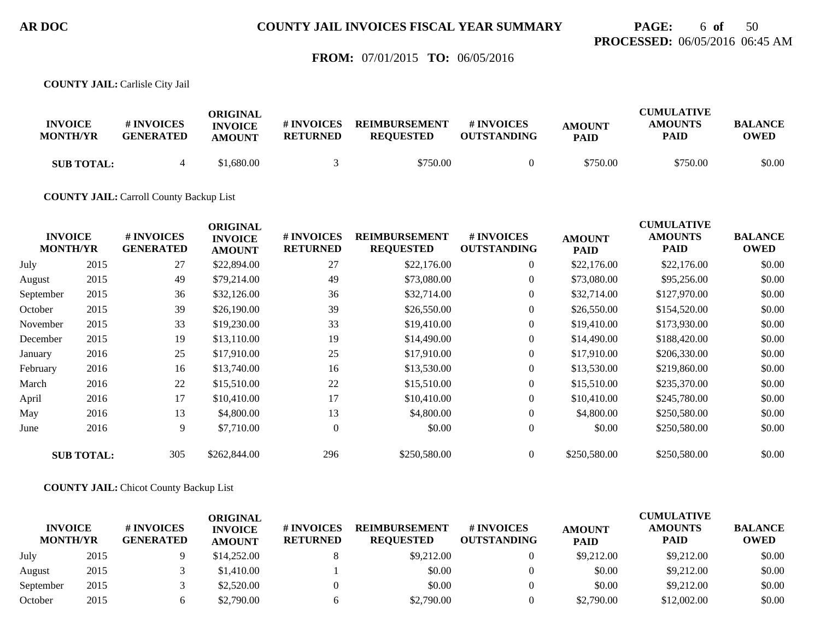## **PAGE:** 6 **of** 50 **PROCESSED:** 06/05/2016 06:45 AM

### **FROM:** 07/01/2015 **TO:** 06/05/2016

**COUNTY JAIL:** Carlisle City Jail

| <b>INVOICE</b><br><b>MONTH/YR</b> | # INVOICES<br><b>GENERATED</b> | ORIGINAL<br><b>INVOICE</b><br><b>AMOUNT</b> | # INVOICES<br><b>RETURNED</b> | <b>REIMBURSEMENT</b><br><b>REOUESTED</b> | <b>#INVOICES</b><br><b>OUTSTANDING</b> | <b>AMOUNT</b><br><b>PAID</b> | <b>CUMULATIVE</b><br><b>AMOUNTS</b><br>PAID | <b>BALANCE</b><br><b>OWED</b> |
|-----------------------------------|--------------------------------|---------------------------------------------|-------------------------------|------------------------------------------|----------------------------------------|------------------------------|---------------------------------------------|-------------------------------|
| <b>SUB TOTAL:</b>                 |                                | \$1,680.00                                  |                               | \$750.00                                 |                                        | \$750.00                     | \$750.00                                    | \$0.00                        |

**COUNTY JAIL:** Carroll County Backup List

| <b>INVOICE</b><br><b>MONTH/YR</b> |                   | # INVOICES<br><b>GENERATED</b> | <b>ORIGINAL</b><br><b>INVOICE</b><br><b>AMOUNT</b> | # INVOICES<br><b>RETURNED</b> | <b>REIMBURSEMENT</b><br><b>REQUESTED</b> | # INVOICES<br><b>OUTSTANDING</b> | <b>AMOUNT</b><br><b>PAID</b> | <b>CUMULATIVE</b><br><b>AMOUNTS</b><br><b>PAID</b> | <b>BALANCE</b><br><b>OWED</b> |
|-----------------------------------|-------------------|--------------------------------|----------------------------------------------------|-------------------------------|------------------------------------------|----------------------------------|------------------------------|----------------------------------------------------|-------------------------------|
| July                              | 2015              | 27                             | \$22,894.00                                        | 27                            | \$22,176.00                              | $\overline{0}$                   | \$22,176.00                  | \$22,176.00                                        | \$0.00                        |
| August                            | 2015              | 49                             | \$79,214.00                                        | 49                            | \$73,080.00                              | $\overline{0}$                   | \$73,080.00                  | \$95,256.00                                        | \$0.00                        |
| September                         | 2015              | 36                             | \$32,126.00                                        | 36                            | \$32,714.00                              | $\overline{0}$                   | \$32,714.00                  | \$127,970.00                                       | \$0.00                        |
| October                           | 2015              | 39                             | \$26,190.00                                        | 39                            | \$26,550.00                              | $\overline{0}$                   | \$26,550.00                  | \$154,520.00                                       | \$0.00                        |
| November                          | 2015              | 33                             | \$19,230.00                                        | 33                            | \$19,410.00                              | $\overline{0}$                   | \$19,410.00                  | \$173,930.00                                       | \$0.00                        |
| December                          | 2015              | 19                             | \$13,110.00                                        | 19                            | \$14,490.00                              | $\overline{0}$                   | \$14,490.00                  | \$188,420.00                                       | \$0.00                        |
| January                           | 2016              | 25                             | \$17,910.00                                        | 25                            | \$17,910.00                              | $\overline{0}$                   | \$17,910.00                  | \$206,330.00                                       | \$0.00                        |
| February                          | 2016              | 16                             | \$13,740.00                                        | 16                            | \$13,530.00                              | $\overline{0}$                   | \$13,530.00                  | \$219,860.00                                       | \$0.00                        |
| March                             | 2016              | 22                             | \$15,510.00                                        | 22                            | \$15,510.00                              | $\overline{0}$                   | \$15,510.00                  | \$235,370.00                                       | \$0.00                        |
| April                             | 2016              | 17                             | \$10,410.00                                        | 17                            | \$10,410.00                              | $\overline{0}$                   | \$10,410.00                  | \$245,780.00                                       | \$0.00                        |
| May                               | 2016              | 13                             | \$4,800.00                                         | 13                            | \$4,800.00                               | $\overline{0}$                   | \$4,800.00                   | \$250,580.00                                       | \$0.00                        |
| June                              | 2016              | 9                              | \$7,710.00                                         | $\overline{0}$                | \$0.00                                   | $\overline{0}$                   | \$0.00                       | \$250,580.00                                       | \$0.00                        |
|                                   | <b>SUB TOTAL:</b> | 305                            | \$262,844.00                                       | 296                           | \$250,580.00                             | $\overline{0}$                   | \$250,580.00                 | \$250,580.00                                       | \$0.00                        |

**COUNTY JAIL:** Chicot County Backup List

| <b>INVOICE</b><br><b>MONTH/YR</b> |      | # INVOICES<br><b>GENERATED</b> | ORIGINAL<br><b>INVOICE</b><br><b>AMOUNT</b> | # INVOICES<br><b>RETURNED</b> | <b>REIMBURSEMENT</b><br><b>REOUESTED</b> | <b>#INVOICES</b><br><b>OUTSTANDING</b> | <b>AMOUNT</b><br><b>PAID</b> | <b>CUMULATIVE</b><br><b>AMOUNTS</b><br>PAID | <b>BALANCE</b><br><b>OWED</b> |
|-----------------------------------|------|--------------------------------|---------------------------------------------|-------------------------------|------------------------------------------|----------------------------------------|------------------------------|---------------------------------------------|-------------------------------|
| July                              | 2015 |                                | \$14,252.00                                 |                               | \$9,212.00                               |                                        | \$9,212.00                   | \$9,212.00                                  | \$0.00                        |
| August                            | 2015 |                                | \$1,410.00                                  |                               | \$0.00                                   |                                        | \$0.00                       | \$9,212.00                                  | \$0.00                        |
| September                         | 2015 |                                | \$2,520.00                                  |                               | \$0.00                                   |                                        | \$0.00                       | \$9,212.00                                  | \$0.00                        |
| October                           | 2015 |                                | \$2,790.00                                  | h                             | \$2,790.00                               |                                        | \$2,790.00                   | \$12,002.00                                 | \$0.00                        |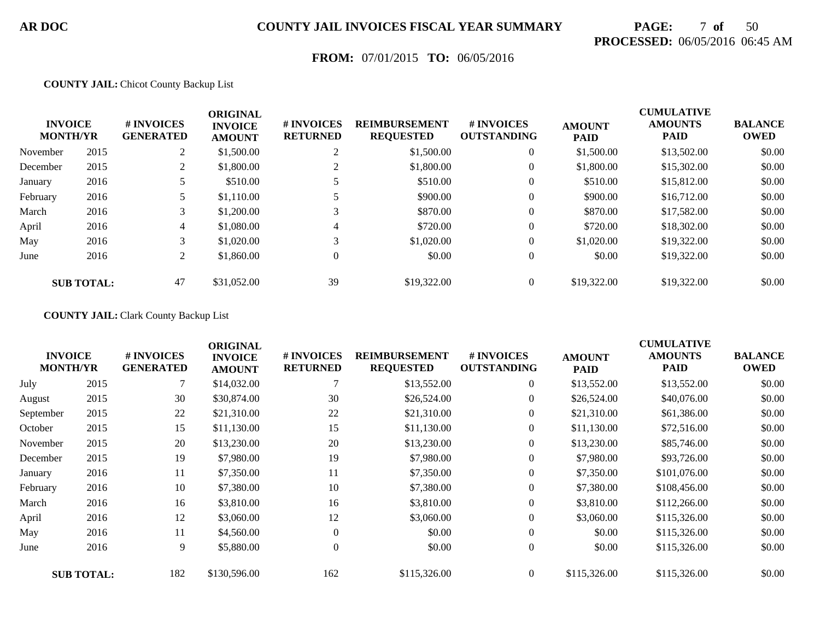# **PAGE:** 7 **of** 50 **PROCESSED:** 06/05/2016 06:45 AM

## **FROM:** 07/01/2015 **TO:** 06/05/2016

#### **COUNTY JAIL:** Chicot County Backup List

|          | <b>INVOICE</b><br><b>MONTH/YR</b> | # INVOICES<br><b>GENERATED</b> | <b>ORIGINAL</b><br><b>INVOICE</b><br><b>AMOUNT</b> | # INVOICES<br><b>RETURNED</b> | <b>REIMBURSEMENT</b><br><b>REQUESTED</b> | # INVOICES<br><b>OUTSTANDING</b> | <b>AMOUNT</b><br><b>PAID</b> | <b>CUMULATIVE</b><br><b>AMOUNTS</b><br><b>PAID</b> | <b>BALANCE</b><br><b>OWED</b> |
|----------|-----------------------------------|--------------------------------|----------------------------------------------------|-------------------------------|------------------------------------------|----------------------------------|------------------------------|----------------------------------------------------|-------------------------------|
| November | 2015                              | 2                              | \$1,500.00                                         | $\bigcap$                     | \$1,500.00                               | $\overline{0}$                   | \$1,500.00                   | \$13,502.00                                        | \$0.00                        |
| December | 2015                              |                                | \$1,800.00                                         |                               | \$1,800.00                               | $\boldsymbol{0}$                 | \$1,800.00                   | \$15,302.00                                        | \$0.00                        |
| January  | 2016                              |                                | \$510.00                                           |                               | \$510.00                                 | $\overline{0}$                   | \$510.00                     | \$15,812.00                                        | \$0.00                        |
| February | 2016                              |                                | \$1,110.00                                         |                               | \$900.00                                 | $\overline{0}$                   | \$900.00                     | \$16,712.00                                        | \$0.00                        |
| March    | 2016                              | 3                              | \$1,200.00                                         | 3                             | \$870.00                                 | $\overline{0}$                   | \$870.00                     | \$17,582.00                                        | \$0.00                        |
| April    | 2016                              | 4                              | \$1,080.00                                         | 4                             | \$720.00                                 | $\overline{0}$                   | \$720.00                     | \$18,302.00                                        | \$0.00                        |
| May      | 2016                              | 3                              | \$1,020.00                                         | 3                             | \$1,020.00                               | $\overline{0}$                   | \$1,020.00                   | \$19,322.00                                        | \$0.00                        |
| June     | 2016                              | 2                              | \$1,860.00                                         | $\theta$                      | \$0.00                                   | $\overline{0}$                   | \$0.00                       | \$19,322.00                                        | \$0.00                        |
|          | <b>SUB TOTAL:</b>                 | 47                             | \$31,052.00                                        | 39                            | \$19,322.00                              |                                  | \$19,322.00                  | \$19,322.00                                        | \$0.00                        |

#### **COUNTY JAIL:** Clark County Backup List

| <b>INVOICE</b><br><b>MONTH/YR</b> |                   | # INVOICES<br><b>GENERATED</b> | <b>ORIGINAL</b><br><b>INVOICE</b><br><b>AMOUNT</b> | # INVOICES<br><b>RETURNED</b> | <b>REIMBURSEMENT</b><br><b>REQUESTED</b> | <b>#INVOICES</b><br><b>OUTSTANDING</b> | <b>AMOUNT</b><br><b>PAID</b> | <b>CUMULATIVE</b><br><b>AMOUNTS</b><br><b>PAID</b> | <b>BALANCE</b><br><b>OWED</b> |
|-----------------------------------|-------------------|--------------------------------|----------------------------------------------------|-------------------------------|------------------------------------------|----------------------------------------|------------------------------|----------------------------------------------------|-------------------------------|
| July                              | 2015              |                                | \$14,032.00                                        |                               | \$13,552.00                              | $\overline{0}$                         | \$13,552.00                  | \$13,552.00                                        | \$0.00                        |
| August                            | 2015              | 30                             | \$30,874.00                                        | 30                            | \$26,524.00                              | $\overline{0}$                         | \$26,524.00                  | \$40,076.00                                        | \$0.00                        |
| September                         | 2015              | 22                             | \$21,310.00                                        | 22                            | \$21,310.00                              | $\overline{0}$                         | \$21,310.00                  | \$61,386.00                                        | \$0.00                        |
| October                           | 2015              | 15                             | \$11,130.00                                        | 15                            | \$11,130.00                              | $\overline{0}$                         | \$11,130.00                  | \$72,516.00                                        | \$0.00                        |
| November                          | 2015              | 20                             | \$13,230.00                                        | 20                            | \$13,230.00                              | $\overline{0}$                         | \$13,230.00                  | \$85,746.00                                        | \$0.00                        |
| December                          | 2015              | 19                             | \$7,980.00                                         | 19                            | \$7,980.00                               | $\overline{0}$                         | \$7,980.00                   | \$93,726.00                                        | \$0.00                        |
| January                           | 2016              | 11                             | \$7,350.00                                         | 11                            | \$7,350.00                               | $\overline{0}$                         | \$7,350.00                   | \$101,076.00                                       | \$0.00                        |
| February                          | 2016              | 10                             | \$7,380.00                                         | 10                            | \$7,380.00                               | $\overline{0}$                         | \$7,380.00                   | \$108,456.00                                       | \$0.00                        |
| March                             | 2016              | 16                             | \$3,810.00                                         | 16                            | \$3,810.00                               | $\overline{0}$                         | \$3,810.00                   | \$112,266.00                                       | \$0.00                        |
| April                             | 2016              | 12                             | \$3,060.00                                         | 12                            | \$3,060.00                               | $\overline{0}$                         | \$3,060.00                   | \$115,326.00                                       | \$0.00                        |
| May                               | 2016              | 11                             | \$4,560.00                                         | $\theta$                      | \$0.00                                   | $\overline{0}$                         | \$0.00                       | \$115,326.00                                       | \$0.00                        |
| June                              | 2016              | 9                              | \$5,880.00                                         | $\theta$                      | \$0.00                                   | $\overline{0}$                         | \$0.00                       | \$115,326.00                                       | \$0.00                        |
|                                   | <b>SUB TOTAL:</b> | 182                            | \$130,596.00                                       | 162                           | \$115,326.00                             | $\overline{0}$                         | \$115,326.00                 | \$115,326.00                                       | \$0.00                        |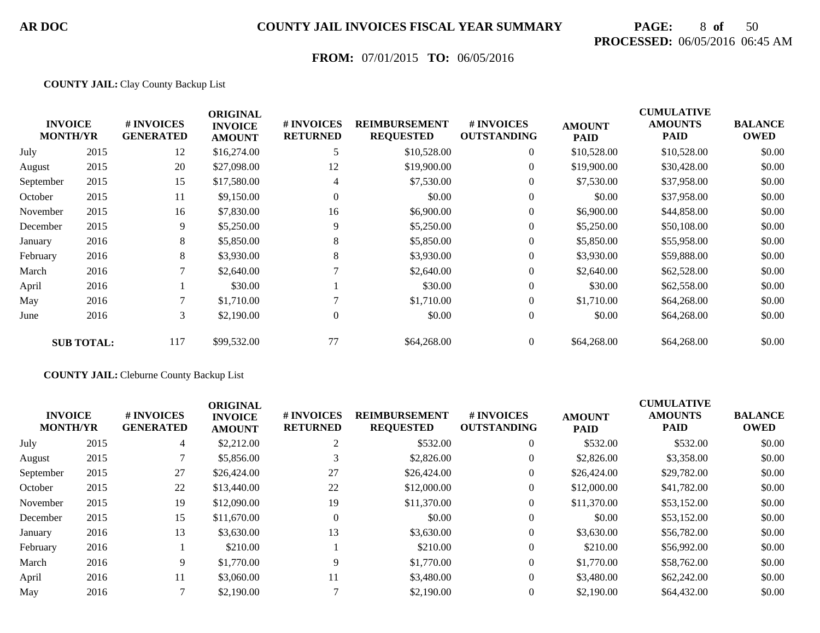# **PAGE:** 8 **of** 50 **PROCESSED:** 06/05/2016 06:45 AM

## **FROM:** 07/01/2015 **TO:** 06/05/2016

#### **COUNTY JAIL:** Clay County Backup List

|           | <b>INVOICE</b><br><b>MONTH/YR</b> | # INVOICES<br><b>GENERATED</b> | <b>ORIGINAL</b><br><b>INVOICE</b><br><b>AMOUNT</b> | # INVOICES<br><b>RETURNED</b> | <b>REIMBURSEMENT</b><br><b>REQUESTED</b> | # INVOICES<br><b>OUTSTANDING</b> | <b>AMOUNT</b><br><b>PAID</b> | <b>CUMULATIVE</b><br><b>AMOUNTS</b><br><b>PAID</b> | <b>BALANCE</b><br><b>OWED</b> |
|-----------|-----------------------------------|--------------------------------|----------------------------------------------------|-------------------------------|------------------------------------------|----------------------------------|------------------------------|----------------------------------------------------|-------------------------------|
| July      | 2015                              | 12                             | \$16,274.00                                        |                               | \$10,528.00                              | $\boldsymbol{0}$                 | \$10,528.00                  | \$10,528.00                                        | \$0.00                        |
| August    | 2015                              | 20                             | \$27,098.00                                        | 12                            | \$19,900.00                              | $\boldsymbol{0}$                 | \$19,900.00                  | \$30,428.00                                        | \$0.00                        |
| September | 2015                              | 15                             | \$17,580.00                                        | 4                             | \$7,530.00                               | $\overline{0}$                   | \$7,530.00                   | \$37,958.00                                        | \$0.00                        |
| October   | 2015                              | 11                             | \$9,150.00                                         | $\Omega$                      | \$0.00                                   |                                  | \$0.00                       | \$37,958.00                                        | \$0.00                        |
| November  | 2015                              | 16                             | \$7,830.00                                         | 16                            | \$6,900.00                               | $\overline{0}$                   | \$6,900.00                   | \$44,858.00                                        | \$0.00                        |
| December  | 2015                              | 9                              | \$5,250.00                                         | 9                             | \$5,250.00                               | $\overline{0}$                   | \$5,250.00                   | \$50,108.00                                        | \$0.00                        |
| January   | 2016                              | 8                              | \$5,850.00                                         | 8                             | \$5,850.00                               | $\overline{0}$                   | \$5,850.00                   | \$55,958.00                                        | \$0.00                        |
| February  | 2016                              | 8                              | \$3,930.00                                         | 8                             | \$3,930.00                               | $\overline{0}$                   | \$3,930.00                   | \$59,888.00                                        | \$0.00                        |
| March     | 2016                              | 7                              | \$2,640.00                                         |                               | \$2,640.00                               | $\overline{0}$                   | \$2,640.00                   | \$62,528.00                                        | \$0.00                        |
| April     | 2016                              |                                | \$30.00                                            |                               | \$30.00                                  | $\mathbf{0}$                     | \$30.00                      | \$62,558.00                                        | \$0.00                        |
| May       | 2016                              | 7                              | \$1,710.00                                         |                               | \$1,710.00                               | $\bf{0}$                         | \$1,710.00                   | \$64,268.00                                        | \$0.00                        |
| June      | 2016                              | 3                              | \$2,190.00                                         | $\overline{0}$                | \$0.00                                   | $\overline{0}$                   | \$0.00                       | \$64,268.00                                        | \$0.00                        |
|           | <b>SUB TOTAL:</b>                 | 117                            | \$99,532.00                                        | 77                            | \$64,268.00                              | $\overline{0}$                   | \$64,268.00                  | \$64,268.00                                        | \$0.00                        |

#### **COUNTY JAIL:** Cleburne County Backup List

| <b>INVOICE</b><br><b>MONTH/YR</b> |      | # INVOICES<br><b>GENERATED</b> | <b>ORIGINAL</b><br><b>INVOICE</b><br><b>AMOUNT</b> | # INVOICES<br><b>RETURNED</b> | <b>REIMBURSEMENT</b><br><b>REQUESTED</b> | # INVOICES<br><b>OUTSTANDING</b> | <b>AMOUNT</b><br><b>PAID</b> | <b>CUMULATIVE</b><br><b>AMOUNTS</b><br><b>PAID</b> | <b>BALANCE</b><br><b>OWED</b> |
|-----------------------------------|------|--------------------------------|----------------------------------------------------|-------------------------------|------------------------------------------|----------------------------------|------------------------------|----------------------------------------------------|-------------------------------|
| July                              | 2015 | 4                              | \$2,212.00                                         | ∠                             | \$532.00                                 | $\theta$                         | \$532.00                     | \$532.00                                           | \$0.00                        |
| August                            | 2015 |                                | \$5,856.00                                         |                               | \$2,826.00                               | $\theta$                         | \$2,826.00                   | \$3,358.00                                         | \$0.00                        |
| September                         | 2015 | 27                             | \$26,424.00                                        | 27                            | \$26,424.00                              | $\boldsymbol{0}$                 | \$26,424.00                  | \$29,782.00                                        | \$0.00                        |
| October                           | 2015 | 22                             | \$13,440.00                                        | 22                            | \$12,000.00                              | $\overline{0}$                   | \$12,000.00                  | \$41,782.00                                        | \$0.00                        |
| November                          | 2015 | 19                             | \$12,090.00                                        | 19                            | \$11,370.00                              | $\theta$                         | \$11,370.00                  | \$53,152.00                                        | \$0.00                        |
| December                          | 2015 | 15                             | \$11,670.00                                        | $\Omega$                      | \$0.00                                   | $\theta$                         | \$0.00                       | \$53,152.00                                        | \$0.00                        |
| January                           | 2016 | 13                             | \$3,630.00                                         | 13                            | \$3,630.00                               | $\theta$                         | \$3,630.00                   | \$56,782.00                                        | \$0.00                        |
| February                          | 2016 |                                | \$210.00                                           |                               | \$210.00                                 | $\overline{0}$                   | \$210.00                     | \$56,992.00                                        | \$0.00                        |
| March                             | 2016 | 9                              | \$1,770.00                                         | 9                             | \$1,770.00                               | $\overline{0}$                   | \$1,770.00                   | \$58,762.00                                        | \$0.00                        |
| April                             | 2016 | 11                             | \$3,060.00                                         | 11                            | \$3,480.00                               | $\overline{0}$                   | \$3,480.00                   | \$62,242,00                                        | \$0.00                        |
| May                               | 2016 |                                | \$2,190.00                                         |                               | \$2,190.00                               | $\overline{0}$                   | \$2,190.00                   | \$64,432.00                                        | \$0.00                        |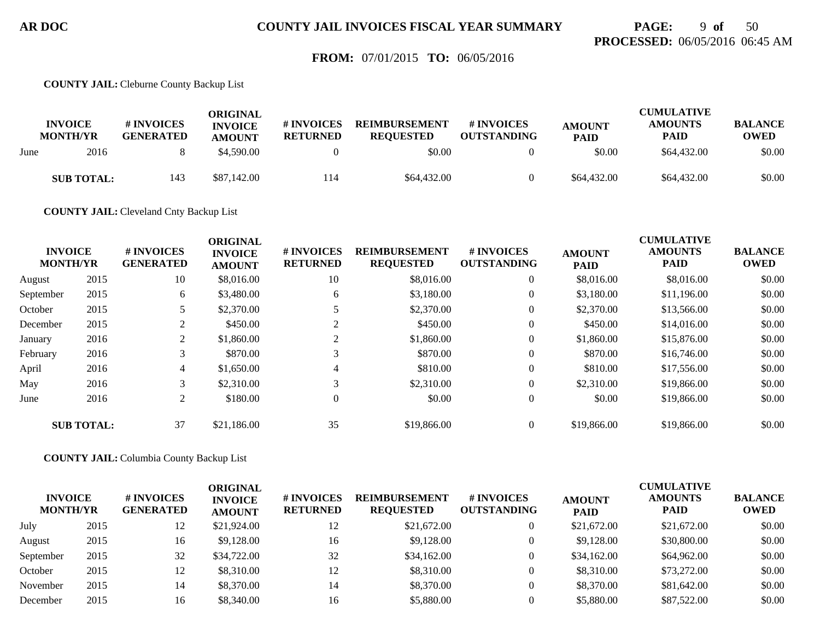## **PAGE:** 9 **of** 50 **PROCESSED:** 06/05/2016 06:45 AM

### **FROM:** 07/01/2015 **TO:** 06/05/2016

**COUNTY JAIL:** Cleburne County Backup List

|      | <b>INVOICE</b><br><b>MONTH/YR</b> | # INVOICES<br><b>GENERATED</b> | ORIGINAL<br><b>INVOICE</b><br><b>AMOUNT</b> | # INVOICES<br><b>RETURNED</b> | <b>REIMBURSEMENT</b><br><b>REOUESTED</b> | # INVOICES<br><b>OUTSTANDING</b> | <b>AMOUNT</b><br><b>PAID</b> | CUMULATIVE<br><b>AMOUNTS</b><br><b>PAID</b> | <b>BALANCE</b><br><b>OWED</b> |
|------|-----------------------------------|--------------------------------|---------------------------------------------|-------------------------------|------------------------------------------|----------------------------------|------------------------------|---------------------------------------------|-------------------------------|
| June | 2016                              |                                | \$4.590.00                                  |                               | \$0.00                                   |                                  | \$0.00                       | \$64,432.00                                 | \$0.00                        |
|      | <b>SUB TOTAL:</b>                 | 143                            | \$87,142.00                                 | 114                           | \$64,432.00                              |                                  | \$64,432.00                  | \$64,432.00                                 | \$0.00                        |

**COUNTY JAIL:** Cleveland Cnty Backup List

|           | <b>INVOICE</b><br><b>MONTH/YR</b> | # INVOICES<br><b>GENERATED</b> | <b>ORIGINAL</b><br><b>INVOICE</b><br><b>AMOUNT</b> | # INVOICES<br><b>RETURNED</b> | <b>REIMBURSEMENT</b><br><b>REQUESTED</b> | # INVOICES<br><b>OUTSTANDING</b> | <b>AMOUNT</b><br><b>PAID</b> | <b>CUMULATIVE</b><br><b>AMOUNTS</b><br><b>PAID</b> | <b>BALANCE</b><br><b>OWED</b> |
|-----------|-----------------------------------|--------------------------------|----------------------------------------------------|-------------------------------|------------------------------------------|----------------------------------|------------------------------|----------------------------------------------------|-------------------------------|
| August    | 2015                              | 10                             | \$8,016.00                                         | 10                            | \$8,016.00                               | $\overline{0}$                   | \$8,016.00                   | \$8,016.00                                         | \$0.00                        |
| September | 2015                              | 6                              | \$3,480.00                                         | 6                             | \$3.180.00                               | $\overline{0}$                   | \$3,180.00                   | \$11,196.00                                        | \$0.00                        |
| October   | 2015                              |                                | \$2,370.00                                         |                               | \$2,370.00                               | $\overline{0}$                   | \$2,370.00                   | \$13,566.00                                        | \$0.00                        |
| December  | 2015                              | 2                              | \$450.00                                           | $\bigcap$<br>∠                | \$450.00                                 | $\overline{0}$                   | \$450.00                     | \$14,016.00                                        | \$0.00                        |
| January   | 2016                              | 2                              | \$1,860.00                                         | 2                             | \$1,860.00                               | $\overline{0}$                   | \$1,860.00                   | \$15,876.00                                        | \$0.00                        |
| February  | 2016                              | 3                              | \$870.00                                           | 3                             | \$870.00                                 | $\overline{0}$                   | \$870.00                     | \$16,746.00                                        | \$0.00                        |
| April     | 2016                              | 4                              | \$1,650.00                                         | 4                             | \$810.00                                 | $\overline{0}$                   | \$810.00                     | \$17,556.00                                        | \$0.00                        |
| May       | 2016                              | 3                              | \$2,310.00                                         | 3                             | \$2,310.00                               | $\overline{0}$                   | \$2,310.00                   | \$19,866.00                                        | \$0.00                        |
| June      | 2016                              | 2                              | \$180.00                                           | 0                             | \$0.00                                   | $\overline{0}$                   | \$0.00                       | \$19,866.00                                        | \$0.00                        |
|           | <b>SUB TOTAL:</b>                 | 37                             | \$21,186.00                                        | 35                            | \$19,866.00                              | $\overline{0}$                   | \$19,866.00                  | \$19,866.00                                        | \$0.00                        |

**COUNTY JAIL:** Columbia County Backup List

| <b>INVOICE</b><br><b>MONTH/YR</b> |      | # INVOICES<br><b>GENERATED</b> | ORIGINAL<br><b>INVOICE</b><br><b>AMOUNT</b> | # INVOICES<br><b>RETURNED</b> | <b>REIMBURSEMENT</b><br><b>REQUESTED</b> | # INVOICES<br><b>OUTSTANDING</b> | <b>AMOUNT</b><br><b>PAID</b> | <b>CUMULATIVE</b><br><b>AMOUNTS</b><br><b>PAID</b> | <b>BALANCE</b><br><b>OWED</b> |
|-----------------------------------|------|--------------------------------|---------------------------------------------|-------------------------------|------------------------------------------|----------------------------------|------------------------------|----------------------------------------------------|-------------------------------|
| July                              | 2015 | 12                             | \$21,924.00                                 | 12                            | \$21,672.00                              |                                  | \$21,672.00                  | \$21,672.00                                        | \$0.00                        |
| August                            | 2015 | 16                             | \$9,128.00                                  | 16                            | \$9,128,00                               |                                  | \$9,128,00                   | \$30,800.00                                        | \$0.00                        |
| September                         | 2015 | 32                             | \$34,722.00                                 | 32                            | \$34,162.00                              |                                  | \$34,162.00                  | \$64,962.00                                        | \$0.00                        |
| October                           | 2015 | 12                             | \$8,310.00                                  | 12                            | \$8,310.00                               |                                  | \$8,310.00                   | \$73,272.00                                        | \$0.00                        |
| November                          | 2015 | 14                             | \$8,370.00                                  | 14                            | \$8,370.00                               |                                  | \$8,370.00                   | \$81,642.00                                        | \$0.00                        |
| December                          | 2015 | 16                             | \$8,340.00                                  | 16                            | \$5,880.00                               |                                  | \$5,880.00                   | \$87,522.00                                        | \$0.00                        |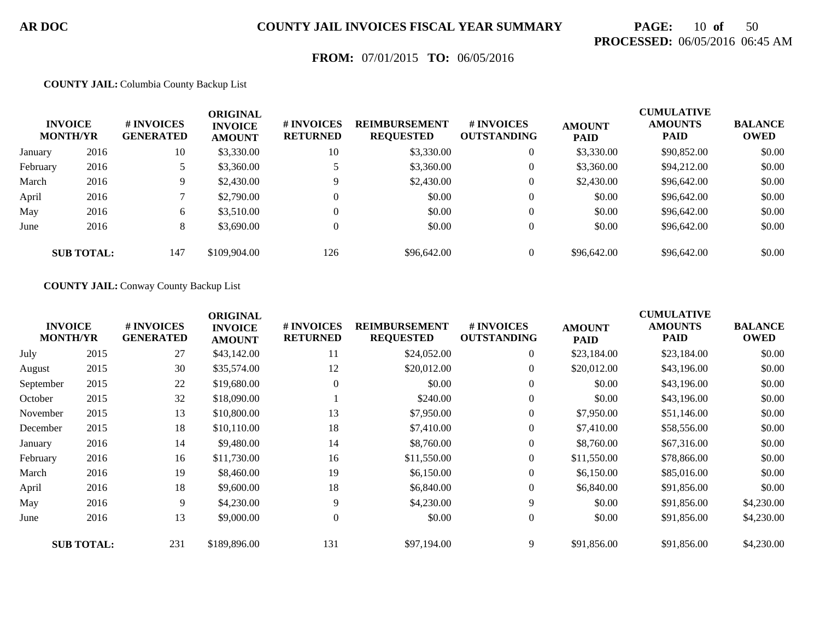# **PAGE:** 10 **of** 50 **PROCESSED:** 06/05/2016 06:45 AM

## **FROM:** 07/01/2015 **TO:** 06/05/2016

#### **COUNTY JAIL:** Columbia County Backup List

|          | <b>INVOICE</b><br><b>MONTH/YR</b> | # INVOICES<br><b>GENERATED</b> | ORIGINAL<br><b>INVOICE</b><br><b>AMOUNT</b> | # INVOICES<br><b>RETURNED</b> | <b>REIMBURSEMENT</b><br><b>REQUESTED</b> | <b># INVOICES</b><br><b>OUTSTANDING</b> | <b>AMOUNT</b><br><b>PAID</b> | <b>CUMULATIVE</b><br><b>AMOUNTS</b><br><b>PAID</b> | <b>BALANCE</b><br><b>OWED</b> |
|----------|-----------------------------------|--------------------------------|---------------------------------------------|-------------------------------|------------------------------------------|-----------------------------------------|------------------------------|----------------------------------------------------|-------------------------------|
| January  | 2016                              | 10                             | \$3,330.00                                  | 10                            | \$3,330.00                               | $\overline{0}$                          | \$3,330.00                   | \$90,852.00                                        | \$0.00                        |
| February | 2016                              |                                | \$3,360.00                                  |                               | \$3,360.00                               | 0                                       | \$3,360.00                   | \$94,212.00                                        | \$0.00                        |
| March    | 2016                              | 9                              | \$2,430.00                                  |                               | \$2,430.00                               | $\overline{0}$                          | \$2,430.00                   | \$96,642.00                                        | \$0.00                        |
| April    | 2016                              |                                | \$2,790.00                                  |                               | \$0.00                                   | $\overline{0}$                          | \$0.00                       | \$96,642.00                                        | \$0.00                        |
| May      | 2016                              | 6                              | \$3,510.00                                  |                               | \$0.00                                   | $\overline{0}$                          | \$0.00                       | \$96,642.00                                        | \$0.00                        |
| June     | 2016                              | 8                              | \$3,690.00                                  |                               | \$0.00                                   | $\overline{0}$                          | \$0.00                       | \$96,642.00                                        | \$0.00                        |
|          | <b>SUB TOTAL:</b>                 | 147                            | \$109,904.00                                | 126                           | \$96,642.00                              | $\overline{0}$                          | \$96,642.00                  | \$96,642.00                                        | \$0.00                        |

#### **COUNTY JAIL:** Conway County Backup List

|           | <b>INVOICE</b><br><b>MONTH/YR</b> | # INVOICES<br><b>GENERATED</b> | <b>ORIGINAL</b><br><b>INVOICE</b><br><b>AMOUNT</b> | # INVOICES<br><b>RETURNED</b> | <b>REIMBURSEMENT</b><br><b>REQUESTED</b> | # INVOICES<br><b>OUTSTANDING</b> | <b>AMOUNT</b><br><b>PAID</b> | <b>CUMULATIVE</b><br><b>AMOUNTS</b><br><b>PAID</b> | <b>BALANCE</b><br><b>OWED</b> |
|-----------|-----------------------------------|--------------------------------|----------------------------------------------------|-------------------------------|------------------------------------------|----------------------------------|------------------------------|----------------------------------------------------|-------------------------------|
| July      | 2015                              | 27                             | \$43,142.00                                        | 11                            | \$24,052.00                              | $\overline{0}$                   | \$23,184.00                  | \$23,184.00                                        | \$0.00                        |
| August    | 2015                              | 30                             | \$35,574.00                                        | 12                            | \$20,012.00                              | $\overline{0}$                   | \$20,012.00                  | \$43,196.00                                        | \$0.00                        |
| September | 2015                              | 22                             | \$19,680.00                                        | $\theta$                      | \$0.00                                   | $\mathbf{0}$                     | \$0.00                       | \$43,196.00                                        | \$0.00                        |
| October   | 2015                              | 32                             | \$18,090.00                                        |                               | \$240.00                                 | $\overline{0}$                   | \$0.00                       | \$43,196.00                                        | \$0.00                        |
| November  | 2015                              | 13                             | \$10,800.00                                        | 13                            | \$7,950.00                               | $\overline{0}$                   | \$7,950.00                   | \$51,146.00                                        | \$0.00                        |
| December  | 2015                              | 18                             | \$10,110.00                                        | 18                            | \$7,410.00                               | $\overline{0}$                   | \$7,410.00                   | \$58,556.00                                        | \$0.00                        |
| January   | 2016                              | 14                             | \$9,480.00                                         | 14                            | \$8,760.00                               | $\boldsymbol{0}$                 | \$8,760.00                   | \$67,316.00                                        | \$0.00                        |
| February  | 2016                              | 16                             | \$11,730.00                                        | 16                            | \$11,550.00                              | $\overline{0}$                   | \$11,550.00                  | \$78,866.00                                        | \$0.00                        |
| March     | 2016                              | 19                             | \$8,460.00                                         | 19                            | \$6,150.00                               | $\overline{0}$                   | \$6,150.00                   | \$85,016.00                                        | \$0.00                        |
| April     | 2016                              | 18                             | \$9,600.00                                         | 18                            | \$6,840.00                               | $\overline{0}$                   | \$6,840.00                   | \$91,856.00                                        | \$0.00                        |
| May       | 2016                              | 9                              | \$4,230.00                                         | 9                             | \$4,230.00                               | 9                                | \$0.00                       | \$91,856.00                                        | \$4,230.00                    |
| June      | 2016                              | 13                             | \$9,000.00                                         | $\Omega$                      | \$0.00                                   | $\boldsymbol{0}$                 | \$0.00                       | \$91,856.00                                        | \$4,230.00                    |
|           | <b>SUB TOTAL:</b>                 | 231                            | \$189,896.00                                       | 131                           | \$97,194.00                              | 9                                | \$91,856.00                  | \$91,856.00                                        | \$4,230.00                    |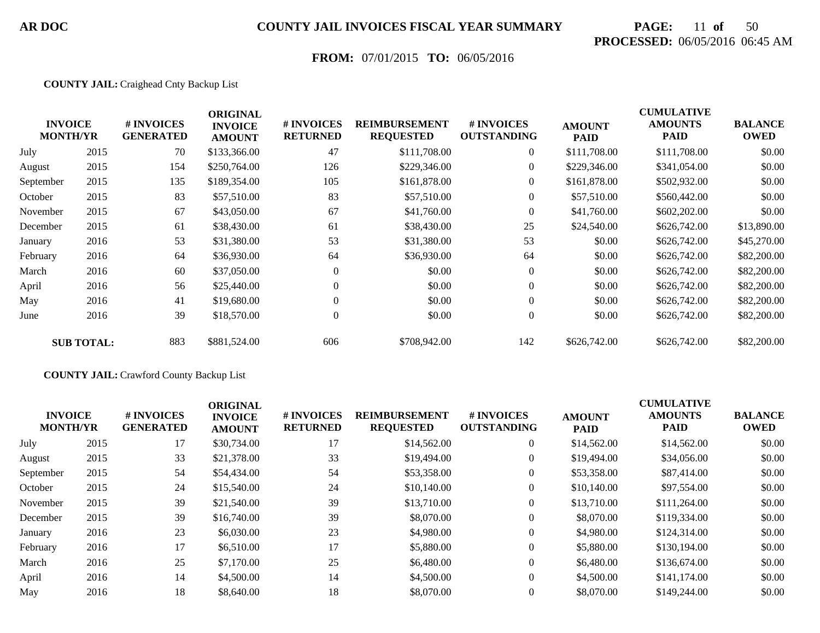# **PAGE:** 11 **of** 50 **PROCESSED:** 06/05/2016 06:45 AM

## **FROM:** 07/01/2015 **TO:** 06/05/2016

#### **COUNTY JAIL:** Craighead Cnty Backup List

|           | <b>INVOICE</b><br><b>MONTH/YR</b> | # INVOICES<br><b>GENERATED</b> | <b>ORIGINAL</b><br><b>INVOICE</b><br><b>AMOUNT</b> | # INVOICES<br><b>RETURNED</b> | <b>REIMBURSEMENT</b><br><b>REQUESTED</b> | # INVOICES<br><b>OUTSTANDING</b> | <b>AMOUNT</b><br><b>PAID</b> | <b>CUMULATIVE</b><br><b>AMOUNTS</b><br>PAID | <b>BALANCE</b><br><b>OWED</b> |
|-----------|-----------------------------------|--------------------------------|----------------------------------------------------|-------------------------------|------------------------------------------|----------------------------------|------------------------------|---------------------------------------------|-------------------------------|
| July      | 2015                              | 70                             | \$133,366.00                                       | 47                            | \$111,708.00                             | $\overline{0}$                   | \$111,708.00                 | \$111,708.00                                | \$0.00                        |
| August    | 2015                              | 154                            | \$250,764.00                                       | 126                           | \$229,346.00                             | $\overline{0}$                   | \$229,346.00                 | \$341,054.00                                | \$0.00                        |
| September | 2015                              | 135                            | \$189,354.00                                       | 105                           | \$161,878.00                             | $\theta$                         | \$161,878.00                 | \$502,932.00                                | \$0.00                        |
| October   | 2015                              | 83                             | \$57,510.00                                        | 83                            | \$57,510.00                              | $\overline{0}$                   | \$57,510.00                  | \$560,442.00                                | \$0.00                        |
| November  | 2015                              | 67                             | \$43,050.00                                        | 67                            | \$41,760.00                              | $\overline{0}$                   | \$41,760.00                  | \$602,202.00                                | \$0.00                        |
| December  | 2015                              | 61                             | \$38,430.00                                        | 61                            | \$38,430.00                              | 25                               | \$24,540.00                  | \$626,742.00                                | \$13,890.00                   |
| January   | 2016                              | 53                             | \$31,380.00                                        | 53                            | \$31,380.00                              | 53                               | \$0.00                       | \$626,742.00                                | \$45,270.00                   |
| February  | 2016                              | 64                             | \$36,930.00                                        | 64                            | \$36,930.00                              | 64                               | \$0.00                       | \$626,742.00                                | \$82,200.00                   |
| March     | 2016                              | 60                             | \$37,050.00                                        | $\overline{0}$                | \$0.00                                   | $\overline{0}$                   | \$0.00                       | \$626,742.00                                | \$82,200.00                   |
| April     | 2016                              | 56                             | \$25,440.00                                        | $\Omega$                      | \$0.00                                   | $\overline{0}$                   | \$0.00                       | \$626,742.00                                | \$82,200.00                   |
| May       | 2016                              | 41                             | \$19,680.00                                        | $\overline{0}$                | \$0.00                                   | $\boldsymbol{0}$                 | \$0.00                       | \$626,742.00                                | \$82,200.00                   |
| June      | 2016                              | 39                             | \$18,570.00                                        | $\overline{0}$                | \$0.00                                   | $\overline{0}$                   | \$0.00                       | \$626,742.00                                | \$82,200.00                   |
|           | <b>SUB TOTAL:</b>                 | 883                            | \$881,524.00                                       | 606                           | \$708,942.00                             | 142                              | \$626,742.00                 | \$626,742.00                                | \$82,200.00                   |

#### **COUNTY JAIL:** Crawford County Backup List

| <b>INVOICE</b><br><b>MONTH/YR</b> |      | # INVOICES<br><b>GENERATED</b> | <b>ORIGINAL</b><br><b>INVOICE</b><br><b>AMOUNT</b> | # INVOICES<br><b>RETURNED</b> | <b>REIMBURSEMENT</b><br><b>REQUESTED</b> | # INVOICES<br><b>OUTSTANDING</b> | <b>AMOUNT</b><br><b>PAID</b> | <b>CUMULATIVE</b><br><b>AMOUNTS</b><br><b>PAID</b> | <b>BALANCE</b><br><b>OWED</b> |
|-----------------------------------|------|--------------------------------|----------------------------------------------------|-------------------------------|------------------------------------------|----------------------------------|------------------------------|----------------------------------------------------|-------------------------------|
| July                              | 2015 | 17                             | \$30,734.00                                        | 17                            | \$14,562.00                              | $\overline{0}$                   | \$14,562.00                  | \$14,562.00                                        | \$0.00                        |
| August                            | 2015 | 33                             | \$21,378.00                                        | 33                            | \$19,494.00                              | $\overline{0}$                   | \$19,494.00                  | \$34,056.00                                        | \$0.00                        |
| September                         | 2015 | 54                             | \$54,434.00                                        | 54                            | \$53,358.00                              | $\overline{0}$                   | \$53,358.00                  | \$87,414.00                                        | \$0.00                        |
| October                           | 2015 | 24                             | \$15,540.00                                        | 24                            | \$10,140.00                              | $\boldsymbol{0}$                 | \$10,140.00                  | \$97,554.00                                        | \$0.00                        |
| November                          | 2015 | 39                             | \$21,540.00                                        | 39                            | \$13,710.00                              | $\overline{0}$                   | \$13,710.00                  | \$111,264.00                                       | \$0.00                        |
| December                          | 2015 | 39                             | \$16,740.00                                        | 39                            | \$8,070.00                               | $\overline{0}$                   | \$8,070.00                   | \$119,334.00                                       | \$0.00                        |
| January                           | 2016 | 23                             | \$6,030.00                                         | 23                            | \$4,980.00                               | $\overline{0}$                   | \$4,980.00                   | \$124,314.00                                       | \$0.00                        |
| February                          | 2016 | 17                             | \$6,510.00                                         | 17                            | \$5,880.00                               | $\boldsymbol{0}$                 | \$5,880.00                   | \$130,194.00                                       | \$0.00                        |
| March                             | 2016 | 25                             | \$7,170.00                                         | 25                            | \$6,480.00                               | $\overline{0}$                   | \$6,480.00                   | \$136,674.00                                       | \$0.00                        |
| April                             | 2016 | 14                             | \$4,500.00                                         | 14                            | \$4,500.00                               | $\overline{0}$                   | \$4,500.00                   | \$141,174.00                                       | \$0.00                        |
| May                               | 2016 | 18                             | \$8,640.00                                         | 18                            | \$8,070.00                               | $\theta$                         | \$8,070.00                   | \$149,244.00                                       | \$0.00                        |
|                                   |      |                                |                                                    |                               |                                          |                                  |                              |                                                    |                               |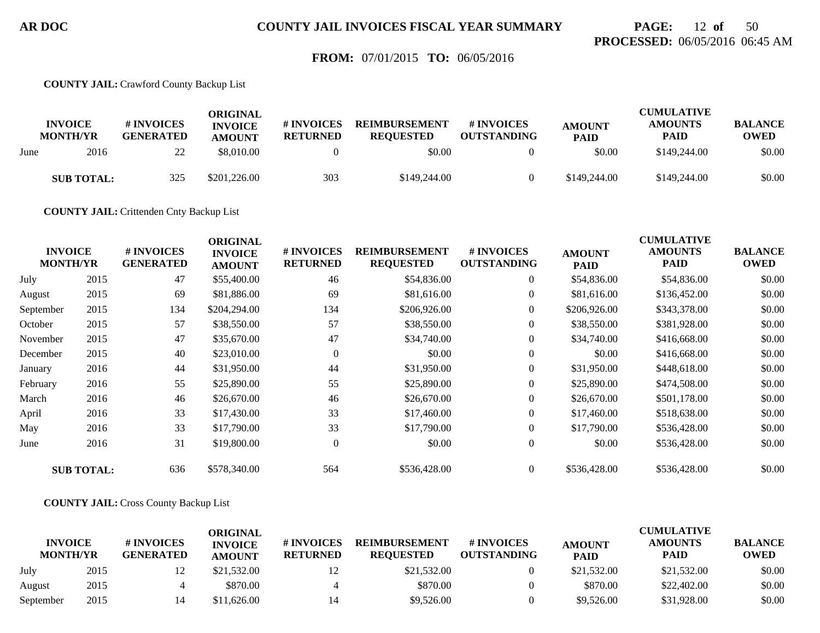## **PAGE:** 12 **of** 50 **PROCESSED:** 06/05/2016 06:45 AM

### **FROM:** 07/01/2015 **TO:** 06/05/2016

**COUNTY JAIL:** Crawford County Backup List

|      | <b>INVOICE</b><br><b>MONTH/YR</b> | # INVOICES<br><b>GENERATED</b> | ORIGINAL<br><b>INVOICE</b><br><b>AMOUNT</b> | # INVOICES<br><b>RETURNED</b> | <b>REIMBURSEMENT</b><br><b>REQUESTED</b> | # INVOICES<br><b>OUTSTANDING</b> | <b>AMOUNT</b><br><b>PAID</b> | <b>CUMULATIVE</b><br><b>AMOUNTS</b><br><b>PAID</b> | <b>BALANCE</b><br><b>OWED</b> |
|------|-----------------------------------|--------------------------------|---------------------------------------------|-------------------------------|------------------------------------------|----------------------------------|------------------------------|----------------------------------------------------|-------------------------------|
| June | 2016                              | 22                             | \$8,010.00                                  |                               | \$0.00                                   |                                  | \$0.00                       | \$149,244.00                                       | \$0.00                        |
|      | <b>SUB TOTAL:</b>                 | 325                            | \$201,226.00                                | 303                           | \$149,244,00                             |                                  | \$149,244.00                 | \$149,244.00                                       | \$0.00                        |

**COUNTY JAIL:** Crittenden Cnty Backup List

| <b>INVOICE</b><br><b>MONTH/YR</b> |                   | # INVOICES<br><b>GENERATED</b> | <b>ORIGINAL</b><br><b>INVOICE</b><br><b>AMOUNT</b> | # INVOICES<br><b>RETURNED</b> | <b>REIMBURSEMENT</b><br><b>REQUESTED</b> | # INVOICES<br><b>OUTSTANDING</b> | <b>AMOUNT</b><br><b>PAID</b> | <b>CUMULATIVE</b><br><b>AMOUNTS</b><br><b>PAID</b> | <b>BALANCE</b><br><b>OWED</b> |
|-----------------------------------|-------------------|--------------------------------|----------------------------------------------------|-------------------------------|------------------------------------------|----------------------------------|------------------------------|----------------------------------------------------|-------------------------------|
| July                              | 2015              | 47                             | \$55,400.00                                        | 46                            | \$54,836.00                              | $\overline{0}$                   | \$54,836.00                  | \$54,836.00                                        | \$0.00                        |
| August                            | 2015              | 69                             | \$81,886.00                                        | 69                            | \$81,616.00                              | $\overline{0}$                   | \$81,616.00                  | \$136,452.00                                       | \$0.00                        |
| September                         | 2015              | 134                            | \$204,294.00                                       | 134                           | \$206,926.00                             | $\overline{0}$                   | \$206,926.00                 | \$343,378.00                                       | \$0.00                        |
| October                           | 2015              | 57                             | \$38,550.00                                        | 57                            | \$38,550.00                              | $\overline{0}$                   | \$38,550.00                  | \$381,928.00                                       | \$0.00                        |
| November                          | 2015              | 47                             | \$35,670.00                                        | 47                            | \$34,740.00                              | $\overline{0}$                   | \$34,740.00                  | \$416,668.00                                       | \$0.00                        |
| December                          | 2015              | 40                             | \$23,010.00                                        | $\Omega$                      | \$0.00                                   | $\overline{0}$                   | \$0.00                       | \$416,668.00                                       | \$0.00                        |
| January                           | 2016              | 44                             | \$31,950.00                                        | 44                            | \$31,950.00                              | $\boldsymbol{0}$                 | \$31,950.00                  | \$448,618.00                                       | \$0.00                        |
| February                          | 2016              | 55                             | \$25,890.00                                        | 55                            | \$25,890.00                              | $\overline{0}$                   | \$25,890.00                  | \$474,508.00                                       | \$0.00                        |
| March                             | 2016              | 46                             | \$26,670.00                                        | 46                            | \$26,670.00                              | $\overline{0}$                   | \$26,670.00                  | \$501,178.00                                       | \$0.00                        |
| April                             | 2016              | 33                             | \$17,430.00                                        | 33                            | \$17,460.00                              | $\overline{0}$                   | \$17,460.00                  | \$518,638.00                                       | \$0.00                        |
| May                               | 2016              | 33                             | \$17,790.00                                        | 33                            | \$17,790.00                              | $\overline{0}$                   | \$17,790.00                  | \$536,428.00                                       | \$0.00                        |
| June                              | 2016              | 31                             | \$19,800.00                                        | $\mathbf{0}$                  | \$0.00                                   | $\boldsymbol{0}$                 | \$0.00                       | \$536,428.00                                       | \$0.00                        |
|                                   | <b>SUB TOTAL:</b> | 636                            | \$578,340.00                                       | 564                           | \$536,428.00                             | $\overline{0}$                   | \$536,428.00                 | \$536,428.00                                       | \$0.00                        |

**COUNTY JAIL:** Cross County Backup List

|                                   |      |                                | ORIGINAL                        |                               |                                          |                                  |                              | <b>CUMULATIVE</b>             |                        |
|-----------------------------------|------|--------------------------------|---------------------------------|-------------------------------|------------------------------------------|----------------------------------|------------------------------|-------------------------------|------------------------|
| <b>INVOICE</b><br><b>MONTH/YR</b> |      | # INVOICES<br><b>GENERATED</b> | <b>INVOICE</b><br><b>AMOUNT</b> | # INVOICES<br><b>RETURNED</b> | <b>REIMBURSEMENT</b><br><b>REOUESTED</b> | # INVOICES<br><b>OUTSTANDING</b> | <b>AMOUNT</b><br><b>PAID</b> | <b>AMOUNTS</b><br><b>PAID</b> | <b>BALANCE</b><br>OWED |
| July                              | 2015 |                                | \$21,532.00                     | 12                            | \$21,532.00                              |                                  | \$21,532.00                  | \$21,532.00                   | \$0.00                 |
| August                            | 2015 |                                | \$870.00                        |                               | \$870.00                                 |                                  | \$870.00                     | \$22,402.00                   | \$0.00                 |
| September                         | 2015 |                                | \$11,626.00                     |                               | \$9,526.00                               |                                  | \$9,526.00                   | \$31,928.00                   | \$0.00                 |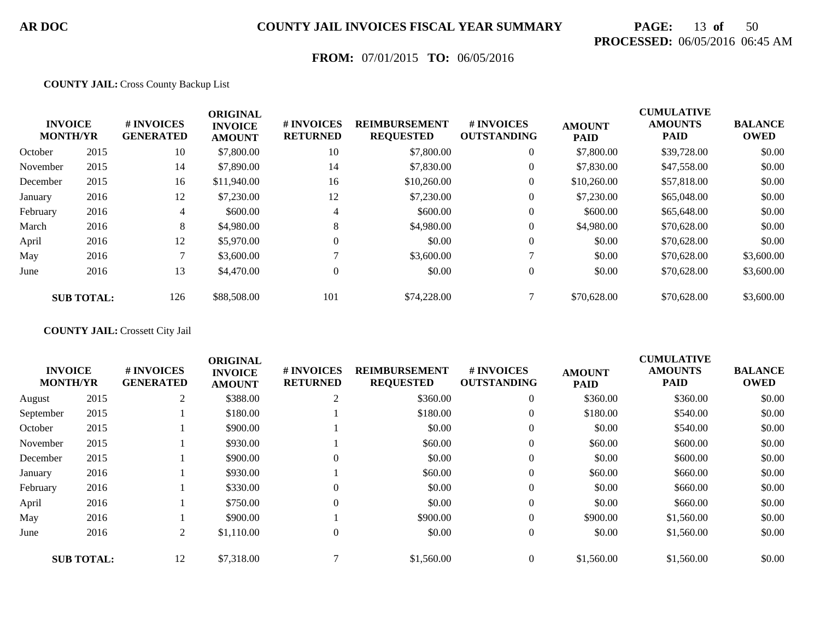# **PAGE:** 13 **of** 50 **PROCESSED:** 06/05/2016 06:45 AM

## **FROM:** 07/01/2015 **TO:** 06/05/2016

#### **COUNTY JAIL:** Cross County Backup List

|          | <b>INVOICE</b><br><b>MONTH/YR</b> | # INVOICES<br><b>GENERATED</b> | <b>ORIGINAL</b><br><b>INVOICE</b><br><b>AMOUNT</b> | # INVOICES<br><b>RETURNED</b> | <b>REIMBURSEMENT</b><br><b>REQUESTED</b> | # INVOICES<br><b>OUTSTANDING</b> | <b>AMOUNT</b><br><b>PAID</b> | <b>CUMULATIVE</b><br><b>AMOUNTS</b><br><b>PAID</b> | <b>BALANCE</b><br><b>OWED</b> |
|----------|-----------------------------------|--------------------------------|----------------------------------------------------|-------------------------------|------------------------------------------|----------------------------------|------------------------------|----------------------------------------------------|-------------------------------|
| October  | 2015                              | 10                             | \$7,800.00                                         | 10                            | \$7,800.00                               | $\overline{0}$                   | \$7,800.00                   | \$39,728.00                                        | \$0.00                        |
| November | 2015                              | 14                             | \$7,890.00                                         | 14                            | \$7,830.00                               | $\overline{0}$                   | \$7,830.00                   | \$47,558.00                                        | \$0.00                        |
| December | 2015                              | 16                             | \$11,940.00                                        | 16                            | \$10,260.00                              | $\overline{0}$                   | \$10,260.00                  | \$57,818.00                                        | \$0.00                        |
| January  | 2016                              | 12                             | \$7,230.00                                         | 12                            | \$7,230.00                               | $\overline{0}$                   | \$7,230.00                   | \$65,048.00                                        | \$0.00                        |
| February | 2016                              | 4                              | \$600.00                                           | 4                             | \$600.00                                 | $\boldsymbol{0}$                 | \$600.00                     | \$65,648.00                                        | \$0.00                        |
| March    | 2016                              | 8                              | \$4,980.00                                         | 8                             | \$4,980.00                               | $\overline{0}$                   | \$4,980.00                   | \$70,628.00                                        | \$0.00                        |
| April    | 2016                              | 12                             | \$5,970.00                                         | $\Omega$                      | \$0.00                                   | $\theta$                         | \$0.00                       | \$70,628.00                                        | \$0.00                        |
| May      | 2016                              |                                | \$3,600.00                                         |                               | \$3,600.00                               |                                  | \$0.00                       | \$70,628.00                                        | \$3,600.00                    |
| June     | 2016                              | 13                             | \$4,470.00                                         | $\theta$                      | \$0.00                                   | $\overline{0}$                   | \$0.00                       | \$70,628.00                                        | \$3,600.00                    |
|          | <b>SUB TOTAL:</b>                 | 126                            | \$88,508.00                                        | 101                           | \$74,228,00                              |                                  | \$70,628.00                  | \$70,628.00                                        | \$3,600.00                    |

#### **COUNTY JAIL:** Crossett City Jail

|           |                                   |                                | <b>ORIGINAL</b>                 |                                      |                                          |                                  |                              | <b>CUMULATIVE</b>             |                               |
|-----------|-----------------------------------|--------------------------------|---------------------------------|--------------------------------------|------------------------------------------|----------------------------------|------------------------------|-------------------------------|-------------------------------|
|           | <b>INVOICE</b><br><b>MONTH/YR</b> | # INVOICES<br><b>GENERATED</b> | <b>INVOICE</b><br><b>AMOUNT</b> | <b># INVOICES</b><br><b>RETURNED</b> | <b>REIMBURSEMENT</b><br><b>REQUESTED</b> | # INVOICES<br><b>OUTSTANDING</b> | <b>AMOUNT</b><br><b>PAID</b> | <b>AMOUNTS</b><br><b>PAID</b> | <b>BALANCE</b><br><b>OWED</b> |
| August    | 2015                              | 2                              | \$388.00                        | 2                                    | \$360.00                                 | $\overline{0}$                   | \$360.00                     | \$360.00                      | \$0.00                        |
| September | 2015                              |                                | \$180.00                        |                                      | \$180.00                                 | $\overline{0}$                   | \$180.00                     | \$540.00                      | \$0.00                        |
| October   | 2015                              |                                | \$900.00                        |                                      | \$0.00                                   | $\overline{0}$                   | \$0.00                       | \$540.00                      | \$0.00                        |
| November  | 2015                              |                                | \$930.00                        |                                      | \$60.00                                  | $\overline{0}$                   | \$60.00                      | \$600.00                      | \$0.00                        |
| December  | 2015                              |                                | \$900.00                        | $\Omega$                             | \$0.00                                   | $\overline{0}$                   | \$0.00                       | \$600.00                      | \$0.00                        |
| January   | 2016                              |                                | \$930.00                        |                                      | \$60.00                                  | $\overline{0}$                   | \$60.00                      | \$660.00                      | \$0.00                        |
| February  | 2016                              |                                | \$330.00                        |                                      | \$0.00                                   | $\mathbf{0}$                     | \$0.00                       | \$660.00                      | \$0.00                        |
| April     | 2016                              |                                | \$750.00                        | $\Omega$                             | \$0.00                                   | $\theta$                         | \$0.00                       | \$660.00                      | \$0.00                        |
| May       | 2016                              |                                | \$900.00                        |                                      | \$900.00                                 | $\overline{0}$                   | \$900.00                     | \$1,560.00                    | \$0.00                        |
| June      | 2016                              | 2                              | \$1,110.00                      | $\overline{0}$                       | \$0.00                                   | $\overline{0}$                   | \$0.00                       | \$1,560.00                    | \$0.00                        |
|           | <b>SUB TOTAL:</b>                 | 12                             | \$7,318.00                      |                                      | \$1,560.00                               |                                  | \$1,560.00                   | \$1,560.00                    | \$0.00                        |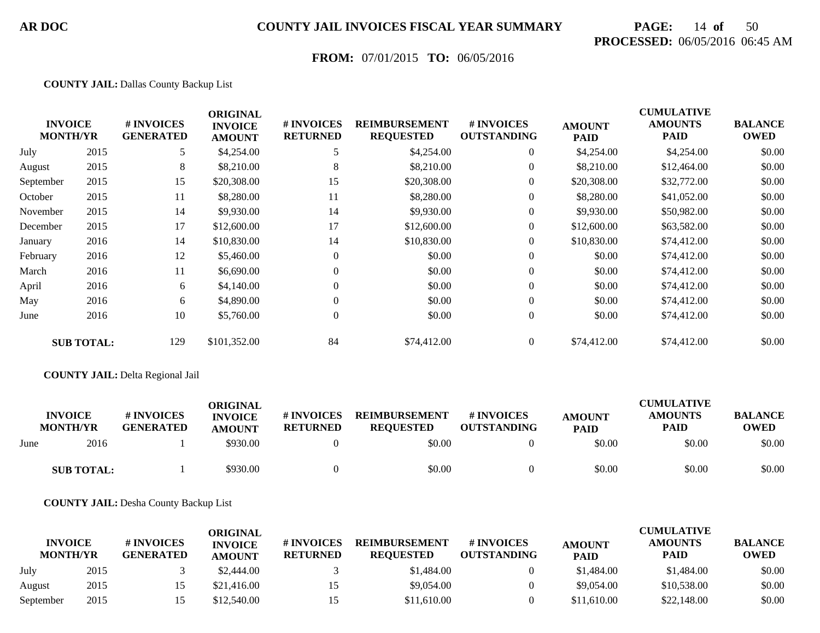# **PAGE:** 14 **of** 50 **PROCESSED:** 06/05/2016 06:45 AM

## **FROM:** 07/01/2015 **TO:** 06/05/2016

#### **COUNTY JAIL:** Dallas County Backup List

|           | <b>INVOICE</b><br><b>MONTH/YR</b> | # INVOICES<br><b>GENERATED</b> | <b>ORIGINAL</b><br><b>INVOICE</b><br><b>AMOUNT</b> | # INVOICES<br><b>RETURNED</b> | <b>REIMBURSEMENT</b><br><b>REQUESTED</b> | # INVOICES<br><b>OUTSTANDING</b> | <b>AMOUNT</b><br><b>PAID</b> | <b>CUMULATIVE</b><br><b>AMOUNTS</b><br><b>PAID</b> | <b>BALANCE</b><br><b>OWED</b> |
|-----------|-----------------------------------|--------------------------------|----------------------------------------------------|-------------------------------|------------------------------------------|----------------------------------|------------------------------|----------------------------------------------------|-------------------------------|
| July      | 2015                              | 5                              | \$4,254.00                                         |                               | \$4,254.00                               | $\boldsymbol{0}$                 | \$4,254.00                   | \$4,254.00                                         | \$0.00                        |
| August    | 2015                              | 8                              | \$8,210.00                                         | 8                             | \$8,210.00                               | $\overline{0}$                   | \$8,210.00                   | \$12,464.00                                        | \$0.00                        |
| September | 2015                              | 15                             | \$20,308.00                                        | 15                            | \$20,308.00                              | $\overline{0}$                   | \$20,308.00                  | \$32,772.00                                        | \$0.00                        |
| October   | 2015                              | 11                             | \$8,280.00                                         | 11                            | \$8,280.00                               | $\overline{0}$                   | \$8,280.00                   | \$41,052.00                                        | \$0.00                        |
| November  | 2015                              | 14                             | \$9,930.00                                         | 14                            | \$9,930.00                               | $\overline{0}$                   | \$9,930.00                   | \$50,982.00                                        | \$0.00                        |
| December  | 2015                              | 17                             | \$12,600.00                                        | 17                            | \$12,600.00                              | $\overline{0}$                   | \$12,600.00                  | \$63,582.00                                        | \$0.00                        |
| January   | 2016                              | 14                             | \$10,830.00                                        | 14                            | \$10,830.00                              | $\overline{0}$                   | \$10,830.00                  | \$74,412.00                                        | \$0.00                        |
| February  | 2016                              | 12                             | \$5,460.00                                         | $\overline{0}$                | \$0.00                                   | $\overline{0}$                   | \$0.00                       | \$74,412.00                                        | \$0.00                        |
| March     | 2016                              | 11                             | \$6,690.00                                         | $\Omega$                      | \$0.00                                   | $\overline{0}$                   | \$0.00                       | \$74,412.00                                        | \$0.00                        |
| April     | 2016                              | 6                              | \$4,140.00                                         | $\Omega$                      | \$0.00                                   | $\overline{0}$                   | \$0.00                       | \$74,412.00                                        | \$0.00                        |
| May       | 2016                              | 6                              | \$4,890.00                                         | $\Omega$                      | \$0.00                                   | $\overline{0}$                   | \$0.00                       | \$74,412.00                                        | \$0.00                        |
| June      | 2016                              | 10                             | \$5,760.00                                         | $\overline{0}$                | \$0.00                                   | $\overline{0}$                   | \$0.00                       | \$74,412.00                                        | \$0.00                        |
|           | <b>SUB TOTAL:</b>                 | 129                            | \$101,352.00                                       | 84                            | \$74,412.00                              | $\overline{0}$                   | \$74,412.00                  | \$74,412.00                                        | \$0.00                        |

#### **COUNTY JAIL:** Delta Regional Jail

|      | <b>INVOICE</b>    | # INVOICES       | <b>ORIGINAL</b><br><b>INVOICE</b> | # INVOICES      | <b>REIMBURSEMENT</b> | # INVOICES         | <b>AMOUNT</b> | <b>CUMULATIVE</b><br><b>AMOUNTS</b> | <b>BALANCE</b> |
|------|-------------------|------------------|-----------------------------------|-----------------|----------------------|--------------------|---------------|-------------------------------------|----------------|
|      | <b>MONTH/YR</b>   | <b>GENERATED</b> | <b>AMOUNT</b>                     | <b>RETURNED</b> | <b>REOUESTED</b>     | <b>OUTSTANDING</b> | <b>PAID</b>   | <b>PAID</b>                         | <b>OWED</b>    |
| June | 2016              |                  | \$930.00                          |                 | \$0.00               |                    | \$0.00        | \$0.00                              | \$0.00         |
|      | <b>SUB TOTAL:</b> |                  | \$930.00                          |                 | \$0.00               |                    | \$0.00        | \$0.00                              | \$0.00         |

**COUNTY JAIL:** Desha County Backup List

|                                   |      |                                | ORIGINAL                        |                               |                                          |                                  |                              | <b>CUMULATIVE</b>             |                               |
|-----------------------------------|------|--------------------------------|---------------------------------|-------------------------------|------------------------------------------|----------------------------------|------------------------------|-------------------------------|-------------------------------|
| <b>INVOICE</b><br><b>MONTH/YR</b> |      | # INVOICES<br><b>GENERATED</b> | <b>INVOICE</b><br><b>AMOUNT</b> | # INVOICES<br><b>RETURNED</b> | <b>REIMBURSEMENT</b><br><b>REOUESTED</b> | # INVOICES<br><b>OUTSTANDING</b> | <b>AMOUNT</b><br><b>PAID</b> | <b>AMOUNTS</b><br><b>PAID</b> | <b>BALANCE</b><br><b>OWED</b> |
| July                              | 2015 |                                | \$2,444.00                      |                               | \$1,484.00                               |                                  | \$1,484.00                   | \$1,484.00                    | \$0.00                        |
| August                            | 2015 |                                | \$21,416.00                     | 15                            | \$9,054.00                               |                                  | \$9,054.00                   | \$10,538.00                   | \$0.00                        |
| September                         | 2015 |                                | \$12,540.00                     |                               | \$11,610.00                              |                                  | \$11,610.00                  | \$22,148.00                   | \$0.00                        |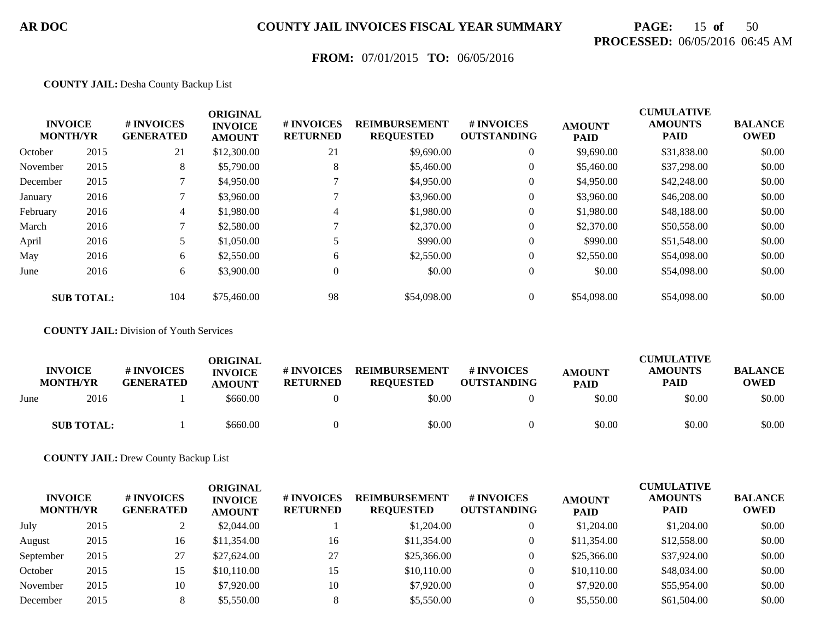# **PAGE:** 15 **of** 50 **PROCESSED:** 06/05/2016 06:45 AM

## **FROM:** 07/01/2015 **TO:** 06/05/2016

#### **COUNTY JAIL:** Desha County Backup List

|          | <b>INVOICE</b><br><b>MONTH/YR</b> | # INVOICES<br><b>GENERATED</b> | <b>ORIGINAL</b><br><b>INVOICE</b><br><b>AMOUNT</b> | # INVOICES<br><b>RETURNED</b> | <b>REIMBURSEMENT</b><br><b>REQUESTED</b> | # INVOICES<br><b>OUTSTANDING</b> | <b>AMOUNT</b><br><b>PAID</b> | <b>CUMULATIVE</b><br><b>AMOUNTS</b><br><b>PAID</b> | <b>BALANCE</b><br><b>OWED</b> |
|----------|-----------------------------------|--------------------------------|----------------------------------------------------|-------------------------------|------------------------------------------|----------------------------------|------------------------------|----------------------------------------------------|-------------------------------|
| October  | 2015                              | 21                             | \$12,300.00                                        | 21                            | \$9,690.00                               | $\overline{0}$                   | \$9,690.00                   | \$31,838.00                                        | \$0.00                        |
| November | 2015                              | 8                              | \$5,790.00                                         | 8                             | \$5,460.00                               | $\overline{0}$                   | \$5,460.00                   | \$37,298.00                                        | \$0.00                        |
| December | 2015                              |                                | \$4,950.00                                         |                               | \$4,950.00                               | $\overline{0}$                   | \$4,950.00                   | \$42,248.00                                        | \$0.00                        |
| January  | 2016                              |                                | \$3,960.00                                         |                               | \$3,960.00                               | $\overline{0}$                   | \$3,960.00                   | \$46,208.00                                        | \$0.00                        |
| February | 2016                              | 4                              | \$1,980.00                                         | 4                             | \$1,980.00                               | $\boldsymbol{0}$                 | \$1,980.00                   | \$48,188.00                                        | \$0.00                        |
| March    | 2016                              |                                | \$2,580.00                                         |                               | \$2,370.00                               | $\overline{0}$                   | \$2,370.00                   | \$50,558.00                                        | \$0.00                        |
| April    | 2016                              |                                | \$1,050.00                                         |                               | \$990.00                                 | $\theta$                         | \$990.00                     | \$51,548.00                                        | \$0.00                        |
| May      | 2016                              | 6                              | \$2,550.00                                         | 6                             | \$2,550.00                               | $\overline{0}$                   | \$2,550.00                   | \$54,098.00                                        | \$0.00                        |
| June     | 2016                              | 6                              | \$3,900.00                                         | $\Omega$                      | \$0.00                                   | $\overline{0}$                   | \$0.00                       | \$54,098.00                                        | \$0.00                        |
|          | <b>SUB TOTAL:</b>                 | 104                            | \$75,460.00                                        | 98                            | \$54,098.00                              | $\overline{0}$                   | \$54,098.00                  | \$54,098.00                                        | \$0.00                        |

#### **COUNTY JAIL:** Division of Youth Services

|      | <b>INVOICE</b><br><b>MONTH/YR</b> | # INVOICES<br><b>GENERATED</b> | ORIGINAL<br><b>INVOICE</b><br><b>AMOUNT</b> | # INVOICES<br><b>RETURNED</b> | <b>REIMBURSEMENT</b><br><b>REOUESTED</b> | # INVOICES<br><b>OUTSTANDING</b> | <b>AMOUNT</b><br><b>PAID</b> | <b>CUMULATIVE</b><br><b>AMOUNTS</b><br><b>PAID</b> | <b>BALANCE</b><br><b>OWED</b> |
|------|-----------------------------------|--------------------------------|---------------------------------------------|-------------------------------|------------------------------------------|----------------------------------|------------------------------|----------------------------------------------------|-------------------------------|
| June | 2016                              |                                | \$660.00                                    |                               | \$0.00                                   |                                  | \$0.00                       | \$0.00                                             | \$0.00                        |
|      | <b>SUB TOTAL:</b>                 |                                | \$660.00                                    |                               | \$0.00                                   |                                  | \$0.00                       | \$0.00                                             | \$0.00                        |

#### **COUNTY JAIL:** Drew County Backup List

| <b>INVOICE</b><br><b>MONTH/YR</b> |      | # INVOICES<br><b>GENERATED</b> | ORIGINAL<br><b>INVOICE</b><br><b>AMOUNT</b> | # INVOICES<br><b>RETURNED</b> | <b>REIMBURSEMENT</b><br><b>REQUESTED</b> | # INVOICES<br><b>OUTSTANDING</b> | <b>AMOUNT</b><br><b>PAID</b> | <b>CUMULATIVE</b><br><b>AMOUNTS</b><br><b>PAID</b> | <b>BALANCE</b><br><b>OWED</b> |
|-----------------------------------|------|--------------------------------|---------------------------------------------|-------------------------------|------------------------------------------|----------------------------------|------------------------------|----------------------------------------------------|-------------------------------|
| July                              | 2015 |                                | \$2,044.00                                  |                               | \$1,204.00                               |                                  | \$1,204.00                   | \$1,204.00                                         | \$0.00                        |
| August                            | 2015 | 16                             | \$11,354.00                                 | 16                            | \$11,354.00                              |                                  | \$11,354.00                  | \$12,558.00                                        | \$0.00                        |
| September                         | 2015 | 27                             | \$27,624.00                                 | 27                            | \$25,366.00                              |                                  | \$25,366.00                  | \$37,924.00                                        | \$0.00                        |
| October                           | 2015 | 15                             | \$10,110.00                                 | 15                            | \$10,110.00                              |                                  | \$10,110.00                  | \$48,034.00                                        | \$0.00                        |
| November                          | 2015 | 10                             | \$7,920.00                                  | 10                            | \$7,920.00                               |                                  | \$7,920.00                   | \$55,954.00                                        | \$0.00                        |
| December                          | 2015 |                                | \$5,550.00                                  |                               | \$5,550.00                               |                                  | \$5,550.00                   | \$61,504.00                                        | \$0.00                        |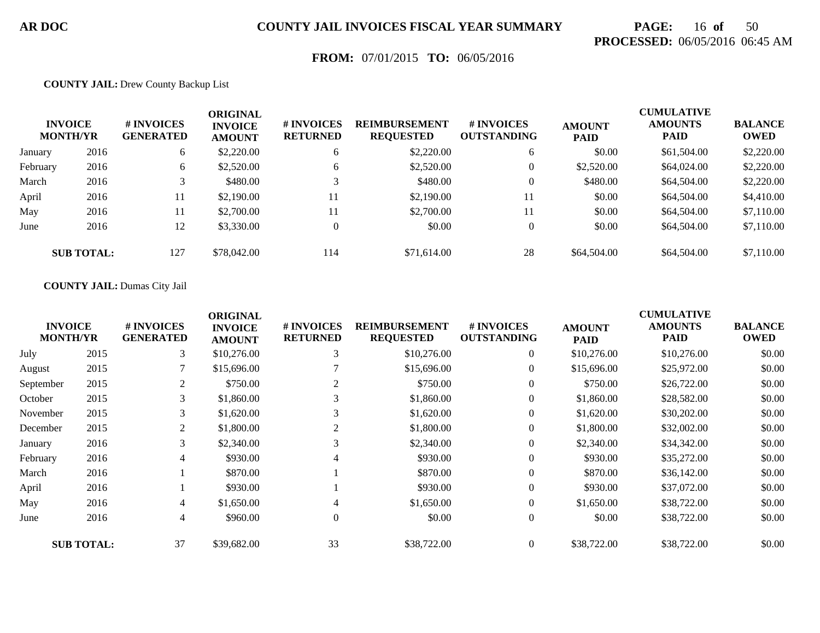# **PAGE:** 16 **of** 50 **PROCESSED:** 06/05/2016 06:45 AM

## **FROM:** 07/01/2015 **TO:** 06/05/2016

#### **COUNTY JAIL:** Drew County Backup List

|          | <b>INVOICE</b><br><b>MONTH/YR</b> | # INVOICES<br><b>GENERATED</b> | <b>ORIGINAL</b><br><b>INVOICE</b><br><b>AMOUNT</b> | # INVOICES<br><b>RETURNED</b> | <b>REIMBURSEMENT</b><br><b>REQUESTED</b> | <b>#INVOICES</b><br><b>OUTSTANDING</b> | <b>AMOUNT</b><br><b>PAID</b> | <b>CUMULATIVE</b><br><b>AMOUNTS</b><br><b>PAID</b> | <b>BALANCE</b><br><b>OWED</b> |
|----------|-----------------------------------|--------------------------------|----------------------------------------------------|-------------------------------|------------------------------------------|----------------------------------------|------------------------------|----------------------------------------------------|-------------------------------|
| January  | 2016                              | 6                              | \$2,220.00                                         | 6                             | \$2,220.00                               | 6                                      | \$0.00                       | \$61,504.00                                        | \$2,220.00                    |
| February | 2016                              | 6                              | \$2,520.00                                         | 6                             | \$2,520.00                               | $\overline{0}$                         | \$2,520.00                   | \$64,024.00                                        | \$2,220.00                    |
| March    | 2016                              |                                | \$480.00                                           |                               | \$480.00                                 | $\overline{0}$                         | \$480.00                     | \$64,504.00                                        | \$2,220.00                    |
| April    | 2016                              | 11                             | \$2,190.00                                         | 11                            | \$2,190.00                               | 11                                     | \$0.00                       | \$64,504.00                                        | \$4,410.00                    |
| May      | 2016                              | 11                             | \$2,700.00                                         | 11                            | \$2,700.00                               | 11                                     | \$0.00                       | \$64,504.00                                        | \$7,110.00                    |
| June     | 2016                              | 12                             | \$3,330.00                                         | $\overline{0}$                | \$0.00                                   | $\overline{0}$                         | \$0.00                       | \$64,504.00                                        | \$7,110.00                    |
|          | <b>SUB TOTAL:</b>                 | 127                            | \$78,042.00                                        | 114                           | \$71,614.00                              | 28                                     | \$64,504.00                  | \$64,504.00                                        | \$7,110.00                    |

#### **COUNTY JAIL:** Dumas City Jail

| <b>INVOICE</b><br><b>MONTH/YR</b> |                   | # INVOICES<br><b>GENERATED</b> | <b>ORIGINAL</b><br><b>INVOICE</b><br><b>AMOUNT</b> | # INVOICES<br><b>RETURNED</b> | <b>REIMBURSEMENT</b><br><b>REQUESTED</b> | # INVOICES<br><b>OUTSTANDING</b> | <b>AMOUNT</b><br><b>PAID</b> | <b>CUMULATIVE</b><br><b>AMOUNTS</b><br><b>PAID</b> | <b>BALANCE</b><br><b>OWED</b> |
|-----------------------------------|-------------------|--------------------------------|----------------------------------------------------|-------------------------------|------------------------------------------|----------------------------------|------------------------------|----------------------------------------------------|-------------------------------|
| July                              | 2015              | 3                              | \$10,276.00                                        | 3                             | \$10,276.00                              | $\overline{0}$                   | \$10,276.00                  | \$10,276.00                                        | \$0.00                        |
| August                            | 2015              |                                | \$15,696.00                                        |                               | \$15,696.00                              | $\overline{0}$                   | \$15,696.00                  | \$25,972.00                                        | \$0.00                        |
| September                         | 2015              | 2                              | \$750.00                                           | 2                             | \$750.00                                 | $\overline{0}$                   | \$750.00                     | \$26,722.00                                        | \$0.00                        |
| October                           | 2015              | 3                              | \$1,860.00                                         | 3                             | \$1,860.00                               | $\mathbf{0}$                     | \$1,860.00                   | \$28,582.00                                        | \$0.00                        |
| November                          | 2015              | 3                              | \$1,620.00                                         | 3                             | \$1,620.00                               | $\overline{0}$                   | \$1,620.00                   | \$30,202.00                                        | \$0.00                        |
| December                          | 2015              | 2                              | \$1,800.00                                         | 2                             | \$1,800.00                               | $\mathbf{0}$                     | \$1,800.00                   | \$32,002.00                                        | \$0.00                        |
| January                           | 2016              | 3                              | \$2,340.00                                         | 3                             | \$2,340.00                               | $\mathbf{0}$                     | \$2,340.00                   | \$34,342.00                                        | \$0.00                        |
| February                          | 2016              | 4                              | \$930.00                                           | 4                             | \$930.00                                 | $\mathbf{0}$                     | \$930.00                     | \$35,272.00                                        | \$0.00                        |
| March                             | 2016              |                                | \$870.00                                           |                               | \$870.00                                 | $\mathbf{0}$                     | \$870.00                     | \$36,142.00                                        | \$0.00                        |
| April                             | 2016              |                                | \$930.00                                           |                               | \$930.00                                 | $\mathbf{0}$                     | \$930.00                     | \$37,072.00                                        | \$0.00                        |
| May                               | 2016              | 4                              | \$1,650.00                                         | 4                             | \$1,650.00                               | $\mathbf{0}$                     | \$1,650.00                   | \$38,722.00                                        | \$0.00                        |
| June                              | 2016              | 4                              | \$960.00                                           | $\theta$                      | \$0.00                                   | $\mathbf{0}$                     | \$0.00                       | \$38,722.00                                        | \$0.00                        |
|                                   | <b>SUB TOTAL:</b> | 37                             | \$39,682.00                                        | 33                            | \$38,722.00                              | $\overline{0}$                   | \$38,722.00                  | \$38,722.00                                        | \$0.00                        |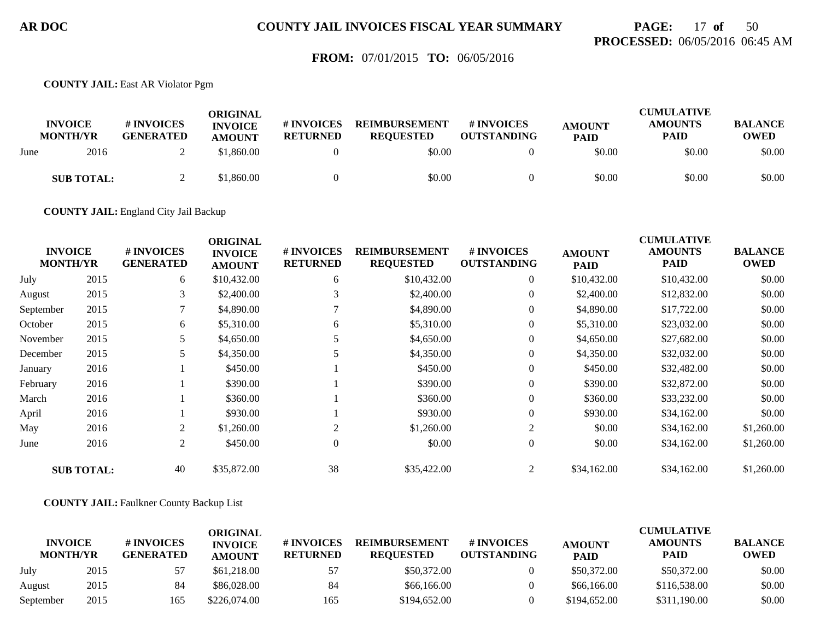## **PAGE:** 17 **of** 50 **PROCESSED:** 06/05/2016 06:45 AM

### **FROM:** 07/01/2015 **TO:** 06/05/2016

**COUNTY JAIL:** East AR Violator Pgm

|      | <b>INVOICE</b><br><b>MONTH/YR</b> | # INVOICES<br><b>GENERATED</b> | ORIGINAL<br><b>INVOICE</b><br><b>AMOUNT</b> | # INVOICES<br><b>RETURNED</b> | <b>REIMBURSEMENT</b><br><b>REQUESTED</b> | # INVOICES<br><b>OUTSTANDING</b> | <b>AMOUNT</b><br><b>PAID</b> | <b>CUMULATIVE</b><br><b>AMOUNTS</b><br><b>PAID</b> | <b>BALANCE</b><br><b>OWED</b> |
|------|-----------------------------------|--------------------------------|---------------------------------------------|-------------------------------|------------------------------------------|----------------------------------|------------------------------|----------------------------------------------------|-------------------------------|
| June | 2016                              |                                | \$1,860.00                                  |                               | \$0.00                                   |                                  | \$0.00                       | \$0.00                                             | \$0.00                        |
|      | <b>SUB TOTAL:</b>                 |                                | \$1,860.00                                  |                               | \$0.00                                   |                                  | \$0.00                       | \$0.00                                             | \$0.00                        |

**COUNTY JAIL:** England City Jail Backup

|           | <b>INVOICE</b><br><b>MONTH/YR</b> | # INVOICES<br><b>GENERATED</b> | <b>ORIGINAL</b><br><b>INVOICE</b><br><b>AMOUNT</b> | # INVOICES<br><b>RETURNED</b> | <b>REIMBURSEMENT</b><br><b>REQUESTED</b> | # INVOICES<br><b>OUTSTANDING</b> | <b>AMOUNT</b><br><b>PAID</b> | <b>CUMULATIVE</b><br><b>AMOUNTS</b><br><b>PAID</b> | <b>BALANCE</b><br><b>OWED</b> |
|-----------|-----------------------------------|--------------------------------|----------------------------------------------------|-------------------------------|------------------------------------------|----------------------------------|------------------------------|----------------------------------------------------|-------------------------------|
| July      | 2015                              | 6                              | \$10,432.00                                        | 6                             | \$10,432.00                              | $\overline{0}$                   | \$10,432.00                  | \$10,432.00                                        | \$0.00                        |
| August    | 2015                              | 3                              | \$2,400.00                                         | 3                             | \$2,400.00                               | $\boldsymbol{0}$                 | \$2,400.00                   | \$12,832.00                                        | \$0.00                        |
| September | 2015                              | 7                              | \$4,890.00                                         |                               | \$4,890.00                               | $\overline{0}$                   | \$4,890.00                   | \$17,722.00                                        | \$0.00                        |
| October   | 2015                              | 6                              | \$5,310.00                                         | 6                             | \$5,310.00                               | $\boldsymbol{0}$                 | \$5,310.00                   | \$23,032.00                                        | \$0.00                        |
| November  | 2015                              | 5                              | \$4,650.00                                         |                               | \$4,650.00                               | $\overline{0}$                   | \$4,650.00                   | \$27,682.00                                        | \$0.00                        |
| December  | 2015                              | 5                              | \$4,350.00                                         |                               | \$4,350.00                               | $\overline{0}$                   | \$4,350.00                   | \$32,032.00                                        | \$0.00                        |
| January   | 2016                              |                                | \$450.00                                           |                               | \$450.00                                 | $\boldsymbol{0}$                 | \$450.00                     | \$32,482.00                                        | \$0.00                        |
| February  | 2016                              |                                | \$390.00                                           |                               | \$390.00                                 | $\overline{0}$                   | \$390.00                     | \$32,872.00                                        | \$0.00                        |
| March     | 2016                              |                                | \$360.00                                           |                               | \$360.00                                 | $\overline{0}$                   | \$360.00                     | \$33,232.00                                        | \$0.00                        |
| April     | 2016                              |                                | \$930.00                                           |                               | \$930.00                                 | $\overline{0}$                   | \$930.00                     | \$34,162.00                                        | \$0.00                        |
| May       | 2016                              | 2                              | \$1,260.00                                         | 2                             | \$1,260.00                               | 2                                | \$0.00                       | \$34,162.00                                        | \$1,260.00                    |
| June      | 2016                              | 2                              | \$450.00                                           | $\overline{0}$                | \$0.00                                   | $\overline{0}$                   | \$0.00                       | \$34,162.00                                        | \$1,260.00                    |
|           | <b>SUB TOTAL:</b>                 | 40                             | \$35,872.00                                        | 38                            | \$35,422.00                              | $\overline{2}$                   | \$34,162.00                  | \$34,162.00                                        | \$1,260.00                    |

**COUNTY JAIL:** Faulkner County Backup List

|                                   |      |                                | ORIGINAL                        |                               |                                          |                                  |                              | <b>CUMULATIVE</b>             |                               |
|-----------------------------------|------|--------------------------------|---------------------------------|-------------------------------|------------------------------------------|----------------------------------|------------------------------|-------------------------------|-------------------------------|
| <b>INVOICE</b><br><b>MONTH/YR</b> |      | # INVOICES<br><b>GENERATED</b> | <b>INVOICE</b><br><b>AMOUNT</b> | # INVOICES<br><b>RETURNED</b> | <b>REIMBURSEMENT</b><br><b>REOUESTED</b> | # INVOICES<br><b>OUTSTANDING</b> | <b>AMOUNT</b><br><b>PAID</b> | <b>AMOUNTS</b><br><b>PAID</b> | <b>BALANCE</b><br><b>OWED</b> |
| July                              | 2015 |                                | \$61,218.00                     | 57                            | \$50,372.00                              |                                  | \$50,372.00                  | \$50,372.00                   | \$0.00                        |
| August                            | 2015 | 84                             | \$86,028.00                     | 84                            | \$66,166.00                              |                                  | \$66,166.00                  | \$116,538.00                  | \$0.00                        |
| September                         | 2015 | 165                            | \$226,074.00                    | 165                           | \$194,652.00                             |                                  | \$194,652.00                 | \$311,190.00                  | \$0.00                        |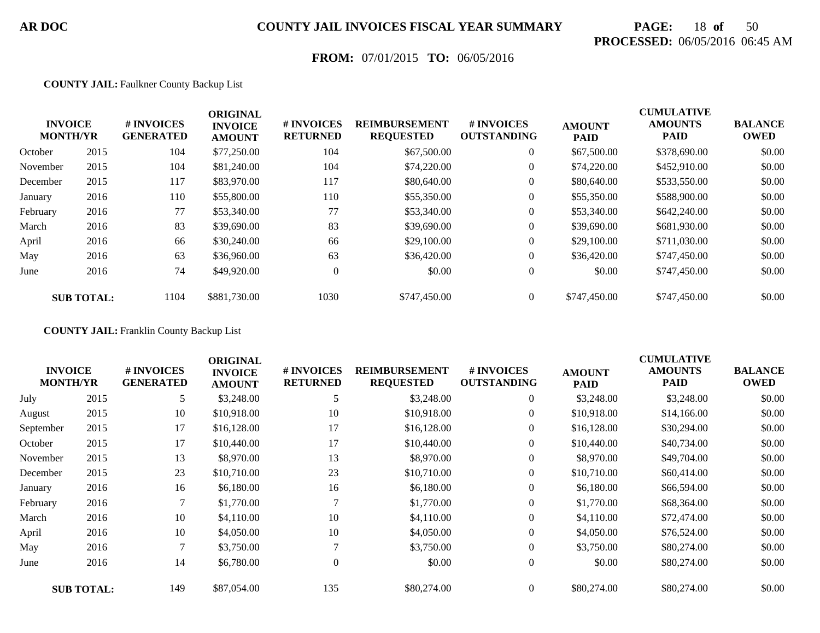# **PAGE:** 18 **of** 50 **PROCESSED:** 06/05/2016 06:45 AM

## **FROM:** 07/01/2015 **TO:** 06/05/2016

#### **COUNTY JAIL:** Faulkner County Backup List

|          | <b>INVOICE</b><br><b>MONTH/YR</b> | # INVOICES<br><b>GENERATED</b> | <b>ORIGINAL</b><br><b>INVOICE</b><br><b>AMOUNT</b> | # INVOICES<br><b>RETURNED</b> | <b>REIMBURSEMENT</b><br><b>REQUESTED</b> | # INVOICES<br><b>OUTSTANDING</b> | <b>AMOUNT</b><br><b>PAID</b> | <b>CUMULATIVE</b><br><b>AMOUNTS</b><br><b>PAID</b> | <b>BALANCE</b><br><b>OWED</b> |
|----------|-----------------------------------|--------------------------------|----------------------------------------------------|-------------------------------|------------------------------------------|----------------------------------|------------------------------|----------------------------------------------------|-------------------------------|
| October  | 2015                              | 104                            | \$77,250.00                                        | 104                           | \$67,500.00                              | $\overline{0}$                   | \$67,500.00                  | \$378,690.00                                       | \$0.00                        |
| November | 2015                              | 104                            | \$81,240.00                                        | 104                           | \$74,220.00                              | $\overline{0}$                   | \$74,220.00                  | \$452,910.00                                       | \$0.00                        |
| December | 2015                              | 117                            | \$83,970.00                                        | 117                           | \$80,640.00                              | $\overline{0}$                   | \$80,640.00                  | \$533,550.00                                       | \$0.00                        |
| January  | 2016                              | 110                            | \$55,800.00                                        | 110                           | \$55,350.00                              | $\overline{0}$                   | \$55,350.00                  | \$588,900.00                                       | \$0.00                        |
| February | 2016                              | 77                             | \$53,340.00                                        | 77                            | \$53,340.00                              | $\boldsymbol{0}$                 | \$53,340.00                  | \$642,240.00                                       | \$0.00                        |
| March    | 2016                              | 83                             | \$39,690.00                                        | 83                            | \$39,690.00                              | $\boldsymbol{0}$                 | \$39,690.00                  | \$681,930.00                                       | \$0.00                        |
| April    | 2016                              | 66                             | \$30,240.00                                        | 66                            | \$29,100.00                              | $\overline{0}$                   | \$29,100.00                  | \$711,030.00                                       | \$0.00                        |
| May      | 2016                              | 63                             | \$36,960.00                                        | 63                            | \$36,420.00                              | $\overline{0}$                   | \$36,420.00                  | \$747,450.00                                       | \$0.00                        |
| June     | 2016                              | 74                             | \$49,920.00                                        | $\theta$                      | \$0.00                                   | $\overline{0}$                   | \$0.00                       | \$747,450.00                                       | \$0.00                        |
|          | <b>SUB TOTAL:</b>                 | 1104                           | \$881,730.00                                       | 1030                          | \$747,450.00                             | $\theta$                         | \$747,450.00                 | \$747,450.00                                       | \$0.00                        |

**COUNTY JAIL:** Franklin County Backup List

| <b>INVOICE</b><br><b>MONTH/YR</b> |                   | # INVOICES<br><b>GENERATED</b> | <b>ORIGINAL</b><br><b>INVOICE</b><br><b>AMOUNT</b> | # INVOICES<br><b>RETURNED</b> | <b>REIMBURSEMENT</b><br><b>REQUESTED</b> | <b>#INVOICES</b><br><b>OUTSTANDING</b> | <b>AMOUNT</b><br><b>PAID</b> | <b>CUMULATIVE</b><br><b>AMOUNTS</b><br><b>PAID</b> | <b>BALANCE</b><br><b>OWED</b> |
|-----------------------------------|-------------------|--------------------------------|----------------------------------------------------|-------------------------------|------------------------------------------|----------------------------------------|------------------------------|----------------------------------------------------|-------------------------------|
| July                              | 2015              | 5                              | \$3,248.00                                         | 5                             | \$3,248.00                               | 0                                      | \$3,248.00                   | \$3,248.00                                         | \$0.00                        |
| August                            | 2015              | 10                             | \$10,918.00                                        | 10                            | \$10,918.00                              | $\overline{0}$                         | \$10,918.00                  | \$14,166.00                                        | \$0.00                        |
| September                         | 2015              | 17                             | \$16,128.00                                        | 17                            | \$16,128.00                              | $\overline{0}$                         | \$16,128.00                  | \$30,294.00                                        | \$0.00                        |
| October                           | 2015              | 17                             | \$10,440.00                                        | 17                            | \$10,440.00                              | $\boldsymbol{0}$                       | \$10,440.00                  | \$40,734.00                                        | \$0.00                        |
| November                          | 2015              | 13                             | \$8,970.00                                         | 13                            | \$8,970.00                               | $\overline{0}$                         | \$8,970.00                   | \$49,704.00                                        | \$0.00                        |
| December                          | 2015              | 23                             | \$10,710.00                                        | 23                            | \$10,710.00                              | $\overline{0}$                         | \$10,710.00                  | \$60,414.00                                        | \$0.00                        |
| January                           | 2016              | 16                             | \$6,180.00                                         | 16                            | \$6,180.00                               | $\boldsymbol{0}$                       | \$6,180.00                   | \$66,594.00                                        | \$0.00                        |
| February                          | 2016              | 7                              | \$1,770.00                                         |                               | \$1,770.00                               | $\overline{0}$                         | \$1,770.00                   | \$68,364.00                                        | \$0.00                        |
| March                             | 2016              | 10                             | \$4,110.00                                         | 10                            | \$4,110.00                               | $\overline{0}$                         | \$4,110.00                   | \$72,474.00                                        | \$0.00                        |
| April                             | 2016              | 10                             | \$4,050.00                                         | 10                            | \$4,050.00                               | $\overline{0}$                         | \$4,050.00                   | \$76,524.00                                        | \$0.00                        |
| May                               | 2016              | 7                              | \$3,750.00                                         |                               | \$3,750.00                               | $\overline{0}$                         | \$3,750.00                   | \$80,274.00                                        | \$0.00                        |
| June                              | 2016              | 14                             | \$6,780.00                                         | $\mathbf{0}$                  | \$0.00                                   | $\overline{0}$                         | \$0.00                       | \$80,274.00                                        | \$0.00                        |
|                                   | <b>SUB TOTAL:</b> | 149                            | \$87,054.00                                        | 135                           | \$80,274.00                              | $\overline{0}$                         | \$80,274.00                  | \$80,274.00                                        | \$0.00                        |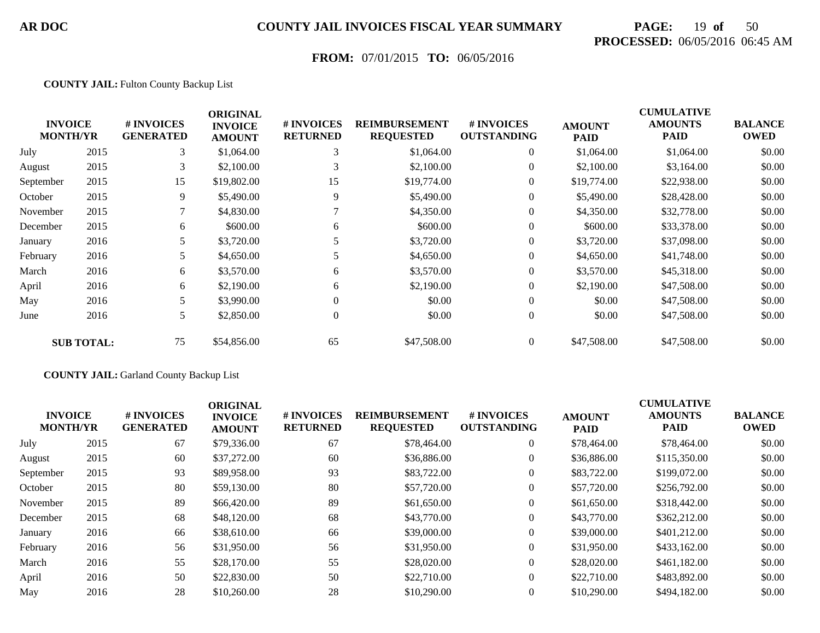# **PAGE:** 19 **of** 50 **PROCESSED:** 06/05/2016 06:45 AM

## **FROM:** 07/01/2015 **TO:** 06/05/2016

#### **COUNTY JAIL:** Fulton County Backup List

|           | <b>INVOICE</b><br><b>MONTH/YR</b> | # INVOICES<br><b>GENERATED</b> | <b>ORIGINAL</b><br><b>INVOICE</b><br><b>AMOUNT</b> | # INVOICES<br><b>RETURNED</b> | <b>REIMBURSEMENT</b><br><b>REQUESTED</b> | # INVOICES<br><b>OUTSTANDING</b> | <b>AMOUNT</b><br><b>PAID</b> | <b>CUMULATIVE</b><br><b>AMOUNTS</b><br><b>PAID</b> | <b>BALANCE</b><br><b>OWED</b> |
|-----------|-----------------------------------|--------------------------------|----------------------------------------------------|-------------------------------|------------------------------------------|----------------------------------|------------------------------|----------------------------------------------------|-------------------------------|
| July      | 2015                              | 3                              | \$1,064.00                                         | 3                             | \$1,064.00                               | $\overline{0}$                   | \$1,064.00                   | \$1,064.00                                         | \$0.00                        |
| August    | 2015                              | 3                              | \$2,100.00                                         | 3                             | \$2,100.00                               | $\overline{0}$                   | \$2,100.00                   | \$3,164.00                                         | \$0.00                        |
| September | 2015                              | 15                             | \$19,802.00                                        | 15                            | \$19,774.00                              | $\overline{0}$                   | \$19,774.00                  | \$22,938.00                                        | \$0.00                        |
| October   | 2015                              | 9.                             | \$5,490.00                                         | 9                             | \$5,490.00                               | $\overline{0}$                   | \$5,490.00                   | \$28,428.00                                        | \$0.00                        |
| November  | 2015                              |                                | \$4,830.00                                         |                               | \$4,350.00                               | $\overline{0}$                   | \$4,350.00                   | \$32,778.00                                        | \$0.00                        |
| December  | 2015                              | 6                              | \$600.00                                           | 6                             | \$600.00                                 | $\overline{0}$                   | \$600.00                     | \$33,378.00                                        | \$0.00                        |
| January   | 2016                              | 5                              | \$3,720.00                                         |                               | \$3,720.00                               | $\overline{0}$                   | \$3,720.00                   | \$37,098.00                                        | \$0.00                        |
| February  | 2016                              | 5                              | \$4,650.00                                         |                               | \$4,650.00                               | $\overline{0}$                   | \$4,650.00                   | \$41,748.00                                        | \$0.00                        |
| March     | 2016                              | 6                              | \$3,570.00                                         | 6                             | \$3,570.00                               | $\overline{0}$                   | \$3,570.00                   | \$45,318.00                                        | \$0.00                        |
| April     | 2016                              | 6                              | \$2,190.00                                         | 6                             | \$2,190.00                               | $\overline{0}$                   | \$2,190.00                   | \$47,508.00                                        | \$0.00                        |
| May       | 2016                              | 5                              | \$3,990.00                                         |                               | \$0.00                                   | $\overline{0}$                   | \$0.00                       | \$47,508.00                                        | \$0.00                        |
| June      | 2016                              | 5                              | \$2,850.00                                         | $\overline{0}$                | \$0.00                                   | $\overline{0}$                   | \$0.00                       | \$47,508.00                                        | \$0.00                        |
|           | <b>SUB TOTAL:</b>                 | 75                             | \$54,856.00                                        | 65                            | \$47,508.00                              | $\overline{0}$                   | \$47,508.00                  | \$47,508.00                                        | \$0.00                        |

#### **COUNTY JAIL:** Garland County Backup List

| <b>INVOICE</b><br><b>MONTH/YR</b> |      | # INVOICES<br><b>GENERATED</b> | <b>ORIGINAL</b><br><b>INVOICE</b><br><b>AMOUNT</b> | # INVOICES<br><b>RETURNED</b> | <b>REIMBURSEMENT</b><br><b>REQUESTED</b> | # INVOICES<br><b>OUTSTANDING</b> | <b>AMOUNT</b><br><b>PAID</b> | <b>CUMULATIVE</b><br><b>AMOUNTS</b><br><b>PAID</b> | <b>BALANCE</b><br><b>OWED</b> |
|-----------------------------------|------|--------------------------------|----------------------------------------------------|-------------------------------|------------------------------------------|----------------------------------|------------------------------|----------------------------------------------------|-------------------------------|
| July                              | 2015 | 67                             | \$79,336.00                                        | 67                            | \$78,464.00                              | $\overline{0}$                   | \$78,464.00                  | \$78,464.00                                        | \$0.00                        |
| August                            | 2015 | 60                             | \$37,272.00                                        | 60                            | \$36,886.00                              | $\overline{0}$                   | \$36,886.00                  | \$115,350.00                                       | \$0.00                        |
| September                         | 2015 | 93                             | \$89,958.00                                        | 93                            | \$83,722.00                              | $\overline{0}$                   | \$83,722.00                  | \$199,072.00                                       | \$0.00                        |
| October                           | 2015 | 80                             | \$59,130.00                                        | 80                            | \$57,720.00                              | $\boldsymbol{0}$                 | \$57,720.00                  | \$256,792.00                                       | \$0.00                        |
| November                          | 2015 | 89                             | \$66,420.00                                        | 89                            | \$61,650.00                              | $\overline{0}$                   | \$61,650.00                  | \$318,442.00                                       | \$0.00                        |
| December                          | 2015 | 68                             | \$48,120.00                                        | 68                            | \$43,770.00                              | $\overline{0}$                   | \$43,770.00                  | \$362,212.00                                       | \$0.00                        |
| January                           | 2016 | 66                             | \$38,610.00                                        | 66                            | \$39,000.00                              | $\overline{0}$                   | \$39,000.00                  | \$401,212.00                                       | \$0.00                        |
| February                          | 2016 | 56                             | \$31,950.00                                        | 56                            | \$31,950.00                              | $\overline{0}$                   | \$31,950.00                  | \$433,162.00                                       | \$0.00                        |
| March                             | 2016 | 55                             | \$28,170.00                                        | 55                            | \$28,020.00                              | $\overline{0}$                   | \$28,020.00                  | \$461,182,00                                       | \$0.00                        |
| April                             | 2016 | 50                             | \$22,830.00                                        | 50                            | \$22,710.00                              | $\overline{0}$                   | \$22,710.00                  | \$483,892,00                                       | \$0.00                        |
| May                               | 2016 | 28                             | \$10,260.00                                        | 28                            | \$10,290.00                              | $\overline{0}$                   | \$10,290.00                  | \$494,182.00                                       | \$0.00                        |
|                                   |      |                                |                                                    |                               |                                          |                                  |                              |                                                    |                               |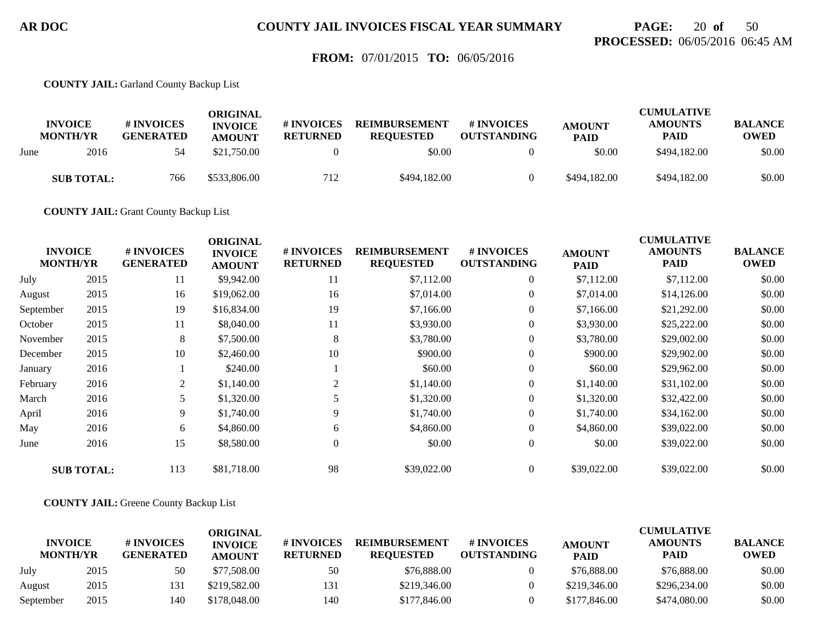## **PAGE:** 20 **of** 50 **PROCESSED:** 06/05/2016 06:45 AM

### **FROM:** 07/01/2015 **TO:** 06/05/2016

**COUNTY JAIL:** Garland County Backup List

|      | <b>INVOICE</b><br><b>MONTH/YR</b> | # INVOICES<br><b>GENERATED</b> | ORIGINAL<br><b>INVOICE</b><br><b>AMOUNT</b> | # INVOICES<br><b>RETURNED</b> | <b>REIMBURSEMENT</b><br><b>REOUESTED</b> | # INVOICES<br><b>OUTSTANDING</b> | <b>AMOUNT</b><br><b>PAID</b> | <b>CUMULATIVE</b><br><b>AMOUNTS</b><br><b>PAID</b> | <b>BALANCE</b><br><b>OWED</b> |
|------|-----------------------------------|--------------------------------|---------------------------------------------|-------------------------------|------------------------------------------|----------------------------------|------------------------------|----------------------------------------------------|-------------------------------|
| June | 2016                              | 54                             | \$21,750.00                                 |                               | \$0.00                                   |                                  | \$0.00                       | \$494,182.00                                       | \$0.00                        |
|      | <b>SUB TOTAL:</b>                 | 766                            | \$533,806.00                                | 712                           | \$494,182,00                             |                                  | \$494,182.00                 | \$494,182.00                                       | \$0.00                        |

**COUNTY JAIL:** Grant County Backup List

|           | <b>INVOICE</b><br><b>MONTH/YR</b> | # INVOICES<br><b>GENERATED</b> | <b>ORIGINAL</b><br><b>INVOICE</b><br><b>AMOUNT</b> | # INVOICES<br><b>RETURNED</b> | <b>REIMBURSEMENT</b><br><b>REQUESTED</b> | # INVOICES<br><b>OUTSTANDING</b> | <b>AMOUNT</b><br><b>PAID</b> | <b>CUMULATIVE</b><br><b>AMOUNTS</b><br>PAID | <b>BALANCE</b><br><b>OWED</b> |
|-----------|-----------------------------------|--------------------------------|----------------------------------------------------|-------------------------------|------------------------------------------|----------------------------------|------------------------------|---------------------------------------------|-------------------------------|
| July      | 2015                              | 11                             | \$9,942.00                                         | 11                            | \$7,112.00                               | $\overline{0}$                   | \$7,112.00                   | \$7,112.00                                  | \$0.00                        |
| August    | 2015                              | 16                             | \$19,062.00                                        | 16                            | \$7,014.00                               | $\overline{0}$                   | \$7,014.00                   | \$14,126.00                                 | \$0.00                        |
| September | 2015                              | 19                             | \$16,834.00                                        | 19                            | \$7,166.00                               | $\overline{0}$                   | \$7,166.00                   | \$21,292.00                                 | \$0.00                        |
| October   | 2015                              | 11                             | \$8,040.00                                         | 11                            | \$3,930.00                               | $\overline{0}$                   | \$3,930.00                   | \$25,222.00                                 | \$0.00                        |
| November  | 2015                              | 8                              | \$7,500.00                                         | 8                             | \$3,780.00                               | $\boldsymbol{0}$                 | \$3,780.00                   | \$29,002.00                                 | \$0.00                        |
| December  | 2015                              | 10                             | \$2,460.00                                         | 10                            | \$900.00                                 | $\overline{0}$                   | \$900.00                     | \$29,902.00                                 | \$0.00                        |
| January   | 2016                              |                                | \$240.00                                           |                               | \$60.00                                  | $\boldsymbol{0}$                 | \$60.00                      | \$29,962.00                                 | \$0.00                        |
| February  | 2016                              | 2                              | \$1,140.00                                         | 2                             | \$1,140.00                               | $\overline{0}$                   | \$1,140.00                   | \$31,102.00                                 | \$0.00                        |
| March     | 2016                              | 5                              | \$1,320.00                                         |                               | \$1,320.00                               | $\overline{0}$                   | \$1,320.00                   | \$32,422.00                                 | \$0.00                        |
| April     | 2016                              | 9                              | \$1,740.00                                         | 9                             | \$1,740.00                               | $\overline{0}$                   | \$1,740.00                   | \$34,162.00                                 | \$0.00                        |
| May       | 2016                              | 6                              | \$4,860.00                                         | 6                             | \$4,860.00                               | $\overline{0}$                   | \$4,860.00                   | \$39,022.00                                 | \$0.00                        |
| June      | 2016                              | 15                             | \$8,580.00                                         | $\mathbf{0}$                  | \$0.00                                   | $\boldsymbol{0}$                 | \$0.00                       | \$39,022.00                                 | \$0.00                        |
|           | <b>SUB TOTAL:</b>                 | 113                            | \$81,718.00                                        | 98                            | \$39,022.00                              | $\overline{0}$                   | \$39,022.00                  | \$39,022.00                                 | \$0.00                        |

**COUNTY JAIL:** Greene County Backup List

|                                   |      |                                | ORIGINAL                        |                               |                                          |                                        |                              | <b>CUMULATIVE</b>      |                               |
|-----------------------------------|------|--------------------------------|---------------------------------|-------------------------------|------------------------------------------|----------------------------------------|------------------------------|------------------------|-------------------------------|
| <b>INVOICE</b><br><b>MONTH/YR</b> |      | # INVOICES<br><b>GENERATED</b> | <b>INVOICE</b><br><b>AMOUNT</b> | # INVOICES<br><b>RETURNED</b> | <b>REIMBURSEMENT</b><br><b>REOUESTED</b> | <b>#INVOICES</b><br><b>OUTSTANDING</b> | <b>AMOUNT</b><br><b>PAID</b> | <b>AMOUNTS</b><br>PAID | <b>BALANCE</b><br><b>OWED</b> |
| July                              | 2015 | 50                             | \$77,508.00                     | 50                            | \$76,888,00                              |                                        | \$76,888.00                  | \$76,888.00            | \$0.00                        |
| August                            | 2015 | 131                            | \$219,582.00                    | 131                           | \$219,346.00                             |                                        | \$219,346.00                 | \$296,234.00           | \$0.00                        |
| September                         | 2015 | 140                            | \$178,048.00                    | 140                           | \$177,846.00                             |                                        | \$177,846.00                 | \$474,080.00           | \$0.00                        |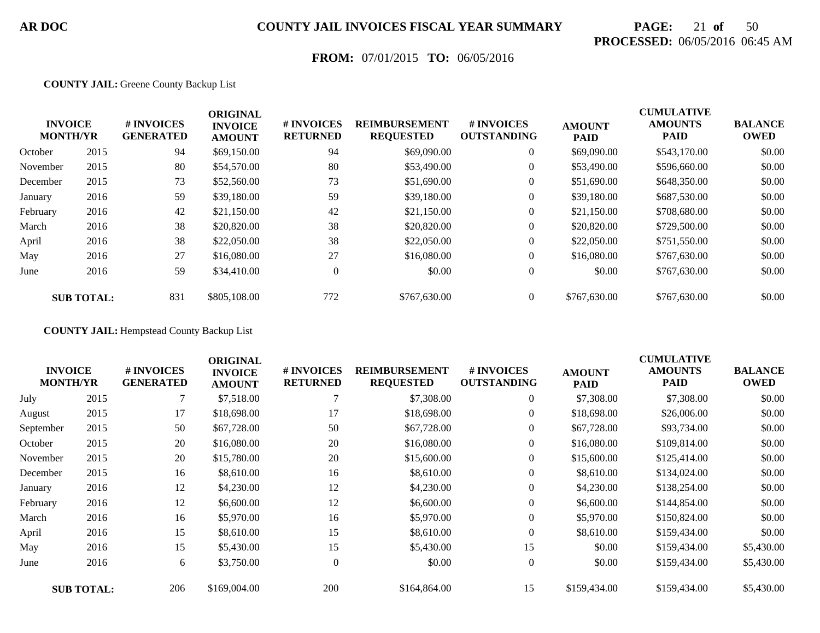# **PAGE:** 21 **of** 50 **PROCESSED:** 06/05/2016 06:45 AM

## **FROM:** 07/01/2015 **TO:** 06/05/2016

#### **COUNTY JAIL:** Greene County Backup List

|          | <b>INVOICE</b><br><b>MONTH/YR</b> | # INVOICES<br><b>GENERATED</b> | <b>ORIGINAL</b><br><b>INVOICE</b><br><b>AMOUNT</b> | # INVOICES<br><b>RETURNED</b> | <b>REIMBURSEMENT</b><br><b>REQUESTED</b> | # INVOICES<br><b>OUTSTANDING</b> | <b>AMOUNT</b><br><b>PAID</b> | <b>CUMULATIVE</b><br><b>AMOUNTS</b><br><b>PAID</b> | <b>BALANCE</b><br><b>OWED</b> |
|----------|-----------------------------------|--------------------------------|----------------------------------------------------|-------------------------------|------------------------------------------|----------------------------------|------------------------------|----------------------------------------------------|-------------------------------|
| October  | 2015                              | 94                             | \$69,150.00                                        | 94                            | \$69,090.00                              | $\overline{0}$                   | \$69,090.00                  | \$543,170.00                                       | \$0.00                        |
| November | 2015                              | 80                             | \$54,570.00                                        | 80                            | \$53,490.00                              | $\overline{0}$                   | \$53,490.00                  | \$596,660.00                                       | \$0.00                        |
| December | 2015                              | 73                             | \$52,560.00                                        | 73                            | \$51,690.00                              | $\overline{0}$                   | \$51,690.00                  | \$648,350.00                                       | \$0.00                        |
| January  | 2016                              | 59                             | \$39,180.00                                        | 59                            | \$39,180.00                              | $\overline{0}$                   | \$39,180.00                  | \$687,530.00                                       | \$0.00                        |
| February | 2016                              | 42                             | \$21,150.00                                        | 42                            | \$21,150.00                              | $\overline{0}$                   | \$21,150.00                  | \$708,680.00                                       | \$0.00                        |
| March    | 2016                              | 38                             | \$20,820.00                                        | 38                            | \$20,820.00                              | $\overline{0}$                   | \$20,820.00                  | \$729,500.00                                       | \$0.00                        |
| April    | 2016                              | 38                             | \$22,050.00                                        | 38                            | \$22,050.00                              | $\overline{0}$                   | \$22,050.00                  | \$751,550.00                                       | \$0.00                        |
| May      | 2016                              | 27                             | \$16,080.00                                        | 27                            | \$16,080.00                              | $\overline{0}$                   | \$16,080.00                  | \$767,630.00                                       | \$0.00                        |
| June     | 2016                              | 59                             | \$34,410.00                                        | $\Omega$                      | \$0.00                                   | $\overline{0}$                   | \$0.00                       | \$767,630.00                                       | \$0.00                        |
|          | <b>SUB TOTAL:</b>                 | 831                            | \$805,108.00                                       | 772                           | \$767,630.00                             | $\theta$                         | \$767,630.00                 | \$767,630.00                                       | \$0.00                        |

**COUNTY JAIL:** Hempstead County Backup List

| <b>INVOICE</b><br><b>MONTH/YR</b> |                   | # INVOICES<br><b>GENERATED</b> | <b>ORIGINAL</b><br><b>INVOICE</b><br><b>AMOUNT</b> | # INVOICES<br><b>RETURNED</b> | <b>REIMBURSEMENT</b><br><b>REQUESTED</b> | # INVOICES<br><b>OUTSTANDING</b> | <b>AMOUNT</b><br>PAID | <b>CUMULATIVE</b><br><b>AMOUNTS</b><br><b>PAID</b> | <b>BALANCE</b><br><b>OWED</b> |
|-----------------------------------|-------------------|--------------------------------|----------------------------------------------------|-------------------------------|------------------------------------------|----------------------------------|-----------------------|----------------------------------------------------|-------------------------------|
| July                              | 2015              |                                | \$7,518.00                                         |                               | \$7,308.00                               | $\boldsymbol{0}$                 | \$7,308.00            | \$7,308.00                                         | \$0.00                        |
| August                            | 2015              | 17                             | \$18,698.00                                        | 17                            | \$18,698.00                              | $\boldsymbol{0}$                 | \$18,698.00           | \$26,006.00                                        | \$0.00                        |
| September                         | 2015              | 50                             | \$67,728.00                                        | 50                            | \$67,728.00                              | $\overline{0}$                   | \$67,728.00           | \$93,734.00                                        | \$0.00                        |
| October                           | 2015              | 20                             | \$16,080.00                                        | 20                            | \$16,080.00                              | 0                                | \$16,080.00           | \$109,814.00                                       | \$0.00                        |
| November                          | 2015              | 20                             | \$15,780.00                                        | 20                            | \$15,600.00                              | $\overline{0}$                   | \$15,600.00           | \$125,414.00                                       | \$0.00                        |
| December                          | 2015              | 16                             | \$8,610.00                                         | 16                            | \$8,610.00                               | $\boldsymbol{0}$                 | \$8,610.00            | \$134,024.00                                       | \$0.00                        |
| January                           | 2016              | 12                             | \$4,230.00                                         | 12                            | \$4,230.00                               | 0                                | \$4,230.00            | \$138,254.00                                       | \$0.00                        |
| February                          | 2016              | 12                             | \$6,600.00                                         | 12                            | \$6,600.00                               | $\boldsymbol{0}$                 | \$6,600.00            | \$144,854.00                                       | \$0.00                        |
| March                             | 2016              | 16                             | \$5,970.00                                         | 16                            | \$5,970.00                               | $\overline{0}$                   | \$5,970.00            | \$150,824.00                                       | \$0.00                        |
| April                             | 2016              | 15                             | \$8,610.00                                         | 15                            | \$8,610.00                               | $\overline{0}$                   | \$8,610.00            | \$159,434.00                                       | \$0.00                        |
| May                               | 2016              | 15                             | \$5,430.00                                         | 15                            | \$5,430.00                               | 15                               | \$0.00                | \$159,434.00                                       | \$5,430.00                    |
| June                              | 2016              | 6                              | \$3,750.00                                         | $\overline{0}$                | \$0.00                                   | $\overline{0}$                   | \$0.00                | \$159,434.00                                       | \$5,430.00                    |
|                                   | <b>SUB TOTAL:</b> | 206                            | \$169,004.00                                       | 200                           | \$164,864.00                             | 15                               | \$159,434.00          | \$159,434.00                                       | \$5,430.00                    |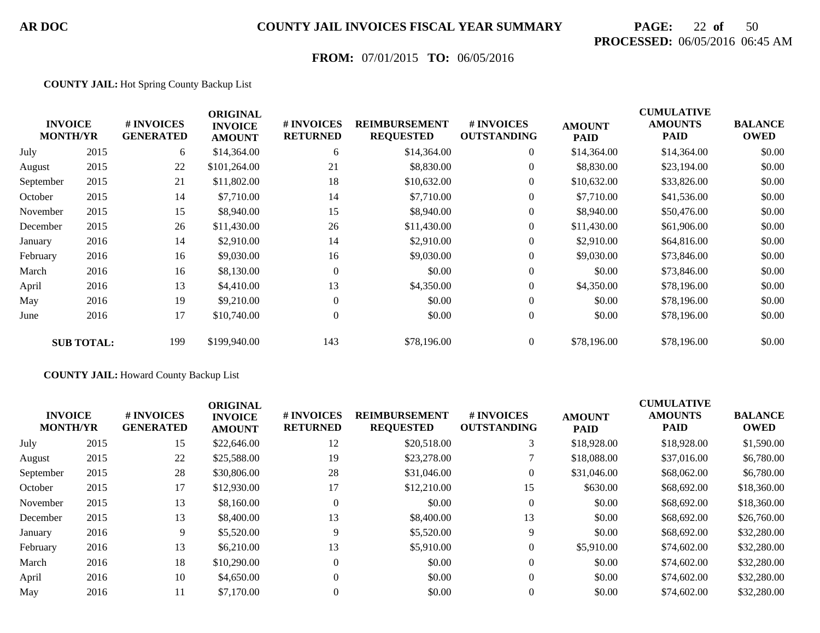# **PAGE:** 22 **of** 50 **PROCESSED:** 06/05/2016 06:45 AM

## **FROM:** 07/01/2015 **TO:** 06/05/2016

#### **COUNTY JAIL:** Hot Spring County Backup List

|           | <b>INVOICE</b><br><b>MONTH/YR</b> | # INVOICES<br><b>GENERATED</b> | <b>ORIGINAL</b><br><b>INVOICE</b><br><b>AMOUNT</b> | # INVOICES<br><b>RETURNED</b> | <b>REIMBURSEMENT</b><br><b>REQUESTED</b> | # INVOICES<br><b>OUTSTANDING</b> | <b>AMOUNT</b><br><b>PAID</b> | <b>CUMULATIVE</b><br><b>AMOUNTS</b><br><b>PAID</b> | <b>BALANCE</b><br><b>OWED</b> |
|-----------|-----------------------------------|--------------------------------|----------------------------------------------------|-------------------------------|------------------------------------------|----------------------------------|------------------------------|----------------------------------------------------|-------------------------------|
| July      | 2015                              | 6                              | \$14,364.00                                        | 6                             | \$14,364.00                              | $\overline{0}$                   | \$14,364.00                  | \$14,364.00                                        | \$0.00                        |
| August    | 2015                              | 22                             | \$101,264.00                                       | 21                            | \$8,830.00                               | $\boldsymbol{0}$                 | \$8,830.00                   | \$23,194.00                                        | \$0.00                        |
| September | 2015                              | 21                             | \$11,802.00                                        | 18                            | \$10,632.00                              | $\overline{0}$                   | \$10,632.00                  | \$33,826.00                                        | \$0.00                        |
| October   | 2015                              | 14                             | \$7,710.00                                         | 14                            | \$7,710.00                               | $\overline{0}$                   | \$7,710.00                   | \$41,536.00                                        | \$0.00                        |
| November  | 2015                              | 15                             | \$8,940.00                                         | 15                            | \$8,940.00                               | $\overline{0}$                   | \$8,940.00                   | \$50,476.00                                        | \$0.00                        |
| December  | 2015                              | 26                             | \$11,430.00                                        | 26                            | \$11,430.00                              | $\boldsymbol{0}$                 | \$11,430.00                  | \$61,906.00                                        | \$0.00                        |
| January   | 2016                              | 14                             | \$2,910.00                                         | 14                            | \$2,910.00                               | $\overline{0}$                   | \$2,910.00                   | \$64,816.00                                        | \$0.00                        |
| February  | 2016                              | 16                             | \$9,030.00                                         | 16                            | \$9,030.00                               | $\overline{0}$                   | \$9,030.00                   | \$73,846.00                                        | \$0.00                        |
| March     | 2016                              | 16                             | \$8,130.00                                         | $\theta$                      | \$0.00                                   | $\overline{0}$                   | \$0.00                       | \$73,846.00                                        | \$0.00                        |
| April     | 2016                              | 13                             | \$4,410.00                                         | 13                            | \$4,350.00                               | $\overline{0}$                   | \$4,350.00                   | \$78,196.00                                        | \$0.00                        |
| May       | 2016                              | 19                             | \$9,210.00                                         | $\Omega$                      | \$0.00                                   | $\overline{0}$                   | \$0.00                       | \$78,196.00                                        | \$0.00                        |
| June      | 2016                              | 17                             | \$10,740.00                                        | $\overline{0}$                | \$0.00                                   | $\overline{0}$                   | \$0.00                       | \$78,196.00                                        | \$0.00                        |
|           | <b>SUB TOTAL:</b>                 | 199                            | \$199,940.00                                       | 143                           | \$78,196.00                              | $\overline{0}$                   | \$78,196.00                  | \$78,196.00                                        | \$0.00                        |

#### **COUNTY JAIL:** Howard County Backup List

|      | # INVOICES<br><b>GENERATED</b>    | <b>ORIGINAL</b><br><b>INVOICE</b><br><b>AMOUNT</b> | # INVOICES<br><b>RETURNED</b> | <b>REIMBURSEMENT</b><br><b>REQUESTED</b> | <b>#INVOICES</b><br><b>OUTSTANDING</b> | <b>AMOUNT</b><br><b>PAID</b> | <b>CUMULATIVE</b><br><b>AMOUNTS</b><br><b>PAID</b> | <b>BALANCE</b><br><b>OWED</b> |
|------|-----------------------------------|----------------------------------------------------|-------------------------------|------------------------------------------|----------------------------------------|------------------------------|----------------------------------------------------|-------------------------------|
| 2015 | 15                                | \$22,646.00                                        | 12                            | \$20,518.00                              | 3                                      | \$18,928.00                  | \$18,928.00                                        | \$1,590.00                    |
| 2015 | 22                                | \$25,588.00                                        | 19                            | \$23,278.00                              |                                        | \$18,088.00                  | \$37,016.00                                        | \$6,780.00                    |
| 2015 | 28                                | \$30,806.00                                        | 28                            | \$31,046.00                              | $\overline{0}$                         | \$31,046.00                  | \$68,062.00                                        | \$6,780.00                    |
| 2015 | 17                                | \$12,930.00                                        | 17                            | \$12,210.00                              | 15                                     | \$630.00                     | \$68,692.00                                        | \$18,360.00                   |
| 2015 | 13                                | \$8,160.00                                         | $\Omega$                      | \$0.00                                   | $\theta$                               | \$0.00                       | \$68,692.00                                        | \$18,360.00                   |
| 2015 | 13                                | \$8,400.00                                         | 13                            | \$8,400.00                               | 13                                     | \$0.00                       | \$68,692.00                                        | \$26,760.00                   |
| 2016 | 9                                 | \$5,520.00                                         | 9                             | \$5,520.00                               | 9                                      | \$0.00                       | \$68,692.00                                        | \$32,280.00                   |
| 2016 | 13                                | \$6,210.00                                         | 13                            | \$5,910.00                               | 0                                      | \$5,910.00                   | \$74,602.00                                        | \$32,280.00                   |
| 2016 | 18                                | \$10,290.00                                        | $\Omega$                      | \$0.00                                   | $\theta$                               | \$0.00                       | \$74,602.00                                        | \$32,280.00                   |
| 2016 | 10                                | \$4,650.00                                         | $\Omega$                      | \$0.00                                   | $\overline{0}$                         | \$0.00                       | \$74,602.00                                        | \$32,280.00                   |
| 2016 | 11                                | \$7,170.00                                         | 0                             | \$0.00                                   | 0                                      | \$0.00                       | \$74,602.00                                        | \$32,280.00                   |
|      | <b>INVOICE</b><br><b>MONTH/YR</b> |                                                    |                               |                                          |                                        |                              |                                                    |                               |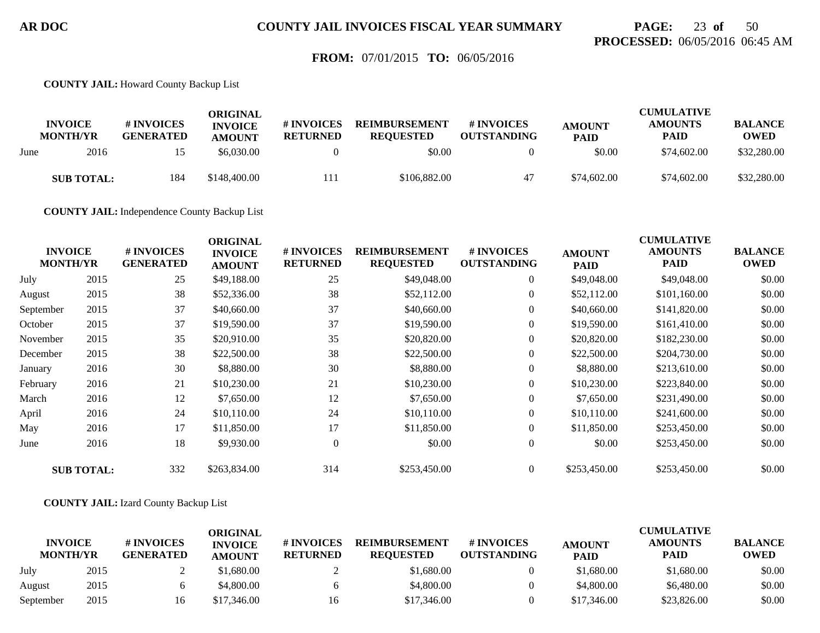## **PAGE:** 23 **of** 50 **PROCESSED:** 06/05/2016 06:45 AM

### **FROM:** 07/01/2015 **TO:** 06/05/2016

**COUNTY JAIL:** Howard County Backup List

|      | <b>INVOICE</b><br><b>MONTH/YR</b> | # INVOICES<br><b>GENERATED</b> | ORIGINAL<br><b>INVOICE</b><br><b>AMOUNT</b> | # INVOICES<br><b>RETURNED</b> | <b>REIMBURSEMENT</b><br><b>REOUESTED</b> | # INVOICES<br><b>OUTSTANDING</b> | <b>AMOUNT</b><br><b>PAID</b> | <b>CUMULATIVE</b><br><b>AMOUNTS</b><br>PAID | <b>BALANCE</b><br><b>OWED</b> |
|------|-----------------------------------|--------------------------------|---------------------------------------------|-------------------------------|------------------------------------------|----------------------------------|------------------------------|---------------------------------------------|-------------------------------|
| June | 2016                              |                                | \$6,030.00                                  |                               | \$0.00                                   |                                  | \$0.00                       | \$74,602.00                                 | \$32,280.00                   |
|      | <b>SUB TOTAL:</b>                 | 184                            | \$148,400.00                                | 111                           | \$106,882.00                             | 47                               | \$74,602.00                  | \$74,602.00                                 | \$32,280.00                   |

**COUNTY JAIL:** Independence County Backup List

| <b>INVOICE</b><br><b>MONTH/YR</b> |                   | # INVOICES<br><b>GENERATED</b> | <b>ORIGINAL</b><br><b>INVOICE</b><br><b>AMOUNT</b> | # INVOICES<br><b>RETURNED</b> | <b>REIMBURSEMENT</b><br><b>REQUESTED</b> | # INVOICES<br><b>OUTSTANDING</b> | <b>AMOUNT</b><br><b>PAID</b> | <b>CUMULATIVE</b><br><b>AMOUNTS</b><br><b>PAID</b> | <b>BALANCE</b><br><b>OWED</b> |
|-----------------------------------|-------------------|--------------------------------|----------------------------------------------------|-------------------------------|------------------------------------------|----------------------------------|------------------------------|----------------------------------------------------|-------------------------------|
| July                              | 2015              | 25                             | \$49,188.00                                        | 25                            | \$49,048.00                              | $\overline{0}$                   | \$49,048.00                  | \$49,048.00                                        | \$0.00                        |
| August                            | 2015              | 38                             | \$52,336.00                                        | 38                            | \$52,112.00                              | $\boldsymbol{0}$                 | \$52,112.00                  | \$101,160.00                                       | \$0.00                        |
| September                         | 2015              | 37                             | \$40,660.00                                        | 37                            | \$40,660.00                              | $\overline{0}$                   | \$40,660.00                  | \$141,820.00                                       | \$0.00                        |
| October                           | 2015              | 37                             | \$19,590.00                                        | 37                            | \$19,590.00                              | $\boldsymbol{0}$                 | \$19,590.00                  | \$161,410.00                                       | \$0.00                        |
| November                          | 2015              | 35                             | \$20,910.00                                        | 35                            | \$20,820.00                              | $\overline{0}$                   | \$20,820.00                  | \$182,230.00                                       | \$0.00                        |
| December                          | 2015              | 38                             | \$22,500.00                                        | 38                            | \$22,500.00                              | $\overline{0}$                   | \$22,500.00                  | \$204,730.00                                       | \$0.00                        |
| January                           | 2016              | 30                             | \$8,880.00                                         | 30                            | \$8,880.00                               | $\boldsymbol{0}$                 | \$8,880.00                   | \$213,610.00                                       | \$0.00                        |
| February                          | 2016              | 21                             | \$10,230.00                                        | 21                            | \$10,230.00                              | $\overline{0}$                   | \$10,230.00                  | \$223,840.00                                       | \$0.00                        |
| March                             | 2016              | 12                             | \$7,650.00                                         | 12                            | \$7,650.00                               | $\overline{0}$                   | \$7,650.00                   | \$231,490.00                                       | \$0.00                        |
| April                             | 2016              | 24                             | \$10,110.00                                        | 24                            | \$10,110.00                              | $\overline{0}$                   | \$10,110.00                  | \$241,600.00                                       | \$0.00                        |
| May                               | 2016              | 17                             | \$11,850.00                                        | 17                            | \$11,850.00                              | $\overline{0}$                   | \$11,850.00                  | \$253,450.00                                       | \$0.00                        |
| June                              | 2016              | 18                             | \$9,930.00                                         | $\Omega$                      | \$0.00                                   | $\overline{0}$                   | \$0.00                       | \$253,450.00                                       | \$0.00                        |
|                                   | <b>SUB TOTAL:</b> | 332                            | \$263,834.00                                       | 314                           | \$253,450.00                             | $\theta$                         | \$253,450.00                 | \$253,450.00                                       | \$0.00                        |

**COUNTY JAIL:** Izard County Backup List

|                                   |      |                                | ORIGINAL                        |                               |                                          |                                  |                              | <b>CUMULATIVE</b>             |                               |
|-----------------------------------|------|--------------------------------|---------------------------------|-------------------------------|------------------------------------------|----------------------------------|------------------------------|-------------------------------|-------------------------------|
| <b>INVOICE</b><br><b>MONTH/YR</b> |      | # INVOICES<br><b>GENERATED</b> | <b>INVOICE</b><br><b>AMOUNT</b> | # INVOICES<br><b>RETURNED</b> | <b>REIMBURSEMENT</b><br><b>REOUESTED</b> | # INVOICES<br><b>OUTSTANDING</b> | <b>AMOUNT</b><br><b>PAID</b> | <b>AMOUNTS</b><br><b>PAID</b> | <b>BALANCE</b><br><b>OWED</b> |
| July                              | 2015 |                                | \$1.680.00                      |                               | \$1,680.00                               |                                  | \$1,680.00                   | \$1,680.00                    | \$0.00                        |
| August                            | 2015 |                                | \$4,800.00                      |                               | \$4,800.00                               |                                  | \$4,800.00                   | \$6,480.00                    | \$0.00                        |
| September                         | 2015 |                                | \$17,346.00                     | 16                            | \$17,346.00                              |                                  | \$17,346.00                  | \$23,826.00                   | \$0.00                        |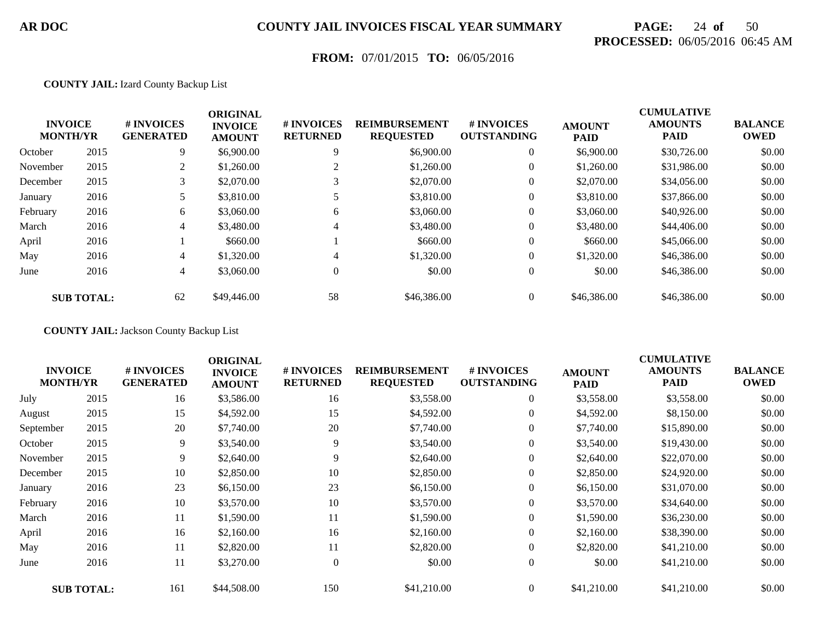# **PAGE:** 24 **of** 50 **PROCESSED:** 06/05/2016 06:45 AM

## **FROM:** 07/01/2015 **TO:** 06/05/2016

#### **COUNTY JAIL:** Izard County Backup List

|          | <b>INVOICE</b><br><b>MONTH/YR</b> | <b>#INVOICES</b><br><b>GENERATED</b> | <b>ORIGINAL</b><br><b>INVOICE</b><br><b>AMOUNT</b> | # INVOICES<br><b>RETURNED</b> | <b>REIMBURSEMENT</b><br><b>REQUESTED</b> | # INVOICES<br><b>OUTSTANDING</b> | <b>AMOUNT</b><br><b>PAID</b> | <b>CUMULATIVE</b><br><b>AMOUNTS</b><br><b>PAID</b> | <b>BALANCE</b><br><b>OWED</b> |
|----------|-----------------------------------|--------------------------------------|----------------------------------------------------|-------------------------------|------------------------------------------|----------------------------------|------------------------------|----------------------------------------------------|-------------------------------|
| October  | 2015                              | 9                                    | \$6,900.00                                         | 9                             | \$6,900.00                               | $\overline{0}$                   | \$6,900.00                   | \$30,726.00                                        | \$0.00                        |
| November | 2015                              | 2                                    | \$1,260.00                                         |                               | \$1,260.00                               | $\overline{0}$                   | \$1,260.00                   | \$31,986.00                                        | \$0.00                        |
| December | 2015                              |                                      | \$2,070.00                                         |                               | \$2,070.00                               | $\overline{0}$                   | \$2,070.00                   | \$34,056.00                                        | \$0.00                        |
| January  | 2016                              |                                      | \$3,810.00                                         |                               | \$3,810.00                               | $\overline{0}$                   | \$3,810.00                   | \$37,866.00                                        | \$0.00                        |
| February | 2016                              | 6                                    | \$3,060.00                                         | 6                             | \$3,060.00                               | $\overline{0}$                   | \$3,060.00                   | \$40,926.00                                        | \$0.00                        |
| March    | 2016                              | 4                                    | \$3,480.00                                         | 4                             | \$3,480.00                               | $\overline{0}$                   | \$3,480.00                   | \$44,406.00                                        | \$0.00                        |
| April    | 2016                              |                                      | \$660.00                                           |                               | \$660.00                                 | $\theta$                         | \$660.00                     | \$45,066.00                                        | \$0.00                        |
| May      | 2016                              | 4                                    | \$1,320.00                                         | 4                             | \$1,320.00                               | $\Omega$                         | \$1,320.00                   | \$46,386.00                                        | \$0.00                        |
| June     | 2016                              | 4                                    | \$3,060.00                                         | $\theta$                      | \$0.00                                   | $\overline{0}$                   | \$0.00                       | \$46,386.00                                        | \$0.00                        |
|          | <b>SUB TOTAL:</b>                 | 62                                   | \$49,446.00                                        | 58                            | \$46,386,00                              | $\overline{0}$                   | \$46,386.00                  | \$46,386.00                                        | \$0.00                        |

**COUNTY JAIL:** Jackson County Backup List

| <b>INVOICE</b><br><b>MONTH/YR</b> |                   | # INVOICES<br><b>GENERATED</b> | <b>ORIGINAL</b><br><b>INVOICE</b><br><b>AMOUNT</b> | # INVOICES<br><b>RETURNED</b> | <b>REIMBURSEMENT</b><br><b>REQUESTED</b> | # INVOICES<br><b>OUTSTANDING</b> | <b>AMOUNT</b><br><b>PAID</b> | <b>CUMULATIVE</b><br><b>AMOUNTS</b><br><b>PAID</b> | <b>BALANCE</b><br><b>OWED</b> |
|-----------------------------------|-------------------|--------------------------------|----------------------------------------------------|-------------------------------|------------------------------------------|----------------------------------|------------------------------|----------------------------------------------------|-------------------------------|
| July                              | 2015              | 16                             | \$3,586.00                                         | 16                            | \$3,558.00                               | $\boldsymbol{0}$                 | \$3,558.00                   | \$3,558.00                                         | \$0.00                        |
| August                            | 2015              | 15                             | \$4,592.00                                         | 15                            | \$4,592.00                               | $\boldsymbol{0}$                 | \$4,592.00                   | \$8,150.00                                         | \$0.00                        |
| September                         | 2015              | 20                             | \$7,740.00                                         | 20                            | \$7,740.00                               | $\overline{0}$                   | \$7,740.00                   | \$15,890.00                                        | \$0.00                        |
| October                           | 2015              | 9                              | \$3,540.00                                         | 9                             | \$3,540.00                               | $\mathbf{0}$                     | \$3,540.00                   | \$19,430.00                                        | \$0.00                        |
| November                          | 2015              | 9                              | \$2,640.00                                         | 9                             | \$2,640.00                               | $\overline{0}$                   | \$2,640.00                   | \$22,070.00                                        | \$0.00                        |
| December                          | 2015              | 10                             | \$2,850.00                                         | 10                            | \$2,850.00                               | $\overline{0}$                   | \$2,850.00                   | \$24,920.00                                        | \$0.00                        |
| January                           | 2016              | 23                             | \$6,150.00                                         | 23                            | \$6,150.00                               | 0                                | \$6,150.00                   | \$31,070.00                                        | \$0.00                        |
| February                          | 2016              | 10                             | \$3,570.00                                         | 10                            | \$3,570.00                               | $\boldsymbol{0}$                 | \$3,570.00                   | \$34,640.00                                        | \$0.00                        |
| March                             | 2016              | 11                             | \$1,590.00                                         | 11                            | \$1,590.00                               | $\overline{0}$                   | \$1,590.00                   | \$36,230.00                                        | \$0.00                        |
| April                             | 2016              | 16                             | \$2,160.00                                         | 16                            | \$2,160.00                               | $\overline{0}$                   | \$2,160.00                   | \$38,390.00                                        | \$0.00                        |
| May                               | 2016              | 11                             | \$2,820.00                                         | 11                            | \$2,820.00                               | $\overline{0}$                   | \$2,820.00                   | \$41,210.00                                        | \$0.00                        |
| June                              | 2016              | 11                             | \$3,270.00                                         | $\theta$                      | \$0.00                                   | $\overline{0}$                   | \$0.00                       | \$41,210.00                                        | \$0.00                        |
|                                   | <b>SUB TOTAL:</b> | 161                            | \$44,508.00                                        | 150                           | \$41,210.00                              | $\overline{0}$                   | \$41,210.00                  | \$41,210.00                                        | \$0.00                        |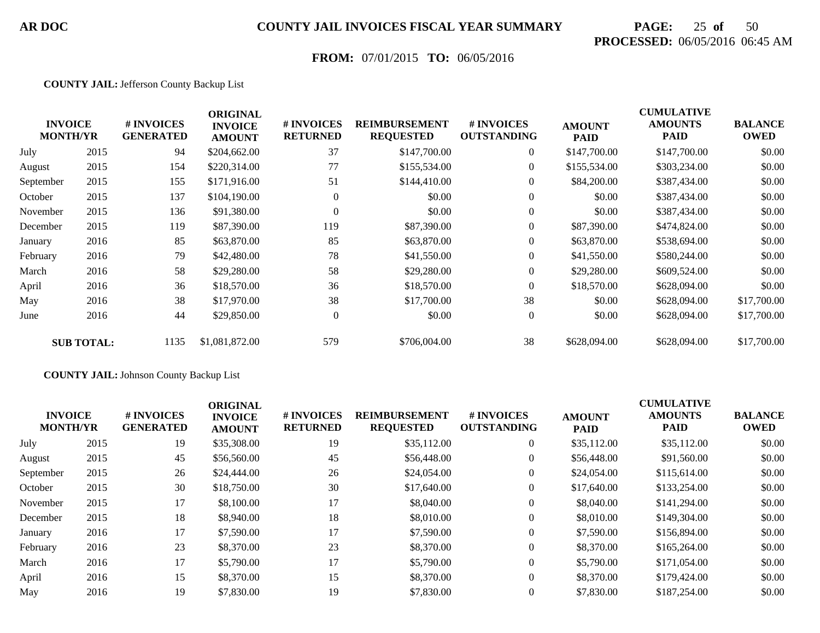# **PAGE:** 25 **of** 50 **PROCESSED:** 06/05/2016 06:45 AM

## **FROM:** 07/01/2015 **TO:** 06/05/2016

#### **COUNTY JAIL:** Jefferson County Backup List

|           | <b>INVOICE</b><br><b>MONTH/YR</b> | # INVOICES<br><b>GENERATED</b> | <b>ORIGINAL</b><br><b>INVOICE</b><br><b>AMOUNT</b> | # INVOICES<br><b>RETURNED</b> | <b>REIMBURSEMENT</b><br><b>REQUESTED</b> | <b>#INVOICES</b><br><b>OUTSTANDING</b> | <b>AMOUNT</b><br><b>PAID</b> | <b>CUMULATIVE</b><br><b>AMOUNTS</b><br><b>PAID</b> | <b>BALANCE</b><br><b>OWED</b> |
|-----------|-----------------------------------|--------------------------------|----------------------------------------------------|-------------------------------|------------------------------------------|----------------------------------------|------------------------------|----------------------------------------------------|-------------------------------|
| July      | 2015                              | 94                             | \$204,662.00                                       | 37                            | \$147,700.00                             | $\overline{0}$                         | \$147,700.00                 | \$147,700.00                                       | \$0.00                        |
| August    | 2015                              | 154                            | \$220,314.00                                       | 77                            | \$155,534.00                             | $\overline{0}$                         | \$155,534.00                 | \$303,234.00                                       | \$0.00                        |
| September | 2015                              | 155                            | \$171,916.00                                       | 51                            | \$144,410.00                             | $\overline{0}$                         | \$84,200.00                  | \$387,434.00                                       | \$0.00                        |
| October   | 2015                              | 137                            | \$104,190.00                                       | $\Omega$                      | \$0.00                                   | $\boldsymbol{0}$                       | \$0.00                       | \$387,434.00                                       | \$0.00                        |
| November  | 2015                              | 136                            | \$91,380.00                                        | $\overline{0}$                | \$0.00                                   | $\overline{0}$                         | \$0.00                       | \$387,434.00                                       | \$0.00                        |
| December  | 2015                              | 119                            | \$87,390.00                                        | 119                           | \$87,390.00                              | $\overline{0}$                         | \$87,390.00                  | \$474,824.00                                       | \$0.00                        |
| January   | 2016                              | 85                             | \$63,870.00                                        | 85                            | \$63,870.00                              | $\Omega$                               | \$63,870.00                  | \$538,694.00                                       | \$0.00                        |
| February  | 2016                              | 79                             | \$42,480.00                                        | 78                            | \$41,550.00                              | $\overline{0}$                         | \$41,550.00                  | \$580,244.00                                       | \$0.00                        |
| March     | 2016                              | 58                             | \$29,280.00                                        | 58                            | \$29,280.00                              | $\overline{0}$                         | \$29,280.00                  | \$609,524.00                                       | \$0.00                        |
| April     | 2016                              | 36                             | \$18,570.00                                        | 36                            | \$18,570.00                              | $\Omega$                               | \$18,570.00                  | \$628,094.00                                       | \$0.00                        |
| May       | 2016                              | 38                             | \$17,970.00                                        | 38                            | \$17,700.00                              | 38                                     | \$0.00                       | \$628,094.00                                       | \$17,700.00                   |
| June      | 2016                              | 44                             | \$29,850.00                                        | $\boldsymbol{0}$              | \$0.00                                   | $\overline{0}$                         | \$0.00                       | \$628,094.00                                       | \$17,700.00                   |
|           | <b>SUB TOTAL:</b>                 | 1135                           | \$1,081,872.00                                     | 579                           | \$706,004.00                             | 38                                     | \$628,094.00                 | \$628,094.00                                       | \$17,700.00                   |

#### **COUNTY JAIL:** Johnson County Backup List

| \$0.00 |
|--------|
|        |
| \$0.00 |
| \$0.00 |
| \$0.00 |
| \$0.00 |
| \$0.00 |
| \$0.00 |
| \$0.00 |
| \$0.00 |
| \$0.00 |
| \$0.00 |
|        |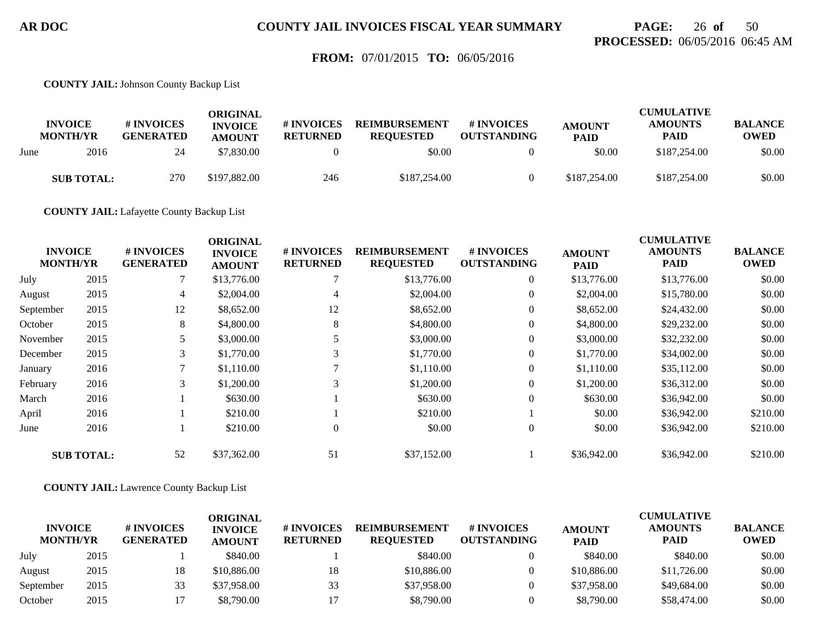## **PAGE:** 26 **of** 50 **PROCESSED:** 06/05/2016 06:45 AM

### **FROM:** 07/01/2015 **TO:** 06/05/2016

**COUNTY JAIL:** Johnson County Backup List

|      | <b>INVOICE</b><br><b>MONTH/YR</b> | # INVOICES<br><b>GENERATED</b> | ORIGINAL<br><b>INVOICE</b><br><b>AMOUNT</b> | # INVOICES<br><b>RETURNED</b> | <b>REIMBURSEMENT</b><br><b>REQUESTED</b> | # INVOICES<br><b>OUTSTANDING</b> | <b>AMOUNT</b><br><b>PAID</b> | <b>CUMULATIVE</b><br><b>AMOUNTS</b><br><b>PAID</b> | <b>BALANCE</b><br>OWED |
|------|-----------------------------------|--------------------------------|---------------------------------------------|-------------------------------|------------------------------------------|----------------------------------|------------------------------|----------------------------------------------------|------------------------|
| June | 2016                              | 24                             | \$7.830.00                                  |                               | \$0.00                                   |                                  | \$0.00                       | \$187,254.00                                       | \$0.00                 |
|      | <b>SUB TOTAL:</b>                 | 270                            | \$197,882.00                                | 246                           | \$187,254,00                             |                                  | \$187,254.00                 | \$187,254.00                                       | \$0.00                 |

**COUNTY JAIL:** Lafayette County Backup List

|           |                                   |                                | <b>ORIGINAL</b>                 |                                     |                                          |                                  |                              | <b>CUMULATIVE</b>             |                               |
|-----------|-----------------------------------|--------------------------------|---------------------------------|-------------------------------------|------------------------------------------|----------------------------------|------------------------------|-------------------------------|-------------------------------|
|           | <b>INVOICE</b><br><b>MONTH/YR</b> | # INVOICES<br><b>GENERATED</b> | <b>INVOICE</b><br><b>AMOUNT</b> | <b>#INVOICES</b><br><b>RETURNED</b> | <b>REIMBURSEMENT</b><br><b>REQUESTED</b> | # INVOICES<br><b>OUTSTANDING</b> | <b>AMOUNT</b><br><b>PAID</b> | <b>AMOUNTS</b><br><b>PAID</b> | <b>BALANCE</b><br><b>OWED</b> |
| July      | 2015                              |                                | \$13,776.00                     |                                     | \$13,776.00                              | $\overline{0}$                   | \$13,776.00                  | \$13,776.00                   | \$0.00                        |
| August    | 2015                              | 4                              | \$2,004.00                      | 4                                   | \$2,004.00                               | $\overline{0}$                   | \$2,004.00                   | \$15,780.00                   | \$0.00                        |
| September | 2015                              | 12                             | \$8,652.00                      | 12                                  | \$8,652.00                               | $\overline{0}$                   | \$8,652.00                   | \$24,432.00                   | \$0.00                        |
| October   | 2015                              | 8                              | \$4,800.00                      | 8                                   | \$4,800.00                               | $\overline{0}$                   | \$4,800.00                   | \$29,232.00                   | \$0.00                        |
| November  | 2015                              |                                | \$3,000.00                      |                                     | \$3,000.00                               | $\overline{0}$                   | \$3,000.00                   | \$32,232.00                   | \$0.00                        |
| December  | 2015                              | 3                              | \$1,770.00                      | 3                                   | \$1,770.00                               | $\boldsymbol{0}$                 | \$1,770.00                   | \$34,002.00                   | \$0.00                        |
| January   | 2016                              |                                | \$1,110.00                      |                                     | \$1,110.00                               | $\overline{0}$                   | \$1,110.00                   | \$35,112.00                   | \$0.00                        |
| February  | 2016                              | 3                              | \$1,200.00                      | 3                                   | \$1,200.00                               | $\overline{0}$                   | \$1,200.00                   | \$36,312.00                   | \$0.00                        |
| March     | 2016                              |                                | \$630.00                        |                                     | \$630.00                                 | $\overline{0}$                   | \$630.00                     | \$36,942.00                   | \$0.00                        |
| April     | 2016                              |                                | \$210.00                        |                                     | \$210.00                                 |                                  | \$0.00                       | \$36,942.00                   | \$210.00                      |
| June      | 2016                              |                                | \$210.00                        | 0                                   | \$0.00                                   | $\overline{0}$                   | \$0.00                       | \$36,942.00                   | \$210.00                      |
|           | <b>SUB TOTAL:</b>                 | 52                             | \$37,362.00                     | 51                                  | \$37,152.00                              |                                  | \$36,942.00                  | \$36,942.00                   | \$210.00                      |

**COUNTY JAIL:** Lawrence County Backup List

|                                   |      |                                | ORIGINAL                        |                               |                                          |                                        |                              | <b>CUMULATIVE</b>             |                               |
|-----------------------------------|------|--------------------------------|---------------------------------|-------------------------------|------------------------------------------|----------------------------------------|------------------------------|-------------------------------|-------------------------------|
| <b>INVOICE</b><br><b>MONTH/YR</b> |      | # INVOICES<br><b>GENERATED</b> | <b>INVOICE</b><br><b>AMOUNT</b> | # INVOICES<br><b>RETURNED</b> | <b>REIMBURSEMENT</b><br><b>REOUESTED</b> | <b>#INVOICES</b><br><b>OUTSTANDING</b> | <b>AMOUNT</b><br><b>PAID</b> | <b>AMOUNTS</b><br><b>PAID</b> | <b>BALANCE</b><br><b>OWED</b> |
| July                              | 2015 |                                | \$840.00                        |                               | \$840.00                                 |                                        | \$840.00                     | \$840.00                      | \$0.00                        |
| August                            | 2015 | 18                             | \$10,886.00                     | 18                            | \$10,886.00                              |                                        | \$10,886.00                  | \$11,726.00                   | \$0.00                        |
| September                         | 2015 | 33                             | \$37,958.00                     | 33                            | \$37,958.00                              |                                        | \$37,958.00                  | \$49,684.00                   | \$0.00                        |
| October                           | 2015 |                                | \$8,790.00                      |                               | \$8,790.00                               |                                        | \$8,790.00                   | \$58,474.00                   | \$0.00                        |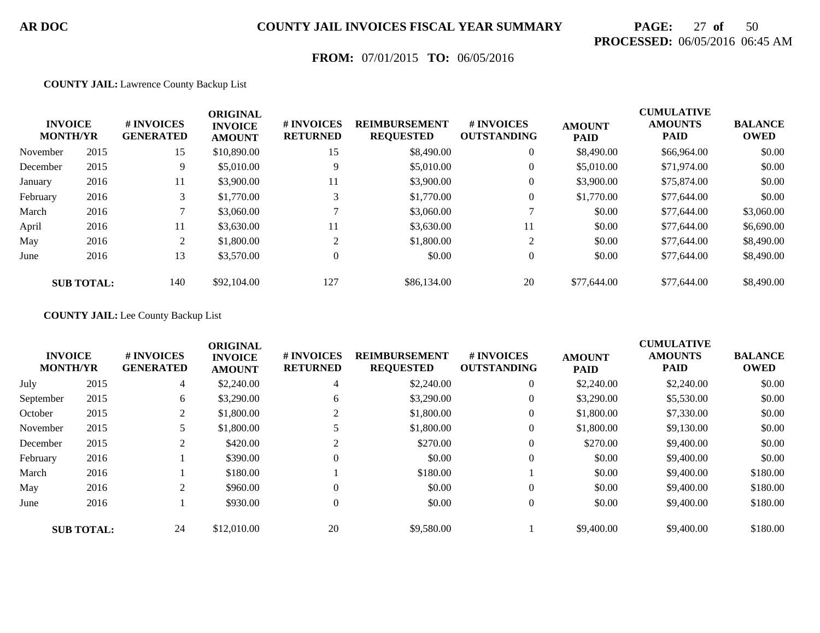# **PAGE:** 27 **of** 50 **PROCESSED:** 06/05/2016 06:45 AM

## **FROM:** 07/01/2015 **TO:** 06/05/2016

#### **COUNTY JAIL:** Lawrence County Backup List

|          | <b>INVOICE</b><br><b>MONTH/YR</b> | # INVOICES<br><b>GENERATED</b> | <b>ORIGINAL</b><br><b>INVOICE</b><br><b>AMOUNT</b> | # INVOICES<br><b>RETURNED</b> | <b>REIMBURSEMENT</b><br><b>REQUESTED</b> | # INVOICES<br><b>OUTSTANDING</b> | <b>AMOUNT</b><br><b>PAID</b> | <b>CUMULATIVE</b><br><b>AMOUNTS</b><br><b>PAID</b> | <b>BALANCE</b><br><b>OWED</b> |
|----------|-----------------------------------|--------------------------------|----------------------------------------------------|-------------------------------|------------------------------------------|----------------------------------|------------------------------|----------------------------------------------------|-------------------------------|
| November | 2015                              | 15                             | \$10,890.00                                        | 15                            | \$8,490.00                               | $\overline{0}$                   | \$8,490.00                   | \$66,964.00                                        | \$0.00                        |
| December | 2015                              | 9                              | \$5,010.00                                         | 9                             | \$5,010.00                               | $\mathbf{0}$                     | \$5,010.00                   | \$71,974.00                                        | \$0.00                        |
| January  | 2016                              | 11                             | \$3,900.00                                         | 11                            | \$3,900.00                               | $\mathbf{0}$                     | \$3,900.00                   | \$75,874.00                                        | \$0.00                        |
| February | 2016                              | 3                              | \$1,770.00                                         | 3                             | \$1,770.00                               | $\overline{0}$                   | \$1,770.00                   | \$77,644.00                                        | \$0.00                        |
| March    | 2016                              |                                | \$3,060.00                                         |                               | \$3,060.00                               |                                  | \$0.00                       | \$77,644.00                                        | \$3,060.00                    |
| April    | 2016                              | 11                             | \$3,630.00                                         | 11                            | \$3,630.00                               | 11                               | \$0.00                       | \$77,644.00                                        | \$6,690.00                    |
| May      | 2016                              | 2                              | \$1,800.00                                         | $\sim$                        | \$1,800.00                               | 2                                | \$0.00                       | \$77,644.00                                        | \$8,490.00                    |
| June     | 2016                              | 13                             | \$3,570.00                                         | 0                             | \$0.00                                   | $\overline{0}$                   | \$0.00                       | \$77,644.00                                        | \$8,490.00                    |
|          | <b>SUB TOTAL:</b>                 | 140                            | \$92,104.00                                        | 127                           | \$86,134.00                              | 20                               | \$77,644.00                  | \$77,644.00                                        | \$8,490.00                    |

#### **COUNTY JAIL:** Lee County Backup List

| <b>INVOICE</b><br><b>MONTH/YR</b> |                   | # INVOICES<br><b>GENERATED</b>  | <b>ORIGINAL</b><br><b>INVOICE</b><br><b>AMOUNT</b> | # INVOICES<br><b>RETURNED</b> | <b>REIMBURSEMENT</b><br><b>REQUESTED</b> | # INVOICES<br><b>OUTSTANDING</b> | <b>AMOUNT</b><br><b>PAID</b> | <b>CUMULATIVE</b><br><b>AMOUNTS</b><br><b>PAID</b> | <b>BALANCE</b><br><b>OWED</b> |
|-----------------------------------|-------------------|---------------------------------|----------------------------------------------------|-------------------------------|------------------------------------------|----------------------------------|------------------------------|----------------------------------------------------|-------------------------------|
| July                              | 2015              | 4                               | \$2,240.00                                         | 4                             | \$2,240.00                               | $\overline{0}$                   | \$2,240.00                   | \$2,240.00                                         | \$0.00                        |
| September                         | 2015              | 6                               | \$3,290.00                                         | 6                             | \$3,290.00                               | $\overline{0}$                   | \$3,290.00                   | \$5,530.00                                         | \$0.00                        |
| October                           | 2015              | 2                               | \$1,800.00                                         |                               | \$1,800.00                               | $\overline{0}$                   | \$1,800.00                   | \$7,330.00                                         | \$0.00                        |
| November                          | 2015              |                                 | \$1,800.00                                         |                               | \$1,800.00                               | $\overline{0}$                   | \$1,800.00                   | \$9,130.00                                         | \$0.00                        |
| December                          | 2015              | <sup><math>\supset</math></sup> | \$420.00                                           | $\gamma$                      | \$270.00                                 | $\overline{0}$                   | \$270.00                     | \$9,400.00                                         | \$0.00                        |
| February                          | 2016              |                                 | \$390.00                                           | $\Omega$                      | \$0.00                                   | $\overline{0}$                   | \$0.00                       | \$9,400.00                                         | \$0.00                        |
| March                             | 2016              |                                 | \$180.00                                           |                               | \$180.00                                 |                                  | \$0.00                       | \$9,400.00                                         | \$180.00                      |
| May                               | 2016              | ↑                               | \$960.00                                           | $\Omega$                      | \$0.00                                   | $\theta$                         | \$0.00                       | \$9,400.00                                         | \$180.00                      |
| June                              | 2016              |                                 | \$930.00                                           | $\Omega$                      | \$0.00                                   | $\overline{0}$                   | \$0.00                       | \$9,400.00                                         | \$180.00                      |
|                                   | <b>SUB TOTAL:</b> | 24                              | \$12,010.00                                        | 20                            | \$9,580.00                               |                                  | \$9,400.00                   | \$9,400.00                                         | \$180.00                      |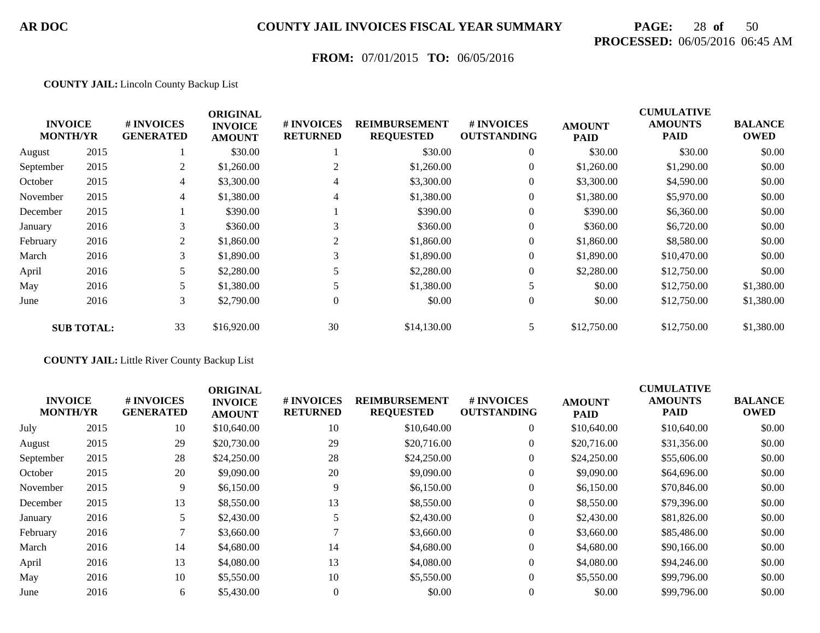# **PAGE:** 28 **of** 50 **PROCESSED:** 06/05/2016 06:45 AM

## **FROM:** 07/01/2015 **TO:** 06/05/2016

#### **COUNTY JAIL:** Lincoln County Backup List

|                                   |                   |                                | <b>ORIGINAL</b>                 |                               |                                          |                                  | <b>CUMULATIVE</b>            |                               |                               |
|-----------------------------------|-------------------|--------------------------------|---------------------------------|-------------------------------|------------------------------------------|----------------------------------|------------------------------|-------------------------------|-------------------------------|
| <b>INVOICE</b><br><b>MONTH/YR</b> |                   | # INVOICES<br><b>GENERATED</b> | <b>INVOICE</b><br><b>AMOUNT</b> | # INVOICES<br><b>RETURNED</b> | <b>REIMBURSEMENT</b><br><b>REQUESTED</b> | # INVOICES<br><b>OUTSTANDING</b> | <b>AMOUNT</b><br><b>PAID</b> | <b>AMOUNTS</b><br><b>PAID</b> | <b>BALANCE</b><br><b>OWED</b> |
| August                            | 2015              |                                | \$30.00                         |                               | \$30.00                                  | $\theta$                         | \$30.00                      | \$30.00                       | \$0.00                        |
| September                         | 2015              | 2                              | \$1,260.00                      |                               | \$1,260.00                               | 0                                | \$1,260.00                   | \$1,290.00                    | \$0.00                        |
| October                           | 2015              | 4                              | \$3,300.00                      | $\overline{4}$                | \$3,300.00                               | $\mathbf{0}$                     | \$3,300.00                   | \$4,590.00                    | \$0.00                        |
| November                          | 2015              | 4                              | \$1,380.00                      | 4                             | \$1,380.00                               | $\boldsymbol{0}$                 | \$1,380.00                   | \$5,970.00                    | \$0.00                        |
| December                          | 2015              |                                | \$390.00                        |                               | \$390.00                                 | $\mathbf{0}$                     | \$390.00                     | \$6,360.00                    | \$0.00                        |
| January                           | 2016              | 3                              | \$360.00                        | 3                             | \$360.00                                 | $\mathbf{0}$                     | \$360.00                     | \$6,720.00                    | \$0.00                        |
| February                          | 2016              | 2                              | \$1,860.00                      |                               | \$1,860.00                               | $\theta$                         | \$1,860.00                   | \$8,580.00                    | \$0.00                        |
| March                             | 2016              | 3                              | \$1,890.00                      | 3                             | \$1,890.00                               | $\mathbf{0}$                     | \$1,890.00                   | \$10,470.00                   | \$0.00                        |
| April                             | 2016              |                                | \$2,280.00                      |                               | \$2,280.00                               | $\mathbf{0}$                     | \$2,280.00                   | \$12,750.00                   | \$0.00                        |
| May                               | 2016              | 5                              | \$1,380.00                      |                               | \$1,380.00                               | 5                                | \$0.00                       | \$12,750.00                   | \$1,380.00                    |
| June                              | 2016              | 3                              | \$2,790.00                      | $\mathbf{0}$                  | \$0.00                                   | $\mathbf{0}$                     | \$0.00                       | \$12,750.00                   | \$1,380.00                    |
|                                   | <b>SUB TOTAL:</b> | 33                             | \$16,920.00                     | 30                            | \$14,130.00                              | 5.                               | \$12,750.00                  | \$12,750.00                   | \$1,380.00                    |

#### **COUNTY JAIL:** Little River County Backup List

| <b>INVOICE</b><br><b>MONTH/YR</b> |      | # INVOICES<br><b>GENERATED</b> | <b>ORIGINAL</b><br><b>INVOICE</b><br><b>AMOUNT</b> | # INVOICES<br><b>RETURNED</b> | <b>REIMBURSEMENT</b><br><b>REQUESTED</b> | <b>#INVOICES</b><br><b>OUTSTANDING</b> | <b>AMOUNT</b><br><b>PAID</b> | <b>CUMULATIVE</b><br><b>AMOUNTS</b><br><b>PAID</b> | <b>BALANCE</b><br><b>OWED</b> |
|-----------------------------------|------|--------------------------------|----------------------------------------------------|-------------------------------|------------------------------------------|----------------------------------------|------------------------------|----------------------------------------------------|-------------------------------|
| July                              | 2015 | 10                             | \$10,640.00                                        | 10                            | \$10,640.00                              | $\overline{0}$                         | \$10,640.00                  | \$10,640.00                                        | \$0.00                        |
| August                            | 2015 | 29                             | \$20,730.00                                        | 29                            | \$20,716.00                              | $\mathbf{0}$                           | \$20,716.00                  | \$31,356.00                                        | \$0.00                        |
| September                         | 2015 | 28                             | \$24,250.00                                        | 28                            | \$24,250.00                              |                                        | \$24,250.00                  | \$55,606.00                                        | \$0.00                        |
| October                           | 2015 | 20                             | \$9,090.00                                         | 20                            | \$9,090.00                               |                                        | \$9,090.00                   | \$64,696.00                                        | \$0.00                        |
| November                          | 2015 | 9                              | \$6,150.00                                         | 9                             | \$6,150.00                               | $\mathbf{0}$                           | \$6,150.00                   | \$70,846.00                                        | \$0.00                        |
| December                          | 2015 | 13                             | \$8,550.00                                         | 13                            | \$8,550.00                               | $\overline{0}$                         | \$8,550.00                   | \$79,396.00                                        | \$0.00                        |
| January                           | 2016 | 5.                             | \$2,430.00                                         |                               | \$2,430.00                               | $\mathbf{0}$                           | \$2,430.00                   | \$81,826.00                                        | \$0.00                        |
| February                          | 2016 |                                | \$3,660.00                                         |                               | \$3,660.00                               | $\overline{0}$                         | \$3,660.00                   | \$85,486.00                                        | \$0.00                        |
| March                             | 2016 | 14                             | \$4,680.00                                         | 14                            | \$4,680.00                               | $\overline{0}$                         | \$4,680.00                   | \$90,166.00                                        | \$0.00                        |
| April                             | 2016 | 13                             | \$4,080.00                                         | 13                            | \$4,080.00                               | $\theta$                               | \$4,080.00                   | \$94,246.00                                        | \$0.00                        |
| May                               | 2016 | 10                             | \$5,550.00                                         | 10                            | \$5,550.00                               | $\overline{0}$                         | \$5,550.00                   | \$99,796.00                                        | \$0.00                        |
| June                              | 2016 | 6                              | \$5,430.00                                         |                               | \$0.00                                   |                                        | \$0.00                       | \$99,796.00                                        | \$0.00                        |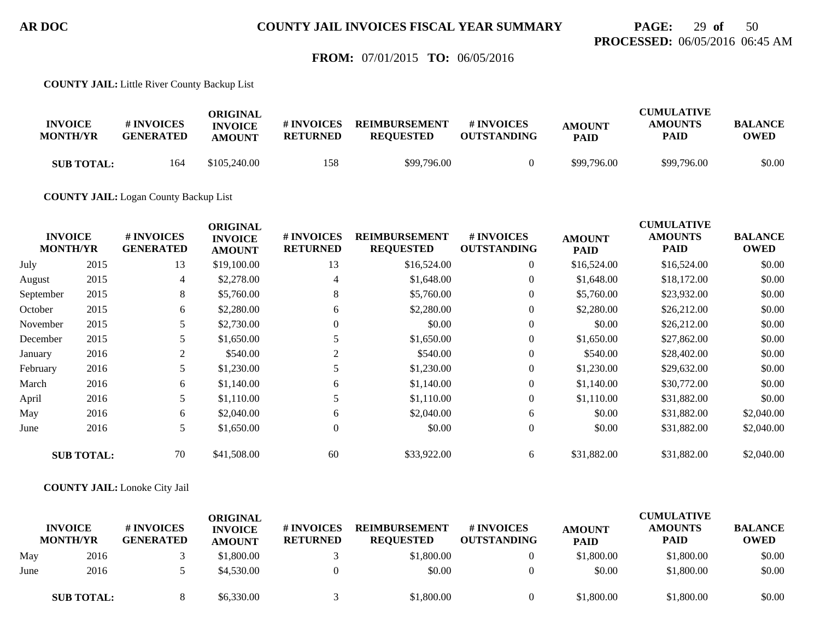## **PAGE:** 29 **of** 50 **PROCESSED:** 06/05/2016 06:45 AM

### **FROM:** 07/01/2015 **TO:** 06/05/2016

**COUNTY JAIL:** Little River County Backup List

| <b>INVOICE</b><br><b>MONTH/YR</b> | # INVOICES<br><b>GENERATED</b> | ORIGINAL<br><b>INVOICE</b><br><b>AMOUNT</b> | # INVOICES<br><b>RETURNED</b> | <b>REIMBURSEMENT</b><br><b>REOUESTED</b> | <b>#INVOICES</b><br><b>OUTSTANDING</b> | <b>AMOUNT</b><br><b>PAID</b> | <b>CUMULATIVE</b><br><b>AMOUNTS</b><br><b>PAID</b> | <b>BALANCE</b><br><b>OWED</b> |
|-----------------------------------|--------------------------------|---------------------------------------------|-------------------------------|------------------------------------------|----------------------------------------|------------------------------|----------------------------------------------------|-------------------------------|
| <b>SUB TOTAL:</b>                 | 164                            | \$105,240.00                                | 158                           | \$99,796.00                              |                                        | \$99,796.00                  | \$99,796.00                                        | \$0.00                        |

**COUNTY JAIL:** Logan County Backup List

|           | <b>INVOICE</b><br><b>MONTH/YR</b> | # INVOICES<br><b>GENERATED</b> | <b>ORIGINAL</b><br><b>INVOICE</b><br><b>AMOUNT</b> | # INVOICES<br><b>RETURNED</b> | <b>REIMBURSEMENT</b><br><b>REQUESTED</b> | # INVOICES<br><b>OUTSTANDING</b> | <b>AMOUNT</b><br><b>PAID</b> | <b>CUMULATIVE</b><br><b>AMOUNTS</b><br><b>PAID</b> | <b>BALANCE</b><br><b>OWED</b> |
|-----------|-----------------------------------|--------------------------------|----------------------------------------------------|-------------------------------|------------------------------------------|----------------------------------|------------------------------|----------------------------------------------------|-------------------------------|
| July      | 2015                              | 13                             | \$19,100.00                                        | 13                            | \$16,524.00                              | $\overline{0}$                   | \$16,524.00                  | \$16,524.00                                        | \$0.00                        |
| August    | 2015                              | 4                              | \$2,278.00                                         | $\overline{4}$                | \$1,648.00                               | $\overline{0}$                   | \$1,648.00                   | \$18,172.00                                        | \$0.00                        |
| September | 2015                              | 8                              | \$5,760.00                                         | 8                             | \$5,760.00                               | $\overline{0}$                   | \$5,760.00                   | \$23,932.00                                        | \$0.00                        |
| October   | 2015                              | 6                              | \$2,280.00                                         | 6                             | \$2,280.00                               | $\overline{0}$                   | \$2,280.00                   | \$26,212.00                                        | \$0.00                        |
| November  | 2015                              | 5                              | \$2,730.00                                         | $\Omega$                      | \$0.00                                   | $\overline{0}$                   | \$0.00                       | \$26,212.00                                        | \$0.00                        |
| December  | 2015                              | 5                              | \$1,650.00                                         |                               | \$1,650.00                               | $\overline{0}$                   | \$1,650.00                   | \$27,862.00                                        | \$0.00                        |
| January   | 2016                              | $\overline{2}$                 | \$540.00                                           | $\overline{2}$                | \$540.00                                 | $\overline{0}$                   | \$540.00                     | \$28,402.00                                        | \$0.00                        |
| February  | 2016                              | 5                              | \$1,230.00                                         |                               | \$1,230.00                               | $\boldsymbol{0}$                 | \$1,230.00                   | \$29,632.00                                        | \$0.00                        |
| March     | 2016                              | 6                              | \$1,140.00                                         | 6                             | \$1,140.00                               | $\overline{0}$                   | \$1,140.00                   | \$30,772.00                                        | \$0.00                        |
| April     | 2016                              | 5                              | \$1,110.00                                         |                               | \$1,110.00                               | $\mathbf{0}$                     | \$1,110.00                   | \$31,882.00                                        | \$0.00                        |
| May       | 2016                              | 6                              | \$2,040.00                                         | 6                             | \$2,040.00                               | 6                                | \$0.00                       | \$31,882.00                                        | \$2,040.00                    |
| June      | 2016                              | 5                              | \$1,650.00                                         | $\overline{0}$                | \$0.00                                   | $\overline{0}$                   | \$0.00                       | \$31,882.00                                        | \$2,040.00                    |
|           | <b>SUB TOTAL:</b>                 | 70                             | \$41,508.00                                        | 60                            | \$33,922.00                              | 6                                | \$31,882.00                  | \$31,882.00                                        | \$2,040.00                    |

**COUNTY JAIL:** Lonoke City Jail

|      | <b>INVOICE</b><br><b>MONTH/YR</b> | # INVOICES<br><b>GENERATED</b> | ORIGINAL<br><b>INVOICE</b><br><b>AMOUNT</b> | # INVOICES<br><b>RETURNED</b> | <b>REIMBURSEMENT</b><br><b>REOUESTED</b> | <b>#INVOICES</b><br><b>OUTSTANDING</b> | <b>AMOUNT</b><br><b>PAID</b> | <b>CUMULATIVE</b><br><b>AMOUNTS</b><br><b>PAID</b> | <b>BALANCE</b><br><b>OWED</b> |
|------|-----------------------------------|--------------------------------|---------------------------------------------|-------------------------------|------------------------------------------|----------------------------------------|------------------------------|----------------------------------------------------|-------------------------------|
| May  | 2016                              |                                | \$1,800.00                                  |                               | \$1,800.00                               |                                        | \$1,800.00                   | \$1,800.00                                         | \$0.00                        |
| June | 2016                              |                                | \$4,530.00                                  |                               | \$0.00                                   |                                        | \$0.00                       | \$1,800.00                                         | \$0.00                        |
|      | <b>SUB TOTAL:</b>                 |                                | \$6,330.00                                  |                               | \$1,800.00                               |                                        | \$1,800.00                   | \$1,800.00                                         | \$0.00                        |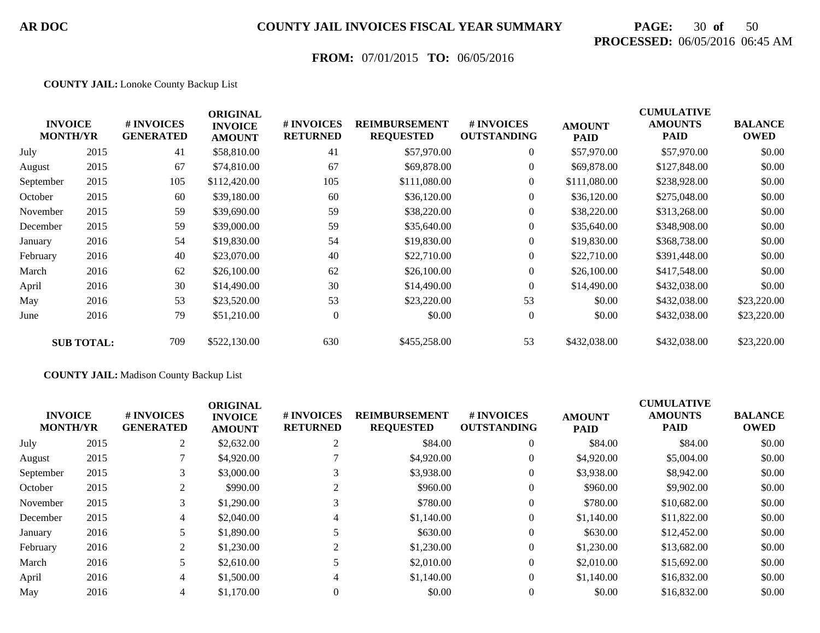# **PAGE:** 30 **of** 50 **PROCESSED:** 06/05/2016 06:45 AM

## **FROM:** 07/01/2015 **TO:** 06/05/2016

#### **COUNTY JAIL:** Lonoke County Backup List

|           | <b>INVOICE</b><br><b>MONTH/YR</b> | # INVOICES<br><b>GENERATED</b> | <b>ORIGINAL</b><br><b>INVOICE</b><br><b>AMOUNT</b> | # INVOICES<br><b>RETURNED</b> | <b>REIMBURSEMENT</b><br><b>REQUESTED</b> | # INVOICES<br><b>OUTSTANDING</b> | <b>AMOUNT</b><br><b>PAID</b> | <b>CUMULATIVE</b><br><b>AMOUNTS</b><br>PAID | <b>BALANCE</b><br><b>OWED</b> |
|-----------|-----------------------------------|--------------------------------|----------------------------------------------------|-------------------------------|------------------------------------------|----------------------------------|------------------------------|---------------------------------------------|-------------------------------|
| July      | 2015                              | 41                             | \$58,810.00                                        | 41                            | \$57,970.00                              | $\overline{0}$                   | \$57,970.00                  | \$57,970.00                                 | \$0.00                        |
| August    | 2015                              | 67                             | \$74,810.00                                        | 67                            | \$69,878.00                              | $\overline{0}$                   | \$69,878.00                  | \$127,848.00                                | \$0.00                        |
| September | 2015                              | 105                            | \$112,420.00                                       | 105                           | \$111,080.00                             | $\overline{0}$                   | \$111,080.00                 | \$238,928.00                                | \$0.00                        |
| October   | 2015                              | 60                             | \$39,180.00                                        | 60                            | \$36,120.00                              | $\overline{0}$                   | \$36,120.00                  | \$275,048.00                                | \$0.00                        |
| November  | 2015                              | 59                             | \$39,690.00                                        | 59                            | \$38,220.00                              | $\overline{0}$                   | \$38,220.00                  | \$313,268.00                                | \$0.00                        |
| December  | 2015                              | 59                             | \$39,000.00                                        | 59                            | \$35,640.00                              | $\overline{0}$                   | \$35,640.00                  | \$348,908.00                                | \$0.00                        |
| January   | 2016                              | 54                             | \$19,830.00                                        | 54                            | \$19,830.00                              | $\overline{0}$                   | \$19,830.00                  | \$368,738.00                                | \$0.00                        |
| February  | 2016                              | 40                             | \$23,070.00                                        | 40                            | \$22,710.00                              | $\boldsymbol{0}$                 | \$22,710.00                  | \$391,448.00                                | \$0.00                        |
| March     | 2016                              | 62                             | \$26,100.00                                        | 62                            | \$26,100.00                              | $\overline{0}$                   | \$26,100.00                  | \$417,548.00                                | \$0.00                        |
| April     | 2016                              | 30                             | \$14,490.00                                        | 30                            | \$14,490.00                              | $\Omega$                         | \$14,490.00                  | \$432,038.00                                | \$0.00                        |
| May       | 2016                              | 53                             | \$23,520.00                                        | 53                            | \$23,220.00                              | 53                               | \$0.00                       | \$432,038.00                                | \$23,220.00                   |
| June      | 2016                              | 79                             | \$51,210.00                                        | $\overline{0}$                | \$0.00                                   | $\overline{0}$                   | \$0.00                       | \$432,038.00                                | \$23,220.00                   |
|           | <b>SUB TOTAL:</b>                 | 709                            | \$522,130.00                                       | 630                           | \$455,258.00                             | 53                               | \$432,038.00                 | \$432,038.00                                | \$23,220.00                   |

#### **COUNTY JAIL:** Madison County Backup List

| <b>INVOICE</b><br><b>MONTH/YR</b> |      | <b>#INVOICES</b><br><b>GENERATED</b> | <b>ORIGINAL</b><br><b>INVOICE</b><br><b>AMOUNT</b> | # INVOICES<br><b>RETURNED</b> | <b>REIMBURSEMENT</b><br><b>REQUESTED</b> | # INVOICES<br><b>OUTSTANDING</b> | <b>AMOUNT</b><br><b>PAID</b> | <b>CUMULATIVE</b><br><b>AMOUNTS</b><br><b>PAID</b> | <b>BALANCE</b><br><b>OWED</b> |
|-----------------------------------|------|--------------------------------------|----------------------------------------------------|-------------------------------|------------------------------------------|----------------------------------|------------------------------|----------------------------------------------------|-------------------------------|
| July                              | 2015 | 2                                    | \$2,632.00                                         |                               | \$84.00                                  | $\overline{0}$                   | \$84.00                      | \$84.00                                            | \$0.00                        |
| August                            | 2015 |                                      | \$4,920.00                                         |                               | \$4,920.00                               | $\overline{0}$                   | \$4,920.00                   | \$5,004.00                                         | \$0.00                        |
| September                         | 2015 | 3                                    | \$3,000.00                                         |                               | \$3,938.00                               | $\overline{0}$                   | \$3,938.00                   | \$8,942.00                                         | \$0.00                        |
| October                           | 2015 | 2                                    | \$990.00                                           | 2                             | \$960.00                                 | $\overline{0}$                   | \$960.00                     | \$9,902.00                                         | \$0.00                        |
| November                          | 2015 | 3                                    | \$1,290.00                                         |                               | \$780.00                                 | $\overline{0}$                   | \$780.00                     | \$10,682.00                                        | \$0.00                        |
| December                          | 2015 | 4                                    | \$2,040.00                                         | 4                             | \$1,140.00                               | $\overline{0}$                   | \$1,140.00                   | \$11,822.00                                        | \$0.00                        |
| January                           | 2016 |                                      | \$1,890.00                                         |                               | \$630.00                                 | $\mathbf{0}$                     | \$630.00                     | \$12,452.00                                        | \$0.00                        |
| February                          | 2016 | 2                                    | \$1,230.00                                         | 2                             | \$1,230.00                               | $\overline{0}$                   | \$1,230.00                   | \$13,682.00                                        | \$0.00                        |
| March                             | 2016 | 5.                                   | \$2,610.00                                         |                               | \$2,010.00                               | $\overline{0}$                   | \$2,010.00                   | \$15,692.00                                        | \$0.00                        |
| April                             | 2016 | 4                                    | \$1,500.00                                         | 4                             | \$1,140.00                               | $\overline{0}$                   | \$1,140.00                   | \$16,832.00                                        | \$0.00                        |
| May                               | 2016 | $\overline{4}$                       | \$1,170.00                                         |                               | \$0.00                                   | $\mathbf{0}$                     | \$0.00                       | \$16,832.00                                        | \$0.00                        |
|                                   |      |                                      |                                                    |                               |                                          |                                  |                              |                                                    |                               |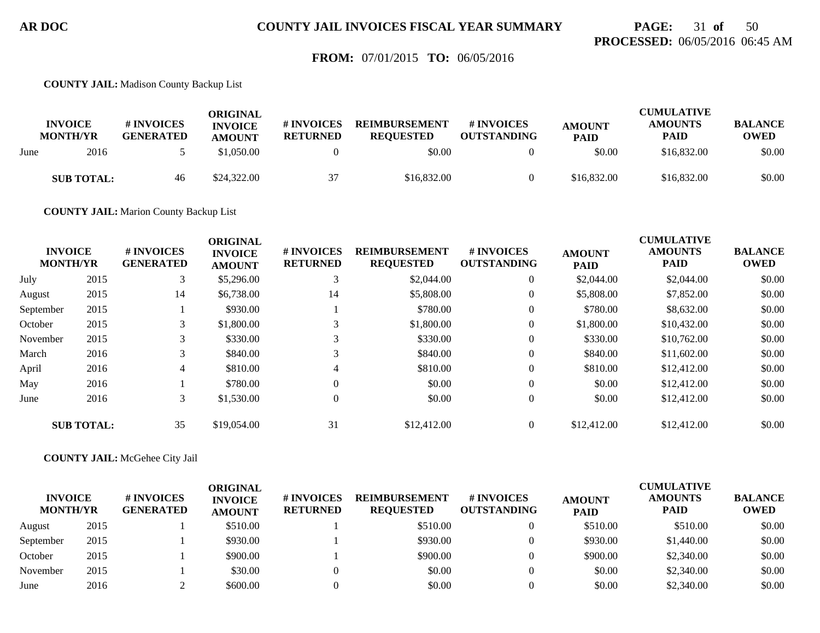## **PAGE:** 31 **of** 50 **PROCESSED:** 06/05/2016 06:45 AM

### **FROM:** 07/01/2015 **TO:** 06/05/2016

**COUNTY JAIL:** Madison County Backup List

|      | <b>INVOICE</b><br><b>MONTH/YR</b> | # INVOICES<br><b>GENERATED</b> | ORIGINAL<br><b>INVOICE</b><br><b>AMOUNT</b> | # INVOICES<br><b>RETURNED</b> | <b>REIMBURSEMENT</b><br><b>REOUESTED</b> | # INVOICES<br><b>OUTSTANDING</b> | <b>AMOUNT</b><br><b>PAID</b> | <b>CUMULATIVE</b><br><b>AMOUNTS</b><br><b>PAID</b> | <b>BALANCE</b><br>OWED |
|------|-----------------------------------|--------------------------------|---------------------------------------------|-------------------------------|------------------------------------------|----------------------------------|------------------------------|----------------------------------------------------|------------------------|
| June | 2016                              |                                | \$1,050.00                                  |                               | \$0.00                                   |                                  | \$0.00                       | \$16,832.00                                        | \$0.00                 |
|      | <b>SUB TOTAL:</b>                 | 46                             | \$24,322,00                                 | 37                            | \$16,832.00                              |                                  | \$16,832.00                  | \$16,832.00                                        | \$0.00                 |

**COUNTY JAIL:** Marion County Backup List

|           | <b>INVOICE</b><br><b>MONTH/YR</b> | # INVOICES<br><b>GENERATED</b> | <b>ORIGINAL</b><br><b>INVOICE</b><br><b>AMOUNT</b> | # INVOICES<br><b>RETURNED</b> | <b>REIMBURSEMENT</b><br><b>REQUESTED</b> | # INVOICES<br><b>OUTSTANDING</b> | <b>AMOUNT</b><br><b>PAID</b> | <b>CUMULATIVE</b><br><b>AMOUNTS</b><br><b>PAID</b> | <b>BALANCE</b><br><b>OWED</b> |
|-----------|-----------------------------------|--------------------------------|----------------------------------------------------|-------------------------------|------------------------------------------|----------------------------------|------------------------------|----------------------------------------------------|-------------------------------|
| July      | 2015                              | 3                              | \$5,296.00                                         | 3                             | \$2,044.00                               | $\overline{0}$                   | \$2,044.00                   | \$2,044.00                                         | \$0.00                        |
| August    | 2015                              | 14                             | \$6,738.00                                         | 14                            | \$5,808,00                               | $\overline{0}$                   | \$5,808.00                   | \$7,852.00                                         | \$0.00                        |
| September | 2015                              |                                | \$930.00                                           |                               | \$780.00                                 | $\overline{0}$                   | \$780.00                     | \$8,632.00                                         | \$0.00                        |
| October   | 2015                              | 3                              | \$1,800.00                                         | 3                             | \$1,800.00                               | $\overline{0}$                   | \$1,800.00                   | \$10,432.00                                        | \$0.00                        |
| November  | 2015                              | 3                              | \$330.00                                           | 3                             | \$330.00                                 | $\overline{0}$                   | \$330.00                     | \$10,762.00                                        | \$0.00                        |
| March     | 2016                              | 3                              | \$840.00                                           | 3                             | \$840.00                                 | $\overline{0}$                   | \$840.00                     | \$11,602.00                                        | \$0.00                        |
| April     | 2016                              | 4                              | \$810.00                                           | 4                             | \$810.00                                 | $\overline{0}$                   | \$810.00                     | \$12,412.00                                        | \$0.00                        |
| May       | 2016                              |                                | \$780.00                                           | 0                             | \$0.00                                   | $\overline{0}$                   | \$0.00                       | \$12,412.00                                        | \$0.00                        |
| June      | 2016                              | 3                              | \$1,530.00                                         | $\theta$                      | \$0.00                                   | $\overline{0}$                   | \$0.00                       | \$12,412.00                                        | \$0.00                        |
|           | <b>SUB TOTAL:</b>                 | 35                             | \$19,054.00                                        | 31                            | \$12,412.00                              | $\Omega$                         | \$12,412.00                  | \$12,412.00                                        | \$0.00                        |

#### **COUNTY JAIL:** McGehee City Jail

| <b>INVOICE</b><br><b>MONTH/YR</b> |      | # INVOICES<br><b>GENERATED</b> | ORIGINAL<br><b>INVOICE</b><br><b>AMOUNT</b> | # INVOICES<br><b>RETURNED</b> | <b>REIMBURSEMENT</b><br><b>REQUESTED</b> | # INVOICES<br><b>OUTSTANDING</b> | <b>AMOUNT</b><br><b>PAID</b> | <b>CUMULATIVE</b><br><b>AMOUNTS</b><br><b>PAID</b> | <b>BALANCE</b><br><b>OWED</b> |
|-----------------------------------|------|--------------------------------|---------------------------------------------|-------------------------------|------------------------------------------|----------------------------------|------------------------------|----------------------------------------------------|-------------------------------|
| August                            | 2015 |                                | \$510.00                                    |                               | \$510.00                                 |                                  | \$510.00                     | \$510.00                                           | \$0.00                        |
| September                         | 2015 |                                | \$930.00                                    |                               | \$930.00                                 |                                  | \$930.00                     | \$1,440.00                                         | \$0.00                        |
| October                           | 2015 |                                | \$900.00                                    |                               | \$900.00                                 |                                  | \$900.00                     | \$2,340.00                                         | \$0.00                        |
| November                          | 2015 |                                | \$30.00                                     |                               | \$0.00                                   |                                  | \$0.00                       | \$2,340.00                                         | \$0.00                        |
| June                              | 2016 |                                | \$600.00                                    |                               | \$0.00                                   |                                  | \$0.00                       | \$2,340.00                                         | \$0.00                        |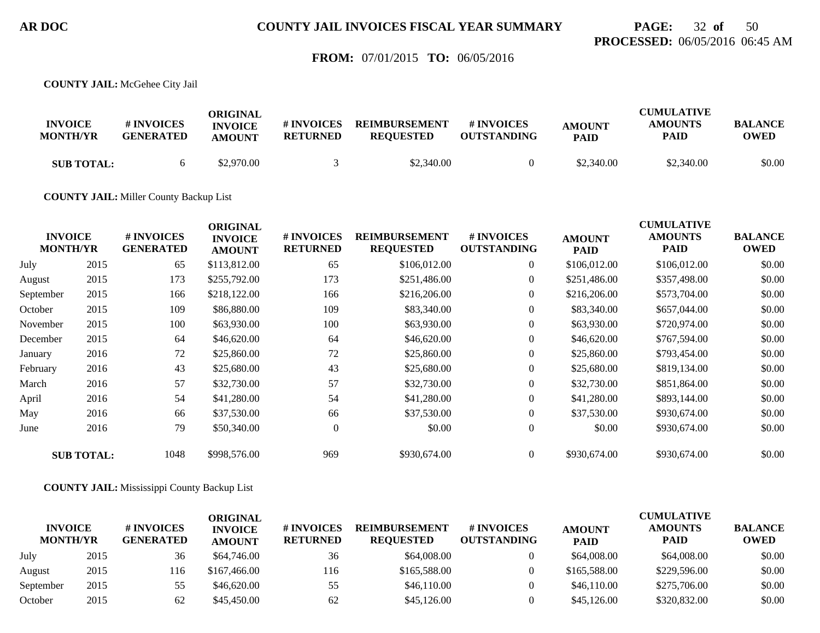## **PAGE:** 32 **of** 50 **PROCESSED:** 06/05/2016 06:45 AM

### **FROM:** 07/01/2015 **TO:** 06/05/2016

**COUNTY JAIL:** McGehee City Jail

| <b>INVOICE</b><br><b>MONTH/YR</b> | # INVOICES<br><b>GENERATED</b> | ORIGINAL<br><b>INVOICE</b><br><b>AMOUNT</b> | # INVOICES<br><b>RETURNED</b> | <b>REIMBURSEMENT</b><br><b>REOUESTED</b> | # INVOICES<br><b>OUTSTANDING</b> | <b>AMOUNT</b><br><b>PAID</b> | <b>CUMULATIVE</b><br><b>AMOUNTS</b><br><b>PAID</b> | <b>BALANCE</b><br><b>OWED</b> |
|-----------------------------------|--------------------------------|---------------------------------------------|-------------------------------|------------------------------------------|----------------------------------|------------------------------|----------------------------------------------------|-------------------------------|
| <b>SUB TOTAL:</b>                 |                                | \$2,970.00                                  |                               | \$2,340.00                               |                                  | \$2,340.00                   | \$2,340.00                                         | \$0.00                        |

**COUNTY JAIL:** Miller County Backup List

|           | <b>INVOICE</b><br><b>MONTH/YR</b> | # INVOICES<br><b>GENERATED</b> | <b>ORIGINAL</b><br><b>INVOICE</b><br><b>AMOUNT</b> | # INVOICES<br><b>RETURNED</b> | <b>REIMBURSEMENT</b><br><b>REQUESTED</b> | # INVOICES<br><b>OUTSTANDING</b> | <b>AMOUNT</b><br><b>PAID</b> | <b>CUMULATIVE</b><br><b>AMOUNTS</b><br><b>PAID</b> | <b>BALANCE</b><br><b>OWED</b> |
|-----------|-----------------------------------|--------------------------------|----------------------------------------------------|-------------------------------|------------------------------------------|----------------------------------|------------------------------|----------------------------------------------------|-------------------------------|
| July      | 2015                              | 65                             | \$113,812.00                                       | 65                            | \$106,012.00                             | $\boldsymbol{0}$                 | \$106,012.00                 | \$106,012.00                                       | \$0.00                        |
| August    | 2015                              | 173                            | \$255,792.00                                       | 173                           | \$251,486.00                             | $\overline{0}$                   | \$251,486.00                 | \$357,498.00                                       | \$0.00                        |
| September | 2015                              | 166                            | \$218,122.00                                       | 166                           | \$216,206.00                             | $\overline{0}$                   | \$216,206.00                 | \$573,704.00                                       | \$0.00                        |
| October   | 2015                              | 109                            | \$86,880.00                                        | 109                           | \$83,340.00                              | $\boldsymbol{0}$                 | \$83,340.00                  | \$657,044.00                                       | \$0.00                        |
| November  | 2015                              | 100                            | \$63,930.00                                        | 100                           | \$63,930.00                              | $\overline{0}$                   | \$63,930.00                  | \$720,974.00                                       | \$0.00                        |
| December  | 2015                              | 64                             | \$46,620.00                                        | 64                            | \$46,620.00                              | $\boldsymbol{0}$                 | \$46,620.00                  | \$767,594.00                                       | \$0.00                        |
| January   | 2016                              | 72                             | \$25,860.00                                        | 72                            | \$25,860.00                              | $\overline{0}$                   | \$25,860.00                  | \$793,454.00                                       | \$0.00                        |
| February  | 2016                              | 43                             | \$25,680.00                                        | 43                            | \$25,680.00                              | $\boldsymbol{0}$                 | \$25,680.00                  | \$819,134.00                                       | \$0.00                        |
| March     | 2016                              | 57                             | \$32,730.00                                        | 57                            | \$32,730.00                              | $\overline{0}$                   | \$32,730.00                  | \$851,864.00                                       | \$0.00                        |
| April     | 2016                              | 54                             | \$41,280.00                                        | 54                            | \$41,280.00                              | $\overline{0}$                   | \$41,280.00                  | \$893,144.00                                       | \$0.00                        |
| May       | 2016                              | 66                             | \$37,530.00                                        | 66                            | \$37,530.00                              | $\boldsymbol{0}$                 | \$37,530.00                  | \$930,674.00                                       | \$0.00                        |
| June      | 2016                              | 79                             | \$50,340.00                                        | $\overline{0}$                | \$0.00                                   | $\mathbf{0}$                     | \$0.00                       | \$930,674.00                                       | \$0.00                        |
|           | <b>SUB TOTAL:</b>                 | 1048                           | \$998,576.00                                       | 969                           | \$930,674.00                             | $\Omega$                         | \$930,674.00                 | \$930,674.00                                       | \$0.00                        |

**COUNTY JAIL:** Mississippi County Backup List

| <b>INVOICE</b><br><b>MONTH/YR</b> |      | <b># INVOICES</b><br><b>GENERATED</b> | ORIGINAL<br><b>INVOICE</b><br><b>AMOUNT</b> | <b># INVOICES</b><br><b>RETURNED</b> | <b>REIMBURSEMENT</b><br><b>REOUESTED</b> | <b>#INVOICES</b><br><b>OUTSTANDING</b> | <b>AMOUNT</b><br><b>PAID</b> | <b>CUMULATIVE</b><br><b>AMOUNTS</b><br><b>PAID</b> | <b>BALANCE</b><br><b>OWED</b> |
|-----------------------------------|------|---------------------------------------|---------------------------------------------|--------------------------------------|------------------------------------------|----------------------------------------|------------------------------|----------------------------------------------------|-------------------------------|
| July                              | 2015 | 36                                    | \$64,746.00                                 | 36                                   | \$64,008.00                              |                                        | \$64,008.00                  | \$64,008.00                                        | \$0.00                        |
| August                            | 2015 | 116                                   | \$167,466,00                                | 116                                  | \$165,588.00                             |                                        | \$165,588.00                 | \$229,596.00                                       | \$0.00                        |
| September                         | 2015 | 55                                    | \$46,620.00                                 | 55                                   | \$46,110.00                              |                                        | \$46,110.00                  | \$275,706.00                                       | \$0.00                        |
| October                           | 2015 | 62                                    | \$45,450.00                                 | 62                                   | \$45,126.00                              |                                        | \$45,126.00                  | \$320,832.00                                       | \$0.00                        |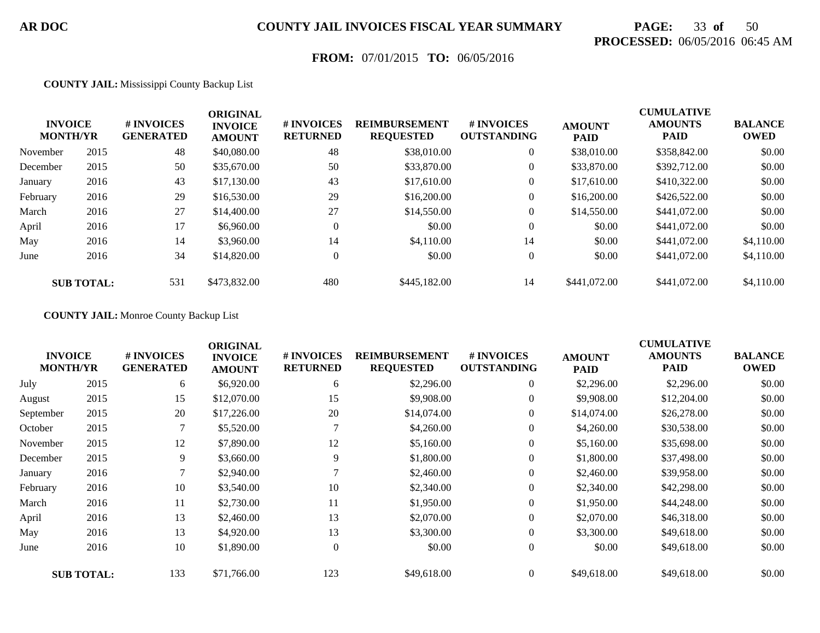# **PAGE:** 33 **of** 50 **PROCESSED:** 06/05/2016 06:45 AM

## **FROM:** 07/01/2015 **TO:** 06/05/2016

#### **COUNTY JAIL:** Mississippi County Backup List

|          | <b>INVOICE</b><br><b>MONTH/YR</b> | # INVOICES<br><b>GENERATED</b> | <b>ORIGINAL</b><br><b>INVOICE</b><br><b>AMOUNT</b> | # INVOICES<br><b>RETURNED</b> | <b>REIMBURSEMENT</b><br><b>REQUESTED</b> | # INVOICES<br><b>OUTSTANDING</b> | <b>AMOUNT</b><br><b>PAID</b> | <b>CUMULATIVE</b><br><b>AMOUNTS</b><br><b>PAID</b> | <b>BALANCE</b><br><b>OWED</b> |
|----------|-----------------------------------|--------------------------------|----------------------------------------------------|-------------------------------|------------------------------------------|----------------------------------|------------------------------|----------------------------------------------------|-------------------------------|
| November | 2015                              | 48                             | \$40,080.00                                        | 48                            | \$38,010.00                              | $\overline{0}$                   | \$38,010.00                  | \$358,842.00                                       | \$0.00                        |
| December | 2015                              | 50                             | \$35,670.00                                        | 50                            | \$33,870.00                              | $\boldsymbol{0}$                 | \$33,870.00                  | \$392,712.00                                       | \$0.00                        |
| January  | 2016                              | 43                             | \$17,130.00                                        | 43                            | \$17,610.00                              | $\overline{0}$                   | \$17,610.00                  | \$410,322.00                                       | \$0.00                        |
| February | 2016                              | 29                             | \$16,530.00                                        | 29                            | \$16,200.00                              | $\overline{0}$                   | \$16,200.00                  | \$426,522.00                                       | \$0.00                        |
| March    | 2016                              | 27                             | \$14,400.00                                        | 27                            | \$14,550.00                              | $\boldsymbol{0}$                 | \$14,550.00                  | \$441,072.00                                       | \$0.00                        |
| April    | 2016                              | 17                             | \$6,960.00                                         | $\overline{0}$                | \$0.00                                   | $\overline{0}$                   | \$0.00                       | \$441,072.00                                       | \$0.00                        |
| May      | 2016                              | 14                             | \$3,960.00                                         | 14                            | \$4.110.00                               | 14                               | \$0.00                       | \$441,072.00                                       | \$4,110.00                    |
| June     | 2016                              | 34                             | \$14,820.00                                        | $\overline{0}$                | \$0.00                                   | $\overline{0}$                   | \$0.00                       | \$441,072.00                                       | \$4,110.00                    |
|          | <b>SUB TOTAL:</b>                 | 531                            | \$473,832.00                                       | 480                           | \$445,182,00                             | 14                               | \$441,072.00                 | \$441,072.00                                       | \$4,110.00                    |

#### **COUNTY JAIL:** Monroe County Backup List

| <b>INVOICE</b><br><b>MONTH/YR</b> |                   | # INVOICES<br><b>GENERATED</b> | <b>ORIGINAL</b><br><b>INVOICE</b><br><b>AMOUNT</b> | # INVOICES<br><b>RETURNED</b> | <b>REIMBURSEMENT</b><br><b>REQUESTED</b> | # INVOICES<br><b>OUTSTANDING</b> | <b>AMOUNT</b><br><b>PAID</b> | <b>CUMULATIVE</b><br><b>AMOUNTS</b><br><b>PAID</b> | <b>BALANCE</b><br><b>OWED</b> |
|-----------------------------------|-------------------|--------------------------------|----------------------------------------------------|-------------------------------|------------------------------------------|----------------------------------|------------------------------|----------------------------------------------------|-------------------------------|
| July                              | 2015              | 6                              | \$6,920.00                                         | 6                             | \$2,296.00                               | $\boldsymbol{0}$                 | \$2,296.00                   | \$2,296.00                                         | \$0.00                        |
| August                            | 2015              | 15                             | \$12,070.00                                        | 15                            | \$9,908.00                               | $\overline{0}$                   | \$9,908.00                   | \$12,204.00                                        | \$0.00                        |
| September                         | 2015              | 20                             | \$17,226.00                                        | 20                            | \$14,074.00                              | $\overline{0}$                   | \$14,074.00                  | \$26,278.00                                        | \$0.00                        |
| October                           | 2015              | 7                              | \$5,520.00                                         |                               | \$4,260.00                               | $\boldsymbol{0}$                 | \$4,260.00                   | \$30,538.00                                        | \$0.00                        |
| November                          | 2015              | 12                             | \$7,890.00                                         | 12                            | \$5,160.00                               | $\overline{0}$                   | \$5,160.00                   | \$35,698.00                                        | \$0.00                        |
| December                          | 2015              | 9                              | \$3,660.00                                         | 9                             | \$1,800.00                               | $\overline{0}$                   | \$1,800.00                   | \$37,498.00                                        | \$0.00                        |
| January                           | 2016              | 7                              | \$2,940.00                                         |                               | \$2,460.00                               | $\boldsymbol{0}$                 | \$2,460.00                   | \$39,958.00                                        | \$0.00                        |
| February                          | 2016              | 10                             | \$3,540.00                                         | 10                            | \$2,340.00                               | $\overline{0}$                   | \$2,340.00                   | \$42,298.00                                        | \$0.00                        |
| March                             | 2016              | 11                             | \$2,730.00                                         | 11                            | \$1,950.00                               | $\overline{0}$                   | \$1,950.00                   | \$44,248.00                                        | \$0.00                        |
| April                             | 2016              | 13                             | \$2,460.00                                         | 13                            | \$2,070.00                               | $\overline{0}$                   | \$2,070.00                   | \$46,318.00                                        | \$0.00                        |
| May                               | 2016              | 13                             | \$4,920.00                                         | 13                            | \$3,300.00                               | $\overline{0}$                   | \$3,300.00                   | \$49,618.00                                        | \$0.00                        |
| June                              | 2016              | 10                             | \$1,890.00                                         | $\theta$                      | \$0.00                                   | $\overline{0}$                   | \$0.00                       | \$49,618.00                                        | \$0.00                        |
|                                   | <b>SUB TOTAL:</b> | 133                            | \$71,766.00                                        | 123                           | \$49,618.00                              |                                  | \$49,618.00                  | \$49,618.00                                        | \$0.00                        |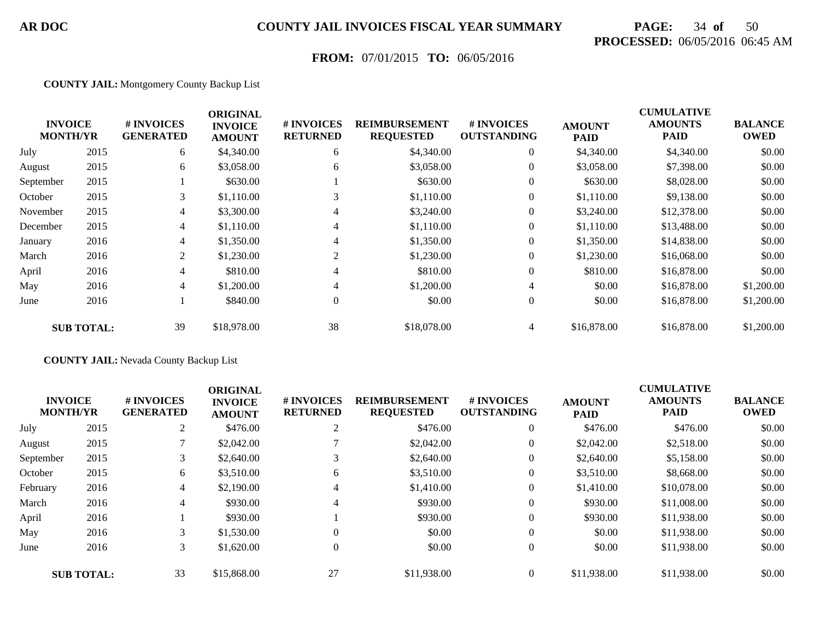# **PAGE:** 34 **of** 50 **PROCESSED:** 06/05/2016 06:45 AM

## **FROM:** 07/01/2015 **TO:** 06/05/2016

#### **COUNTY JAIL:** Montgomery County Backup List

|                                   |                   |                                | <b>ORIGINAL</b>                 |                               |                                          |                                  |                              | <b>CUMULATIVE</b>             |                               |
|-----------------------------------|-------------------|--------------------------------|---------------------------------|-------------------------------|------------------------------------------|----------------------------------|------------------------------|-------------------------------|-------------------------------|
| <b>INVOICE</b><br><b>MONTH/YR</b> |                   | # INVOICES<br><b>GENERATED</b> | <b>INVOICE</b><br><b>AMOUNT</b> | # INVOICES<br><b>RETURNED</b> | <b>REIMBURSEMENT</b><br><b>REQUESTED</b> | # INVOICES<br><b>OUTSTANDING</b> | <b>AMOUNT</b><br><b>PAID</b> | <b>AMOUNTS</b><br><b>PAID</b> | <b>BALANCE</b><br><b>OWED</b> |
| July                              | 2015              | 6                              | \$4,340.00                      | 6                             | \$4,340.00                               | $\mathbf{0}$                     | \$4,340.00                   | \$4,340.00                    | \$0.00                        |
| August                            | 2015              | 6                              | \$3,058.00                      | 6                             | \$3,058.00                               | 0                                | \$3,058.00                   | \$7,398.00                    | \$0.00                        |
| September                         | 2015              |                                | \$630.00                        |                               | \$630.00                                 | $\mathbf{0}$                     | \$630.00                     | \$8,028.00                    | \$0.00                        |
| October                           | 2015              | 3                              | \$1,110.00                      | 3                             | \$1,110.00                               | $\boldsymbol{0}$                 | \$1,110.00                   | \$9,138.00                    | \$0.00                        |
| November                          | 2015              | 4                              | \$3,300.00                      | $\overline{4}$                | \$3,240.00                               | $\theta$                         | \$3,240.00                   | \$12,378.00                   | \$0.00                        |
| December                          | 2015              | 4                              | \$1,110.00                      | $\overline{4}$                | \$1,110.00                               | $\mathbf{0}$                     | \$1,110.00                   | \$13,488.00                   | \$0.00                        |
| January                           | 2016              | 4                              | \$1,350.00                      | 4                             | \$1,350.00                               | $\mathbf{0}$                     | \$1,350.00                   | \$14,838.00                   | \$0.00                        |
| March                             | 2016              | 2                              | \$1,230.00                      | 2                             | \$1,230.00                               | $\mathbf{0}$                     | \$1,230.00                   | \$16,068.00                   | \$0.00                        |
| April                             | 2016              | 4                              | \$810.00                        | 4                             | \$810.00                                 | $\mathbf{0}$                     | \$810.00                     | \$16,878.00                   | \$0.00                        |
| May                               | 2016              | 4                              | \$1,200.00                      | $\overline{4}$                | \$1,200.00                               | $\overline{4}$                   | \$0.00                       | \$16,878.00                   | \$1,200.00                    |
| June                              | 2016              |                                | \$840.00                        | $\theta$                      | \$0.00                                   | $\boldsymbol{0}$                 | \$0.00                       | \$16,878.00                   | \$1,200.00                    |
|                                   | <b>SUB TOTAL:</b> | 39                             | \$18,978.00                     | 38                            | \$18,078.00                              | 4                                | \$16,878.00                  | \$16,878.00                   | \$1,200.00                    |

#### **COUNTY JAIL:** Nevada County Backup List

|           | <b>INVOICE</b><br><b>MONTH/YR</b> | # INVOICES<br><b>GENERATED</b> | <b>ORIGINAL</b><br><b>INVOICE</b><br><b>AMOUNT</b> | # INVOICES<br><b>RETURNED</b> | <b>REIMBURSEMENT</b><br><b>REQUESTED</b> | # INVOICES<br><b>OUTSTANDING</b> | <b>AMOUNT</b><br><b>PAID</b> | <b>CUMULATIVE</b><br><b>AMOUNTS</b><br><b>PAID</b> | <b>BALANCE</b><br><b>OWED</b> |
|-----------|-----------------------------------|--------------------------------|----------------------------------------------------|-------------------------------|------------------------------------------|----------------------------------|------------------------------|----------------------------------------------------|-------------------------------|
| July      | 2015                              | $\sim$<br>∠                    | \$476.00                                           | $\sim$                        | \$476.00                                 | $\mathbf{0}$                     | \$476.00                     | \$476.00                                           | \$0.00                        |
| August    | 2015                              |                                | \$2,042.00                                         |                               | \$2,042.00                               | $\theta$                         | \$2,042.00                   | \$2,518.00                                         | \$0.00                        |
| September | 2015                              | 3                              | \$2,640.00                                         |                               | \$2,640.00                               | $\theta$                         | \$2,640.00                   | \$5,158.00                                         | \$0.00                        |
| October   | 2015                              | 6                              | \$3,510.00                                         | 6                             | \$3,510.00                               | $\theta$                         | \$3,510.00                   | \$8,668.00                                         | \$0.00                        |
| February  | 2016                              | $\overline{4}$                 | \$2,190.00                                         |                               | \$1,410.00                               | $\overline{0}$                   | \$1,410.00                   | \$10,078.00                                        | \$0.00                        |
| March     | 2016                              | 4                              | \$930.00                                           | 4                             | \$930.00                                 | $\mathbf{0}$                     | \$930.00                     | \$11,008.00                                        | \$0.00                        |
| April     | 2016                              |                                | \$930.00                                           |                               | \$930.00                                 | $\overline{0}$                   | \$930.00                     | \$11,938.00                                        | \$0.00                        |
| May       | 2016                              | 3                              | \$1,530.00                                         | $\Omega$                      | \$0.00                                   | $\overline{0}$                   | \$0.00                       | \$11,938.00                                        | \$0.00                        |
| June      | 2016                              | 3                              | \$1,620.00                                         | $\Omega$                      | \$0.00                                   | $\overline{0}$                   | \$0.00                       | \$11,938.00                                        | \$0.00                        |
|           | <b>SUB TOTAL:</b>                 | 33                             | \$15,868,00                                        | 27                            | \$11,938.00                              | $\Omega$                         | \$11,938.00                  | \$11,938.00                                        | \$0.00                        |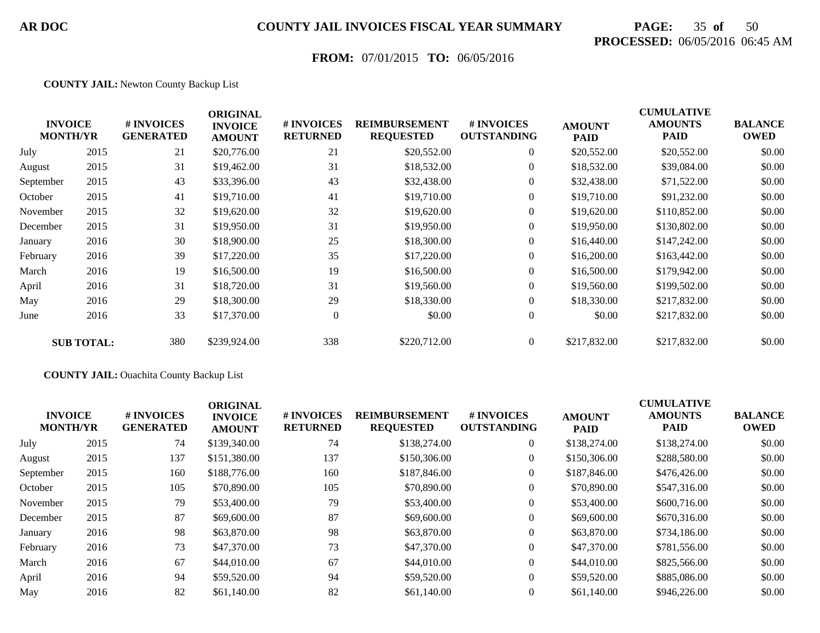# **PAGE:** 35 **of** 50 **PROCESSED:** 06/05/2016 06:45 AM

## **FROM:** 07/01/2015 **TO:** 06/05/2016

#### **COUNTY JAIL:** Newton County Backup List

|           | <b>INVOICE</b><br><b>MONTH/YR</b> | # INVOICES<br><b>GENERATED</b> | <b>ORIGINAL</b><br><b>INVOICE</b><br><b>AMOUNT</b> | # INVOICES<br><b>RETURNED</b> | <b>REIMBURSEMENT</b><br><b>REQUESTED</b> | # INVOICES<br><b>OUTSTANDING</b> | <b>AMOUNT</b><br><b>PAID</b> | <b>CUMULATIVE</b><br><b>AMOUNTS</b><br><b>PAID</b> | <b>BALANCE</b><br><b>OWED</b> |
|-----------|-----------------------------------|--------------------------------|----------------------------------------------------|-------------------------------|------------------------------------------|----------------------------------|------------------------------|----------------------------------------------------|-------------------------------|
| July      | 2015                              | 21                             | \$20,776.00                                        | 21                            | \$20,552.00                              | $\overline{0}$                   | \$20,552.00                  | \$20,552.00                                        | \$0.00                        |
| August    | 2015                              | 31                             | \$19,462.00                                        | 31                            | \$18,532.00                              | $\overline{0}$                   | \$18,532.00                  | \$39,084.00                                        | \$0.00                        |
| September | 2015                              | 43                             | \$33,396.00                                        | 43                            | \$32,438.00                              | $\overline{0}$                   | \$32,438.00                  | \$71,522.00                                        | \$0.00                        |
| October   | 2015                              | 41                             | \$19,710.00                                        | 41                            | \$19,710.00                              | $\overline{0}$                   | \$19,710.00                  | \$91,232.00                                        | \$0.00                        |
| November  | 2015                              | 32                             | \$19,620.00                                        | 32                            | \$19,620.00                              | $\overline{0}$                   | \$19,620.00                  | \$110,852.00                                       | \$0.00                        |
| December  | 2015                              | 31                             | \$19,950.00                                        | 31                            | \$19,950.00                              | $\overline{0}$                   | \$19,950.00                  | \$130,802.00                                       | \$0.00                        |
| January   | 2016                              | 30                             | \$18,900.00                                        | 25                            | \$18,300.00                              | $\overline{0}$                   | \$16,440.00                  | \$147,242.00                                       | \$0.00                        |
| February  | 2016                              | 39                             | \$17,220.00                                        | 35                            | \$17,220.00                              | $\overline{0}$                   | \$16,200.00                  | \$163,442.00                                       | \$0.00                        |
| March     | 2016                              | 19                             | \$16,500.00                                        | 19                            | \$16,500.00                              | $\overline{0}$                   | \$16,500.00                  | \$179,942.00                                       | \$0.00                        |
| April     | 2016                              | 31                             | \$18,720.00                                        | 31                            | \$19,560.00                              | $\overline{0}$                   | \$19,560.00                  | \$199,502.00                                       | \$0.00                        |
| May       | 2016                              | 29                             | \$18,300.00                                        | 29                            | \$18,330.00                              | $\overline{0}$                   | \$18,330.00                  | \$217,832.00                                       | \$0.00                        |
| June      | 2016                              | 33                             | \$17,370.00                                        | $\overline{0}$                | \$0.00                                   | $\overline{0}$                   | \$0.00                       | \$217,832.00                                       | \$0.00                        |
|           | <b>SUB TOTAL:</b>                 | 380                            | \$239,924.00                                       | 338                           | \$220,712.00                             | $\overline{0}$                   | \$217,832.00                 | \$217,832.00                                       | \$0.00                        |

#### **COUNTY JAIL:** Ouachita County Backup List

|      | # INVOICES<br><b>GENERATED</b>    | <b>ORIGINAL</b><br><b>INVOICE</b><br><b>AMOUNT</b> | # INVOICES<br><b>RETURNED</b> | <b>REIMBURSEMENT</b><br><b>REQUESTED</b> | # INVOICES<br><b>OUTSTANDING</b> | <b>AMOUNT</b><br><b>PAID</b> | <b>CUMULATIVE</b><br><b>AMOUNTS</b><br><b>PAID</b> | <b>BALANCE</b><br><b>OWED</b> |
|------|-----------------------------------|----------------------------------------------------|-------------------------------|------------------------------------------|----------------------------------|------------------------------|----------------------------------------------------|-------------------------------|
| 2015 | 74                                | \$139,340.00                                       | 74                            | \$138,274.00                             | $\overline{0}$                   | \$138,274.00                 | \$138,274.00                                       | \$0.00                        |
| 2015 | 137                               | \$151,380.00                                       | 137                           | \$150,306.00                             | 0                                | \$150,306.00                 | \$288,580.00                                       | \$0.00                        |
| 2015 | 160                               | \$188,776.00                                       | 160                           | \$187,846.00                             | 0                                | \$187,846.00                 | \$476,426.00                                       | \$0.00                        |
| 2015 | 105                               | \$70,890.00                                        | 105                           | \$70,890.00                              | $\overline{0}$                   | \$70,890.00                  | \$547,316.00                                       | \$0.00                        |
| 2015 | 79                                | \$53,400.00                                        | 79                            | \$53,400.00                              | $\overline{0}$                   | \$53,400.00                  | \$600,716.00                                       | \$0.00                        |
| 2015 | 87                                | \$69,600.00                                        | 87                            | \$69,600.00                              | $\overline{0}$                   | \$69,600.00                  | \$670,316.00                                       | \$0.00                        |
| 2016 | 98                                | \$63,870.00                                        | 98                            | \$63,870.00                              | $\overline{0}$                   | \$63,870.00                  | \$734,186.00                                       | \$0.00                        |
| 2016 | 73                                | \$47,370.00                                        | 73                            | \$47,370.00                              | $\boldsymbol{0}$                 | \$47,370.00                  | \$781,556.00                                       | \$0.00                        |
| 2016 | 67                                | \$44,010.00                                        | 67                            | \$44,010.00                              | $\overline{0}$                   | \$44,010.00                  | \$825,566.00                                       | \$0.00                        |
| 2016 | 94                                | \$59,520.00                                        | 94                            | \$59,520.00                              | $\overline{0}$                   | \$59,520.00                  | \$885,086,00                                       | \$0.00                        |
| 2016 | 82                                | \$61,140.00                                        | 82                            | \$61,140.00                              | $\overline{0}$                   | \$61,140.00                  | \$946,226.00                                       | \$0.00                        |
|      | <b>INVOICE</b><br><b>MONTH/YR</b> |                                                    |                               |                                          |                                  |                              |                                                    |                               |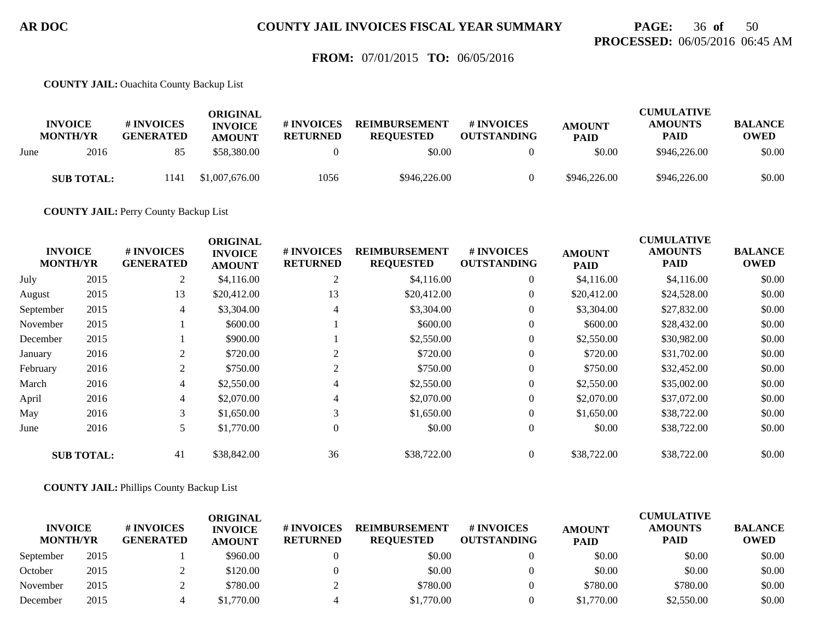# **PAGE:** 36 **of** 50 **PROCESSED:** 06/05/2016 06:45 AM

### **FROM:** 07/01/2015 **TO:** 06/05/2016

**COUNTY JAIL:** Ouachita County Backup List

|      | <b>INVOICE</b><br><b>MONTH/YR</b> | # INVOICES<br><b>GENERATED</b> | ORIGINAL<br><b>INVOICE</b><br><b>AMOUNT</b> | # INVOICES<br><b>RETURNED</b> | <b>REIMBURSEMENT</b><br><b>REOUESTED</b> | # INVOICES<br><b>OUTSTANDING</b> | <b>AMOUNT</b><br><b>PAID</b> | <b>CUMULATIVE</b><br><b>AMOUNTS</b><br><b>PAID</b> | <b>BALANCE</b><br><b>OWED</b> |
|------|-----------------------------------|--------------------------------|---------------------------------------------|-------------------------------|------------------------------------------|----------------------------------|------------------------------|----------------------------------------------------|-------------------------------|
| June | 2016                              | 85                             | \$58,380,00                                 |                               | \$0.00                                   |                                  | \$0.00                       | \$946,226.00                                       | \$0.00                        |
|      | <b>SUB TOTAL:</b>                 | 1141                           | \$1,007,676.00                              | 1056                          | \$946,226.00                             |                                  | \$946,226.00                 | \$946,226.00                                       | \$0.00                        |

**COUNTY JAIL:** Perry County Backup List

|                                   |                   |                                | <b>ORIGINAL</b>                 |                               |                                          |                                  |                              | <b>CUMULATIVE</b>             |                               |
|-----------------------------------|-------------------|--------------------------------|---------------------------------|-------------------------------|------------------------------------------|----------------------------------|------------------------------|-------------------------------|-------------------------------|
| <b>INVOICE</b><br><b>MONTH/YR</b> |                   | # INVOICES<br><b>GENERATED</b> | <b>INVOICE</b><br><b>AMOUNT</b> | # INVOICES<br><b>RETURNED</b> | <b>REIMBURSEMENT</b><br><b>REQUESTED</b> | # INVOICES<br><b>OUTSTANDING</b> | <b>AMOUNT</b><br><b>PAID</b> | <b>AMOUNTS</b><br><b>PAID</b> | <b>BALANCE</b><br><b>OWED</b> |
| July                              | 2015              | 2                              | \$4,116.00                      | 2                             | \$4,116.00                               | $\overline{0}$                   | \$4,116.00                   | \$4,116.00                    | \$0.00                        |
| August                            | 2015              | 13                             | \$20,412.00                     | 13                            | \$20,412.00                              | $\overline{0}$                   | \$20,412.00                  | \$24,528.00                   | \$0.00                        |
| September                         | 2015              | 4                              | \$3,304.00                      | 4                             | \$3,304.00                               | $\overline{0}$                   | \$3,304.00                   | \$27,832.00                   | \$0.00                        |
| November                          | 2015              |                                | \$600.00                        |                               | \$600.00                                 | $\overline{0}$                   | \$600.00                     | \$28,432.00                   | \$0.00                        |
| December                          | 2015              |                                | \$900.00                        |                               | \$2,550.00                               | $\overline{0}$                   | \$2,550.00                   | \$30,982.00                   | \$0.00                        |
| January                           | 2016              | 2                              | \$720.00                        | 2                             | \$720.00                                 | $\overline{0}$                   | \$720.00                     | \$31,702.00                   | \$0.00                        |
| February                          | 2016              | 2                              | \$750.00                        | 2                             | \$750.00                                 | $\overline{0}$                   | \$750.00                     | \$32,452.00                   | \$0.00                        |
| March                             | 2016              | 4                              | \$2,550.00                      | 4                             | \$2,550.00                               | $\overline{0}$                   | \$2,550.00                   | \$35,002.00                   | \$0.00                        |
| April                             | 2016              | $\overline{4}$                 | \$2,070.00                      | 4                             | \$2,070.00                               | $\overline{0}$                   | \$2,070.00                   | \$37,072.00                   | \$0.00                        |
| May                               | 2016              | 3                              | \$1,650.00                      | 3                             | \$1,650.00                               | $\overline{0}$                   | \$1,650.00                   | \$38,722.00                   | \$0.00                        |
| June                              | 2016              | 5                              | \$1,770.00                      | $\mathbf{0}$                  | \$0.00                                   | $\overline{0}$                   | \$0.00                       | \$38,722.00                   | \$0.00                        |
|                                   | <b>SUB TOTAL:</b> | 41                             | \$38,842.00                     | 36                            | \$38,722.00                              | $\overline{0}$                   | \$38,722.00                  | \$38,722.00                   | \$0.00                        |

**COUNTY JAIL:** Phillips County Backup List

|                                   |      |                                | ORIGINAL                        |                               |                                          |                                        |                              | <b>CUMULATIVE</b>             |                               |
|-----------------------------------|------|--------------------------------|---------------------------------|-------------------------------|------------------------------------------|----------------------------------------|------------------------------|-------------------------------|-------------------------------|
| <b>INVOICE</b><br><b>MONTH/YR</b> |      | # INVOICES<br><b>GENERATED</b> | <b>INVOICE</b><br><b>AMOUNT</b> | # INVOICES<br><b>RETURNED</b> | <b>REIMBURSEMENT</b><br><b>REOUESTED</b> | <b>#INVOICES</b><br><b>OUTSTANDING</b> | <b>AMOUNT</b><br><b>PAID</b> | <b>AMOUNTS</b><br><b>PAID</b> | <b>BALANCE</b><br><b>OWED</b> |
| September                         | 2015 |                                | \$960.00                        |                               | \$0.00                                   |                                        | \$0.00                       | \$0.00                        | \$0.00                        |
| October                           | 2015 |                                | \$120.00                        |                               | \$0.00                                   |                                        | \$0.00                       | \$0.00                        | \$0.00                        |
| November                          | 2015 |                                | \$780.00                        |                               | \$780.00                                 |                                        | \$780.00                     | \$780.00                      | \$0.00                        |
| December                          | 2015 |                                | \$1.770.00                      |                               | \$1,770.00                               |                                        | \$1,770.00                   | \$2,550.00                    | \$0.00                        |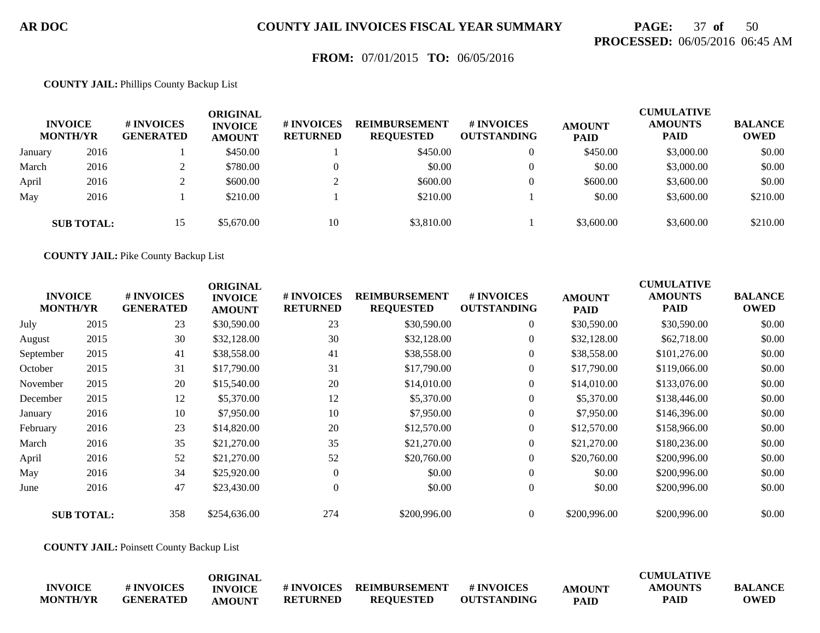# **PAGE:** 37 **of** 50 **PROCESSED:** 06/05/2016 06:45 AM

### **FROM:** 07/01/2015 **TO:** 06/05/2016

#### **COUNTY JAIL:** Phillips County Backup List

|         | <b>INVOICE</b><br><b>MONTH/YR</b> | # INVOICES<br><b>GENERATED</b> | ORIGINAL<br><b>INVOICE</b><br><b>AMOUNT</b> | # INVOICES<br><b>RETURNED</b> | <b>REIMBURSEMENT</b><br><b>REQUESTED</b> | # INVOICES<br><b>OUTSTANDING</b> | <b>AMOUNT</b><br><b>PAID</b> | <b>CUMULATIVE</b><br><b>AMOUNTS</b><br><b>PAID</b> | <b>BALANCE</b><br><b>OWED</b> |
|---------|-----------------------------------|--------------------------------|---------------------------------------------|-------------------------------|------------------------------------------|----------------------------------|------------------------------|----------------------------------------------------|-------------------------------|
| January | 2016                              |                                | \$450.00                                    |                               | \$450.00                                 | $\overline{0}$                   | \$450.00                     | \$3,000.00                                         | \$0.00                        |
| March   | 2016                              |                                | \$780.00                                    |                               | \$0.00                                   |                                  | \$0.00                       | \$3,000.00                                         | \$0.00                        |
| April   | 2016                              |                                | \$600.00                                    |                               | \$600.00                                 |                                  | \$600.00                     | \$3,600.00                                         | \$0.00                        |
| May     | 2016                              |                                | \$210.00                                    |                               | \$210.00                                 |                                  | \$0.00                       | \$3,600.00                                         | \$210.00                      |
|         | <b>SUB TOTAL:</b>                 | 15                             | \$5,670.00                                  | 10                            | \$3,810.00                               |                                  | \$3,600.00                   | \$3,600.00                                         | \$210.00                      |

**COUNTY JAIL:** Pike County Backup List

|           | <b>INVOICE</b><br><b>MONTH/YR</b> | # INVOICES<br><b>GENERATED</b> | <b>ORIGINAL</b><br><b>INVOICE</b><br><b>AMOUNT</b> | # INVOICES<br><b>RETURNED</b> | <b>REIMBURSEMENT</b><br><b>REQUESTED</b> | # INVOICES<br><b>OUTSTANDING</b> | <b>AMOUNT</b><br><b>PAID</b> | <b>CUMULATIVE</b><br><b>AMOUNTS</b><br><b>PAID</b> | <b>BALANCE</b><br><b>OWED</b> |
|-----------|-----------------------------------|--------------------------------|----------------------------------------------------|-------------------------------|------------------------------------------|----------------------------------|------------------------------|----------------------------------------------------|-------------------------------|
| July      | 2015                              | 23                             | \$30,590.00                                        | 23                            | \$30,590.00                              | $\overline{0}$                   | \$30,590.00                  | \$30,590.00                                        | \$0.00                        |
| August    | 2015                              | 30                             | \$32,128.00                                        | 30                            | \$32,128.00                              | $\overline{0}$                   | \$32,128.00                  | \$62,718.00                                        | \$0.00                        |
| September | 2015                              | 41                             | \$38,558.00                                        | 41                            | \$38,558.00                              | $\overline{0}$                   | \$38,558.00                  | \$101,276.00                                       | \$0.00                        |
| October   | 2015                              | 31                             | \$17,790.00                                        | 31                            | \$17,790.00                              | $\overline{0}$                   | \$17,790.00                  | \$119,066.00                                       | \$0.00                        |
| November  | 2015                              | 20                             | \$15,540.00                                        | 20                            | \$14,010.00                              | $\overline{0}$                   | \$14,010.00                  | \$133,076.00                                       | \$0.00                        |
| December  | 2015                              | 12                             | \$5,370.00                                         | 12                            | \$5,370.00                               | $\overline{0}$                   | \$5,370.00                   | \$138,446.00                                       | \$0.00                        |
| January   | 2016                              | 10                             | \$7,950.00                                         | 10                            | \$7,950.00                               | $\overline{0}$                   | \$7,950.00                   | \$146,396.00                                       | \$0.00                        |
| February  | 2016                              | 23                             | \$14,820.00                                        | 20                            | \$12,570.00                              | $\overline{0}$                   | \$12,570.00                  | \$158,966.00                                       | \$0.00                        |
| March     | 2016                              | 35                             | \$21,270.00                                        | 35                            | \$21,270.00                              | $\overline{0}$                   | \$21,270.00                  | \$180,236.00                                       | \$0.00                        |
| April     | 2016                              | 52                             | \$21,270.00                                        | 52                            | \$20,760.00                              | $\overline{0}$                   | \$20,760.00                  | \$200,996.00                                       | \$0.00                        |
| May       | 2016                              | 34                             | \$25,920.00                                        | $\mathbf{0}$                  | \$0.00                                   | $\theta$                         | \$0.00                       | \$200,996.00                                       | \$0.00                        |
| June      | 2016                              | 47                             | \$23,430.00                                        | $\Omega$                      | \$0.00                                   | $\boldsymbol{0}$                 | \$0.00                       | \$200,996.00                                       | \$0.00                        |
|           | <b>SUB TOTAL:</b>                 | 358                            | \$254,636.00                                       | 274                           | \$200,996.00                             | $\Omega$                         | \$200,996.00                 | \$200,996.00                                       | \$0.00                        |

**COUNTY JAIL:** Poinsett County Backup List

|                 |                  | ORIGINAL       |                  |                  |                    |               | <b>CUMULATIVE</b> |                |
|-----------------|------------------|----------------|------------------|------------------|--------------------|---------------|-------------------|----------------|
| <b>INVOICE</b>  | # INVOICES       | <b>INVOICE</b> | <b>#INVOICES</b> | REIMBURSEMENT    | # INVOICES         | <b>AMOUNT</b> | <b>AMOUNTS</b>    | <b>BALANCE</b> |
| <b>MONTH/YR</b> | <b>GENERATED</b> | <b>AMOUNT</b>  | <b>RETURNED</b>  | <b>REOUESTED</b> | <b>OUTSTANDING</b> | <b>PAID</b>   | <b>PAID</b>       | <b>OWED</b>    |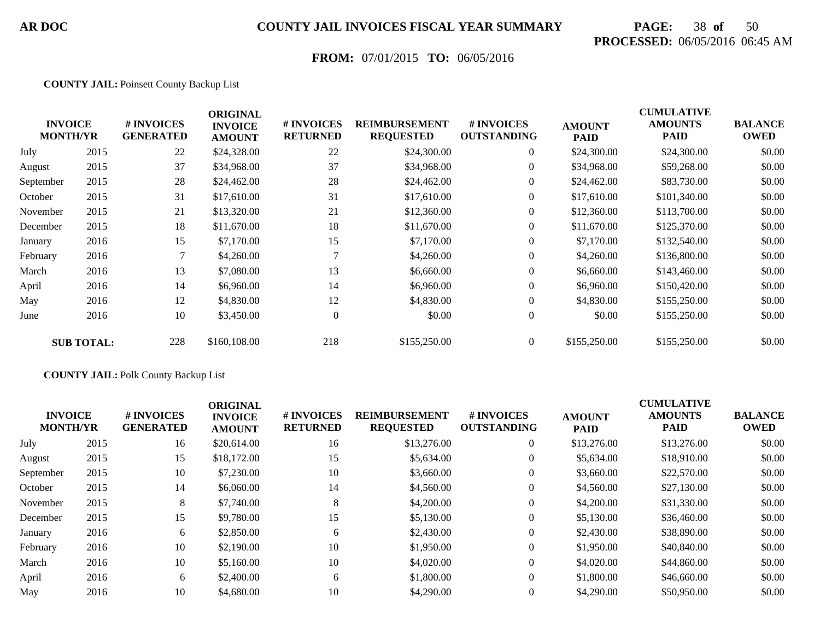# **PAGE:** 38 **of** 50 **PROCESSED:** 06/05/2016 06:45 AM

## **FROM:** 07/01/2015 **TO:** 06/05/2016

#### **COUNTY JAIL:** Poinsett County Backup List

|           | <b>INVOICE</b><br><b>MONTH/YR</b> | # INVOICES<br><b>GENERATED</b> | <b>ORIGINAL</b><br><b>INVOICE</b><br><b>AMOUNT</b> | # INVOICES<br><b>RETURNED</b> | <b>REIMBURSEMENT</b><br><b>REQUESTED</b> | # INVOICES<br><b>OUTSTANDING</b> | <b>AMOUNT</b><br><b>PAID</b> | <b>CUMULATIVE</b><br><b>AMOUNTS</b><br><b>PAID</b> | <b>BALANCE</b><br><b>OWED</b> |
|-----------|-----------------------------------|--------------------------------|----------------------------------------------------|-------------------------------|------------------------------------------|----------------------------------|------------------------------|----------------------------------------------------|-------------------------------|
| July      | 2015                              | 22                             | \$24,328.00                                        | 22                            | \$24,300.00                              | $\overline{0}$                   | \$24,300.00                  | \$24,300.00                                        | \$0.00                        |
| August    | 2015                              | 37                             | \$34,968.00                                        | 37                            | \$34,968.00                              | $\overline{0}$                   | \$34,968.00                  | \$59,268.00                                        | \$0.00                        |
| September | 2015                              | 28                             | \$24,462.00                                        | 28                            | \$24,462.00                              | $\overline{0}$                   | \$24,462.00                  | \$83,730.00                                        | \$0.00                        |
| October   | 2015                              | 31                             | \$17,610.00                                        | 31                            | \$17,610.00                              | $\overline{0}$                   | \$17,610.00                  | \$101,340.00                                       | \$0.00                        |
| November  | 2015                              | 21                             | \$13,320.00                                        | 21                            | \$12,360.00                              | $\overline{0}$                   | \$12,360.00                  | \$113,700.00                                       | \$0.00                        |
| December  | 2015                              | 18                             | \$11,670.00                                        | 18                            | \$11,670.00                              | $\boldsymbol{0}$                 | \$11,670.00                  | \$125,370.00                                       | \$0.00                        |
| January   | 2016                              | 15                             | \$7,170.00                                         | 15                            | \$7,170.00                               | $\overline{0}$                   | \$7,170.00                   | \$132,540.00                                       | \$0.00                        |
| February  | 2016                              |                                | \$4,260.00                                         |                               | \$4,260.00                               | $\overline{0}$                   | \$4,260.00                   | \$136,800.00                                       | \$0.00                        |
| March     | 2016                              | 13                             | \$7,080.00                                         | 13                            | \$6,660.00                               | $\overline{0}$                   | \$6,660.00                   | \$143,460.00                                       | \$0.00                        |
| April     | 2016                              | 14                             | \$6,960.00                                         | 14                            | \$6,960.00                               | $\overline{0}$                   | \$6,960.00                   | \$150,420.00                                       | \$0.00                        |
| May       | 2016                              | 12                             | \$4,830.00                                         | 12                            | \$4,830.00                               | $\overline{0}$                   | \$4,830.00                   | \$155,250.00                                       | \$0.00                        |
| June      | 2016                              | 10                             | \$3,450.00                                         | $\overline{0}$                | \$0.00                                   | $\overline{0}$                   | \$0.00                       | \$155,250.00                                       | \$0.00                        |
|           | <b>SUB TOTAL:</b>                 | 228                            | \$160,108.00                                       | 218                           | \$155,250.00                             | $\overline{0}$                   | \$155,250.00                 | \$155,250.00                                       | \$0.00                        |

#### **COUNTY JAIL:** Polk County Backup List

| <b>INVOICE</b><br><b>MONTH/YR</b> |      | # INVOICES<br><b>GENERATED</b> | <b>ORIGINAL</b><br><b>INVOICE</b><br><b>AMOUNT</b> | # INVOICES<br><b>RETURNED</b> | <b>REIMBURSEMENT</b><br><b>REQUESTED</b> | # INVOICES<br><b>OUTSTANDING</b> | <b>AMOUNT</b><br><b>PAID</b> | <b>CUMULATIVE</b><br><b>AMOUNTS</b><br><b>PAID</b> | <b>BALANCE</b><br><b>OWED</b> |
|-----------------------------------|------|--------------------------------|----------------------------------------------------|-------------------------------|------------------------------------------|----------------------------------|------------------------------|----------------------------------------------------|-------------------------------|
| July                              | 2015 | 16                             | \$20,614.00                                        | 16                            | \$13,276.00                              | $\theta$                         | \$13,276.00                  | \$13,276.00                                        | \$0.00                        |
| August                            | 2015 | 15                             | \$18,172.00                                        | 15                            | \$5,634.00                               | $\theta$                         | \$5,634.00                   | \$18,910.00                                        | \$0.00                        |
| September                         | 2015 | 10                             | \$7,230.00                                         | 10                            | \$3,660.00                               | $\boldsymbol{0}$                 | \$3,660.00                   | \$22,570.00                                        | \$0.00                        |
| October                           | 2015 | 14                             | \$6,060.00                                         | 14                            | \$4,560.00                               | $\overline{0}$                   | \$4,560.00                   | \$27,130.00                                        | \$0.00                        |
| November                          | 2015 | 8                              | \$7,740.00                                         | 8                             | \$4,200.00                               | $\overline{0}$                   | \$4,200.00                   | \$31,330.00                                        | \$0.00                        |
| December                          | 2015 | 15                             | \$9,780.00                                         | 15                            | \$5,130.00                               | $\overline{0}$                   | \$5,130.00                   | \$36,460.00                                        | \$0.00                        |
| January                           | 2016 | 6                              | \$2,850.00                                         | 6                             | \$2,430.00                               | $\overline{0}$                   | \$2,430.00                   | \$38,890.00                                        | \$0.00                        |
| February                          | 2016 | 10                             | \$2,190.00                                         | 10                            | \$1,950.00                               | $\overline{0}$                   | \$1,950.00                   | \$40,840.00                                        | \$0.00                        |
| March                             | 2016 | 10                             | \$5,160.00                                         | 10                            | \$4,020.00                               | $\overline{0}$                   | \$4,020.00                   | \$44,860.00                                        | \$0.00                        |
| April                             | 2016 | 6                              | \$2,400.00                                         | 6                             | \$1,800.00                               | $\overline{0}$                   | \$1,800.00                   | \$46,660.00                                        | \$0.00                        |
| May                               | 2016 | 10                             | \$4,680.00                                         | 10                            | \$4,290.00                               | $\overline{0}$                   | \$4,290.00                   | \$50,950.00                                        | \$0.00                        |
|                                   |      |                                |                                                    |                               |                                          |                                  |                              |                                                    |                               |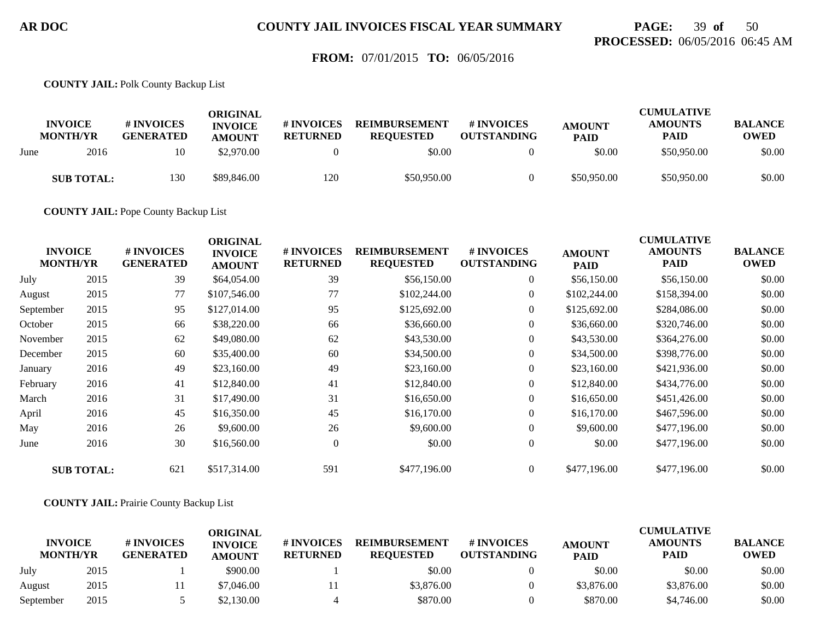## **PAGE:** 39 **of** 50 **PROCESSED:** 06/05/2016 06:45 AM

### **FROM:** 07/01/2015 **TO:** 06/05/2016

**COUNTY JAIL:** Polk County Backup List

|      | <b>INVOICE</b><br><b>MONTH/YR</b> | # INVOICES<br><b>GENERATED</b> | ORIGINAL<br><b>INVOICE</b><br><b>AMOUNT</b> | # INVOICES<br><b>RETURNED</b> | <b>REIMBURSEMENT</b><br><b>REOUESTED</b> | # INVOICES<br><b>OUTSTANDING</b> | <b>AMOUNT</b><br><b>PAID</b> | CUMULATIVE<br><b>AMOUNTS</b><br><b>PAID</b> | <b>BALANCE</b><br><b>OWED</b> |
|------|-----------------------------------|--------------------------------|---------------------------------------------|-------------------------------|------------------------------------------|----------------------------------|------------------------------|---------------------------------------------|-------------------------------|
| June | 2016                              | 10                             | \$2,970.00                                  |                               | \$0.00                                   |                                  | \$0.00                       | \$50,950.00                                 | \$0.00                        |
|      | <b>SUB TOTAL:</b>                 | 130                            | \$89,846.00                                 | 120                           | \$50,950.00                              |                                  | \$50,950.00                  | \$50,950.00                                 | \$0.00                        |

**COUNTY JAIL:** Pope County Backup List

| <b>INVOICE</b><br><b>MONTH/YR</b> |                   | # INVOICES<br><b>GENERATED</b> | <b>ORIGINAL</b><br><b>INVOICE</b><br><b>AMOUNT</b> | # INVOICES<br><b>RETURNED</b> | <b>REIMBURSEMENT</b><br><b>REQUESTED</b> | # INVOICES<br><b>OUTSTANDING</b> | <b>AMOUNT</b><br><b>PAID</b> | <b>CUMULATIVE</b><br><b>AMOUNTS</b><br><b>PAID</b> | <b>BALANCE</b><br><b>OWED</b> |
|-----------------------------------|-------------------|--------------------------------|----------------------------------------------------|-------------------------------|------------------------------------------|----------------------------------|------------------------------|----------------------------------------------------|-------------------------------|
| July                              | 2015              | 39                             | \$64,054.00                                        | 39                            | \$56,150.00                              | $\overline{0}$                   | \$56,150.00                  | \$56,150.00                                        | \$0.00                        |
| August                            | 2015              | 77                             | \$107,546.00                                       | 77                            | \$102,244.00                             | $\boldsymbol{0}$                 | \$102,244.00                 | \$158,394.00                                       | \$0.00                        |
| September                         | 2015              | 95                             | \$127,014.00                                       | 95                            | \$125,692.00                             | $\overline{0}$                   | \$125,692.00                 | \$284,086.00                                       | \$0.00                        |
| October                           | 2015              | 66                             | \$38,220.00                                        | 66                            | \$36,660.00                              | $\boldsymbol{0}$                 | \$36,660.00                  | \$320,746.00                                       | \$0.00                        |
| November                          | 2015              | 62                             | \$49,080.00                                        | 62                            | \$43,530.00                              | $\overline{0}$                   | \$43,530.00                  | \$364,276.00                                       | \$0.00                        |
| December                          | 2015              | 60                             | \$35,400.00                                        | 60                            | \$34,500.00                              | $\overline{0}$                   | \$34,500.00                  | \$398,776.00                                       | \$0.00                        |
| January                           | 2016              | 49                             | \$23,160.00                                        | 49                            | \$23,160.00                              | $\boldsymbol{0}$                 | \$23,160.00                  | \$421,936.00                                       | \$0.00                        |
| February                          | 2016              | 41                             | \$12,840.00                                        | 41                            | \$12,840.00                              | $\boldsymbol{0}$                 | \$12,840.00                  | \$434,776.00                                       | \$0.00                        |
| March                             | 2016              | 31                             | \$17,490.00                                        | 31                            | \$16,650.00                              | $\overline{0}$                   | \$16,650.00                  | \$451,426.00                                       | \$0.00                        |
| April                             | 2016              | 45                             | \$16,350.00                                        | 45                            | \$16,170.00                              | $\boldsymbol{0}$                 | \$16,170.00                  | \$467,596.00                                       | \$0.00                        |
| May                               | 2016              | 26                             | \$9,600.00                                         | 26                            | \$9,600.00                               | $\overline{0}$                   | \$9,600.00                   | \$477,196.00                                       | \$0.00                        |
| June                              | 2016              | 30                             | \$16,560.00                                        | $\mathbf{0}$                  | \$0.00                                   | $\overline{0}$                   | \$0.00                       | \$477,196.00                                       | \$0.00                        |
|                                   | <b>SUB TOTAL:</b> | 621                            | \$517,314.00                                       | 591                           | \$477,196.00                             | $\overline{0}$                   | \$477,196.00                 | \$477,196.00                                       | \$0.00                        |

**COUNTY JAIL:** Prairie County Backup List

| <b>INVOICE</b>  |      | # INVOICES       | ORIGINAL<br><b>INVOICE</b> | # INVOICES      | <b>REIMBURSEMENT</b> | # INVOICES         |                              | <b>CUMULATIVE</b><br><b>AMOUNTS</b> | <b>BALANCE</b> |
|-----------------|------|------------------|----------------------------|-----------------|----------------------|--------------------|------------------------------|-------------------------------------|----------------|
| <b>MONTH/YR</b> |      | <b>GENERATED</b> | <b>AMOUNT</b>              | <b>RETURNED</b> | <b>REOUESTED</b>     | <b>OUTSTANDING</b> | <b>AMOUNT</b><br><b>PAID</b> | <b>PAID</b>                         | <b>OWED</b>    |
| July            | 2015 |                  | \$900.00                   |                 | \$0.00               |                    | \$0.00                       | \$0.00                              | \$0.00         |
| August          | 2015 |                  | \$7.046.00                 |                 | \$3,876.00           |                    | \$3,876.00                   | \$3,876.00                          | \$0.00         |
| September       | 2015 |                  | \$2,130.00                 |                 | \$870.00             |                    | \$870.00                     | \$4,746.00                          | \$0.00         |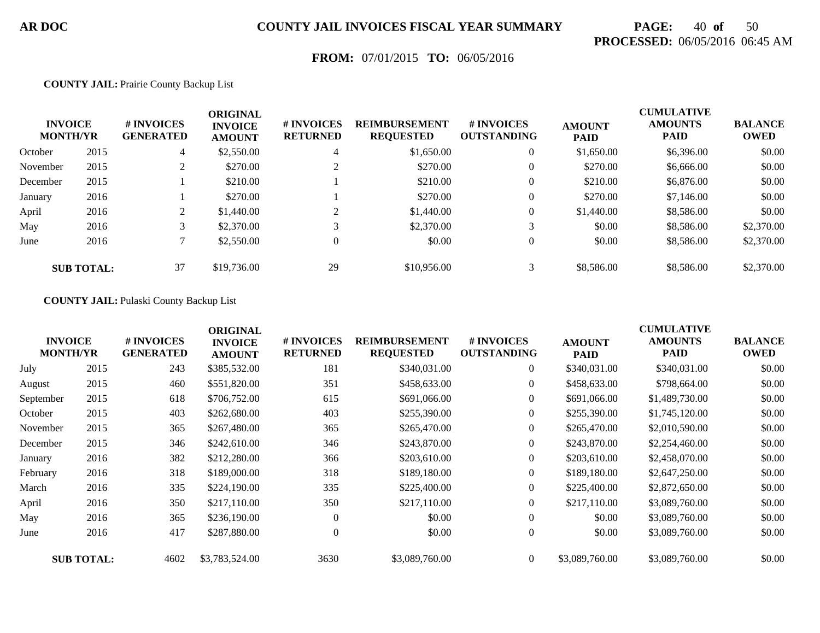# **PAGE:** 40 **of** 50 **PROCESSED:** 06/05/2016 06:45 AM

## **FROM:** 07/01/2015 **TO:** 06/05/2016

#### **COUNTY JAIL:** Prairie County Backup List

| <b>INVOICE</b><br><b>MONTH/YR</b> |                   | # INVOICES<br><b>GENERATED</b> | <b>ORIGINAL</b><br><b>INVOICE</b><br><b>AMOUNT</b> | # INVOICES<br><b>RETURNED</b> | <b>REIMBURSEMENT</b><br><b>REQUESTED</b> | <b>#INVOICES</b><br><b>OUTSTANDING</b> | <b>AMOUNT</b><br><b>PAID</b> | <b>CUMULATIVE</b><br><b>AMOUNTS</b><br><b>PAID</b> | <b>BALANCE</b><br><b>OWED</b> |
|-----------------------------------|-------------------|--------------------------------|----------------------------------------------------|-------------------------------|------------------------------------------|----------------------------------------|------------------------------|----------------------------------------------------|-------------------------------|
| October                           | 2015              | 4                              | \$2,550.00                                         | 4                             | \$1,650.00                               | $\overline{0}$                         | \$1,650.00                   | \$6,396.00                                         | \$0.00                        |
| November                          | 2015              | ◠<br>∠                         | \$270.00                                           |                               | \$270.00                                 | $\overline{0}$                         | \$270.00                     | \$6,666.00                                         | \$0.00                        |
| December                          | 2015              |                                | \$210.00                                           |                               | \$210.00                                 | $\overline{0}$                         | \$210.00                     | \$6,876.00                                         | \$0.00                        |
| January                           | 2016              |                                | \$270.00                                           |                               | \$270.00                                 | $\overline{0}$                         | \$270.00                     | \$7,146.00                                         | \$0.00                        |
| April                             | 2016              | $\gamma$<br>∠                  | \$1,440.00                                         | ◠                             | \$1,440.00                               | $\overline{0}$                         | \$1,440.00                   | \$8,586.00                                         | \$0.00                        |
| May                               | 2016              | 3                              | \$2,370.00                                         |                               | \$2,370.00                               | 3                                      | \$0.00                       | \$8,586.00                                         | \$2,370.00                    |
| June                              | 2016              |                                | \$2,550.00                                         | $\overline{0}$                | \$0.00                                   | $\overline{0}$                         | \$0.00                       | \$8,586.00                                         | \$2,370.00                    |
|                                   | <b>SUB TOTAL:</b> | 37                             | \$19,736.00                                        | 29                            | \$10,956.00                              | 3                                      | \$8,586.00                   | \$8,586.00                                         | \$2,370.00                    |

#### **COUNTY JAIL:** Pulaski County Backup List

|                                   |                   |                                | <b>ORIGINAL</b>                 |                               |                                          |                                         |                              | <b>CUMULATIVE</b>             |                               |
|-----------------------------------|-------------------|--------------------------------|---------------------------------|-------------------------------|------------------------------------------|-----------------------------------------|------------------------------|-------------------------------|-------------------------------|
| <b>INVOICE</b><br><b>MONTH/YR</b> |                   | # INVOICES<br><b>GENERATED</b> | <b>INVOICE</b><br><b>AMOUNT</b> | # INVOICES<br><b>RETURNED</b> | <b>REIMBURSEMENT</b><br><b>REQUESTED</b> | <b># INVOICES</b><br><b>OUTSTANDING</b> | <b>AMOUNT</b><br><b>PAID</b> | <b>AMOUNTS</b><br><b>PAID</b> | <b>BALANCE</b><br><b>OWED</b> |
| July                              | 2015              | 243                            | \$385,532.00                    | 181                           | \$340,031.00                             | $\overline{0}$                          | \$340,031.00                 | \$340,031.00                  | \$0.00                        |
| August                            | 2015              | 460                            | \$551,820.00                    | 351                           | \$458,633.00                             | $\overline{0}$                          | \$458,633.00                 | \$798,664.00                  | \$0.00                        |
| September                         | 2015              | 618                            | \$706,752.00                    | 615                           | \$691,066.00                             | $\overline{0}$                          | \$691,066.00                 | \$1,489,730.00                | \$0.00                        |
| October                           | 2015              | 403                            | \$262,680.00                    | 403                           | \$255,390.00                             | $\overline{0}$                          | \$255,390.00                 | \$1,745,120.00                | \$0.00                        |
| November                          | 2015              | 365                            | \$267,480.00                    | 365                           | \$265,470.00                             | $\overline{0}$                          | \$265,470.00                 | \$2,010,590.00                | \$0.00                        |
| December                          | 2015              | 346                            | \$242,610.00                    | 346                           | \$243,870.00                             | $\overline{0}$                          | \$243,870.00                 | \$2,254,460.00                | \$0.00                        |
| January                           | 2016              | 382                            | \$212,280.00                    | 366                           | \$203,610.00                             | $\boldsymbol{0}$                        | \$203,610.00                 | \$2,458,070.00                | \$0.00                        |
| February                          | 2016              | 318                            | \$189,000.00                    | 318                           | \$189,180.00                             | $\Omega$                                | \$189,180.00                 | \$2,647,250.00                | \$0.00                        |
| March                             | 2016              | 335                            | \$224,190.00                    | 335                           | \$225,400.00                             | $\Omega$                                | \$225,400.00                 | \$2,872,650.00                | \$0.00                        |
| April                             | 2016              | 350                            | \$217,110.00                    | 350                           | \$217,110.00                             | $\boldsymbol{0}$                        | \$217,110.00                 | \$3,089,760.00                | \$0.00                        |
| May                               | 2016              | 365                            | \$236,190.00                    | $\Omega$                      | \$0.00                                   | $\boldsymbol{0}$                        | \$0.00                       | \$3,089,760.00                | \$0.00                        |
| June                              | 2016              | 417                            | \$287,880.00                    | $\theta$                      | \$0.00                                   | $\overline{0}$                          | \$0.00                       | \$3,089,760.00                | \$0.00                        |
|                                   | <b>SUB TOTAL:</b> | 4602                           | \$3,783,524.00                  | 3630                          | \$3,089,760.00                           | $\mathbf{0}$                            | \$3,089,760.00               | \$3,089,760.00                | \$0.00                        |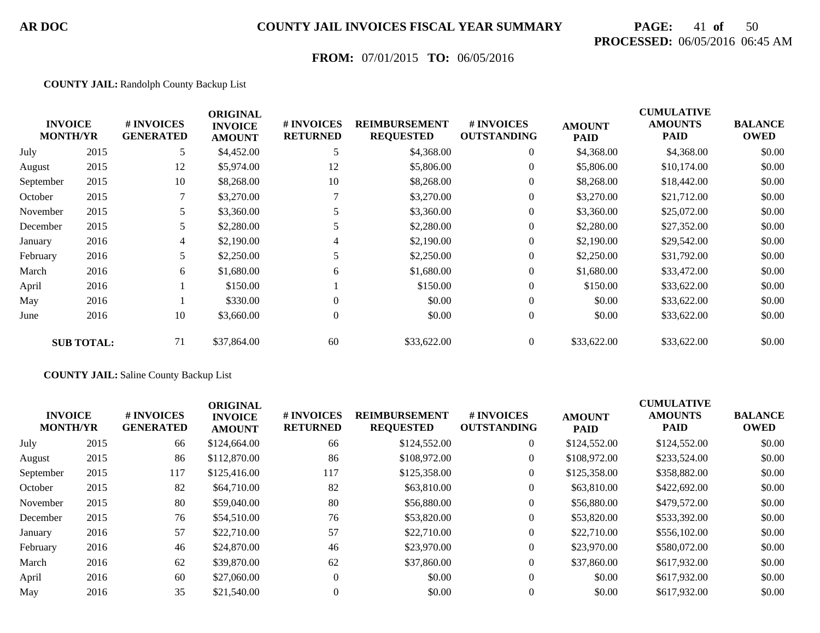# **PAGE:** 41 **of** 50 **PROCESSED:** 06/05/2016 06:45 AM

## **FROM:** 07/01/2015 **TO:** 06/05/2016

#### **COUNTY JAIL:** Randolph County Backup List

|           | <b>INVOICE</b><br><b>MONTH/YR</b> | # INVOICES<br><b>GENERATED</b> | <b>ORIGINAL</b><br><b>INVOICE</b><br><b>AMOUNT</b> | # INVOICES<br><b>RETURNED</b> | <b>REIMBURSEMENT</b><br><b>REQUESTED</b> | # INVOICES<br><b>OUTSTANDING</b> | <b>AMOUNT</b><br><b>PAID</b> | <b>CUMULATIVE</b><br><b>AMOUNTS</b><br><b>PAID</b> | <b>BALANCE</b><br><b>OWED</b> |
|-----------|-----------------------------------|--------------------------------|----------------------------------------------------|-------------------------------|------------------------------------------|----------------------------------|------------------------------|----------------------------------------------------|-------------------------------|
| July      | 2015                              | 5                              | \$4,452.00                                         |                               | \$4,368.00                               | $\boldsymbol{0}$                 | \$4,368.00                   | \$4,368.00                                         | \$0.00                        |
| August    | 2015                              | 12                             | \$5,974.00                                         | 12                            | \$5,806.00                               | $\boldsymbol{0}$                 | \$5,806.00                   | \$10,174.00                                        | \$0.00                        |
| September | 2015                              | 10                             | \$8,268.00                                         | 10                            | \$8,268.00                               | $\overline{0}$                   | \$8,268.00                   | \$18,442.00                                        | \$0.00                        |
| October   | 2015                              |                                | \$3,270.00                                         |                               | \$3,270.00                               | $\mathbf{0}$                     | \$3,270.00                   | \$21,712.00                                        | \$0.00                        |
| November  | 2015                              | 5                              | \$3,360.00                                         | 5                             | \$3,360.00                               | $\overline{0}$                   | \$3,360.00                   | \$25,072.00                                        | \$0.00                        |
| December  | 2015                              | 5                              | \$2,280.00                                         |                               | \$2,280.00                               | $\overline{0}$                   | \$2,280.00                   | \$27,352.00                                        | \$0.00                        |
| January   | 2016                              | 4                              | \$2,190.00                                         | 4                             | \$2,190.00                               | $\overline{0}$                   | \$2,190.00                   | \$29,542.00                                        | \$0.00                        |
| February  | 2016                              | 5                              | \$2,250.00                                         |                               | \$2,250.00                               | $\overline{0}$                   | \$2,250.00                   | \$31,792.00                                        | \$0.00                        |
| March     | 2016                              | 6                              | \$1,680.00                                         | 6                             | \$1,680.00                               | $\overline{0}$                   | \$1,680.00                   | \$33,472.00                                        | \$0.00                        |
| April     | 2016                              |                                | \$150.00                                           |                               | \$150.00                                 | $\overline{0}$                   | \$150.00                     | \$33,622.00                                        | \$0.00                        |
| May       | 2016                              |                                | \$330.00                                           |                               | \$0.00                                   | $\overline{0}$                   | \$0.00                       | \$33,622.00                                        | \$0.00                        |
| June      | 2016                              | 10                             | \$3,660.00                                         | $\Omega$                      | \$0.00                                   | $\overline{0}$                   | \$0.00                       | \$33,622.00                                        | \$0.00                        |
|           | <b>SUB TOTAL:</b>                 | 71                             | \$37,864.00                                        | 60                            | \$33,622.00                              | $\overline{0}$                   | \$33,622.00                  | \$33,622.00                                        | \$0.00                        |

#### **COUNTY JAIL:** Saline County Backup List

|      | # INVOICES<br><b>GENERATED</b>    | <b>ORIGINAL</b><br><b>INVOICE</b><br><b>AMOUNT</b> | <b># INVOICES</b><br><b>RETURNED</b> | <b>REIMBURSEMENT</b><br><b>REQUESTED</b> | # INVOICES<br><b>OUTSTANDING</b> | <b>AMOUNT</b><br><b>PAID</b> | <b>CUMULATIVE</b><br><b>AMOUNTS</b><br><b>PAID</b> | <b>BALANCE</b><br><b>OWED</b> |
|------|-----------------------------------|----------------------------------------------------|--------------------------------------|------------------------------------------|----------------------------------|------------------------------|----------------------------------------------------|-------------------------------|
| 2015 | 66                                | \$124,664.00                                       | 66                                   | \$124,552.00                             | $\overline{0}$                   | \$124,552.00                 | \$124,552.00                                       | \$0.00                        |
| 2015 | 86                                | \$112,870.00                                       | 86                                   | \$108,972.00                             | $\overline{0}$                   | \$108,972.00                 | \$233,524.00                                       | \$0.00                        |
| 2015 | 117                               | \$125,416.00                                       | 117                                  | \$125,358.00                             | $\overline{0}$                   | \$125,358.00                 | \$358,882.00                                       | \$0.00                        |
| 2015 | 82                                | \$64,710.00                                        | 82                                   | \$63,810.00                              | $\boldsymbol{0}$                 | \$63,810.00                  | \$422,692.00                                       | \$0.00                        |
| 2015 | 80                                | \$59,040.00                                        | 80                                   | \$56,880.00                              | $\overline{0}$                   | \$56,880.00                  | \$479,572.00                                       | \$0.00                        |
| 2015 | 76                                | \$54,510.00                                        | 76                                   | \$53,820.00                              | $\overline{0}$                   | \$53,820.00                  | \$533,392.00                                       | \$0.00                        |
| 2016 | 57                                | \$22,710.00                                        | 57                                   | \$22,710.00                              | $\overline{0}$                   | \$22,710.00                  | \$556,102.00                                       | \$0.00                        |
| 2016 | 46                                | \$24,870.00                                        | 46                                   | \$23,970.00                              | $\boldsymbol{0}$                 | \$23,970.00                  | \$580,072.00                                       | \$0.00                        |
| 2016 | 62                                | \$39,870.00                                        | 62                                   | \$37,860.00                              | $\overline{0}$                   | \$37,860.00                  | \$617,932.00                                       | \$0.00                        |
| 2016 | 60                                | \$27,060.00                                        | $\theta$                             | \$0.00                                   | $\overline{0}$                   | \$0.00                       | \$617,932.00                                       | \$0.00                        |
| 2016 | 35                                | \$21,540.00                                        |                                      | \$0.00                                   | 0                                | \$0.00                       | \$617,932.00                                       | \$0.00                        |
|      | <b>INVOICE</b><br><b>MONTH/YR</b> |                                                    |                                      |                                          |                                  |                              |                                                    |                               |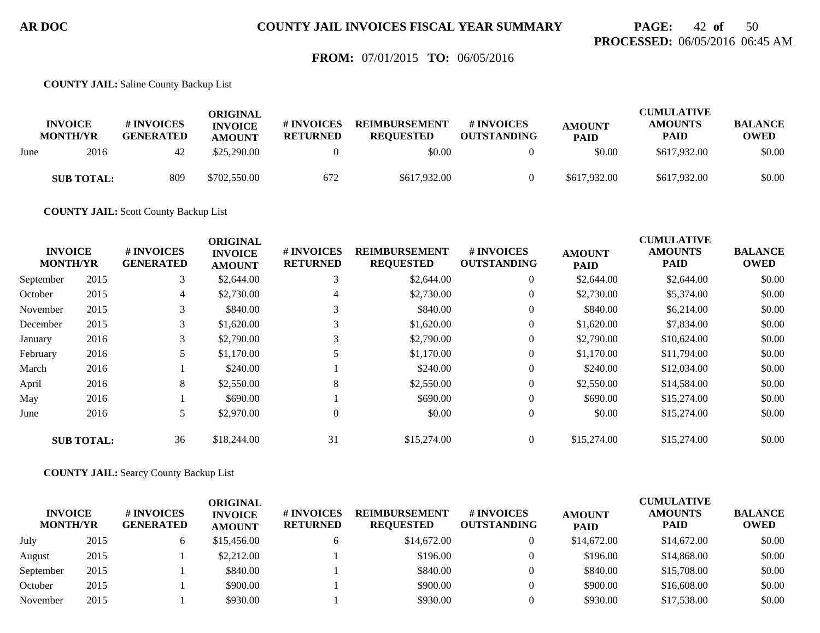## **PAGE:** 42 **of** 50 **PROCESSED:** 06/05/2016 06:45 AM

### **FROM:** 07/01/2015 **TO:** 06/05/2016

**COUNTY JAIL:** Saline County Backup List

|      | <b>INVOICE</b><br><b>MONTH/YR</b> | # INVOICES<br><b>GENERATED</b> | ORIGINAL<br><b>INVOICE</b><br><b>AMOUNT</b> | <b>#INVOICES</b><br><b>RETURNED</b> | <b>REIMBURSEMENT</b><br><b>REOUESTED</b> | # INVOICES<br><b>OUTSTANDING</b> | <b>AMOUNT</b><br><b>PAID</b> | <b>CUMULATIVE</b><br><b>AMOUNTS</b><br><b>PAID</b> | <b>BALANCE</b><br>OWED |
|------|-----------------------------------|--------------------------------|---------------------------------------------|-------------------------------------|------------------------------------------|----------------------------------|------------------------------|----------------------------------------------------|------------------------|
| June | 2016                              | 42                             | \$25,290.00                                 |                                     | \$0.00                                   |                                  | \$0.00                       | \$617,932.00                                       | \$0.00                 |
|      | <b>SUB TOTAL:</b>                 | 809                            | \$702,550.00                                | 672                                 | \$617,932.00                             |                                  | \$617,932.00                 | \$617,932.00                                       | \$0.00                 |

**COUNTY JAIL:** Scott County Backup List

|           | <b>INVOICE</b>    | # INVOICES       | <b>ORIGINAL</b>                 | <b># INVOICES</b> | <b>REIMBURSEMENT</b> | # INVOICES         |                              | <b>CUMULATIVE</b><br><b>AMOUNTS</b> | <b>BALANCE</b> |
|-----------|-------------------|------------------|---------------------------------|-------------------|----------------------|--------------------|------------------------------|-------------------------------------|----------------|
|           | <b>MONTH/YR</b>   | <b>GENERATED</b> | <b>INVOICE</b><br><b>AMOUNT</b> | <b>RETURNED</b>   | <b>REQUESTED</b>     | <b>OUTSTANDING</b> | <b>AMOUNT</b><br><b>PAID</b> | <b>PAID</b>                         | <b>OWED</b>    |
| September | 2015              | 3                | \$2,644.00                      |                   | \$2,644.00           | $\overline{0}$     | \$2,644.00                   | \$2,644.00                          | \$0.00         |
| October   | 2015              | 4                | \$2,730.00                      | 4                 | \$2,730.00           | $\overline{0}$     | \$2,730.00                   | \$5,374.00                          | \$0.00         |
| November  | 2015              | 3                | \$840.00                        |                   | \$840.00             | $\theta$           | \$840.00                     | \$6,214.00                          | \$0.00         |
| December  | 2015              | 3                | \$1,620.00                      |                   | \$1,620.00           | $\overline{0}$     | \$1,620.00                   | \$7,834.00                          | \$0.00         |
| January   | 2016              | 3                | \$2,790.00                      |                   | \$2,790.00           | $\overline{0}$     | \$2,790.00                   | \$10,624.00                         | \$0.00         |
| February  | 2016              |                  | \$1,170.00                      |                   | \$1,170.00           | $\overline{0}$     | \$1,170.00                   | \$11,794.00                         | \$0.00         |
| March     | 2016              |                  | \$240.00                        |                   | \$240.00             | $\overline{0}$     | \$240.00                     | \$12,034.00                         | \$0.00         |
| April     | 2016              | 8                | \$2,550.00                      | 8                 | \$2,550.00           | $\overline{0}$     | \$2,550.00                   | \$14,584.00                         | \$0.00         |
| May       | 2016              |                  | \$690.00                        |                   | \$690.00             | $\overline{0}$     | \$690.00                     | \$15,274.00                         | \$0.00         |
| June      | 2016              |                  | \$2,970.00                      | $\overline{0}$    | \$0.00               | $\overline{0}$     | \$0.00                       | \$15,274.00                         | \$0.00         |
|           | <b>SUB TOTAL:</b> | 36               | \$18,244.00                     | 31                | \$15,274.00          | $\theta$           | \$15,274.00                  | \$15,274.00                         | \$0.00         |

**COUNTY JAIL:** Searcy County Backup List

|                                   |      |                                | ORIGINAL                        |                                      |                                          |                                        |                              | <b>CUMULATIVE</b>             |                               |
|-----------------------------------|------|--------------------------------|---------------------------------|--------------------------------------|------------------------------------------|----------------------------------------|------------------------------|-------------------------------|-------------------------------|
| <b>INVOICE</b><br><b>MONTH/YR</b> |      | # INVOICES<br><b>GENERATED</b> | <b>INVOICE</b><br><b>AMOUNT</b> | <b># INVOICES</b><br><b>RETURNED</b> | <b>REIMBURSEMENT</b><br><b>REOUESTED</b> | <b>#INVOICES</b><br><b>OUTSTANDING</b> | <b>AMOUNT</b><br><b>PAID</b> | <b>AMOUNTS</b><br><b>PAID</b> | <b>BALANCE</b><br><b>OWED</b> |
| July                              | 2015 |                                | \$15,456.00                     |                                      | \$14,672.00                              |                                        | \$14,672.00                  | \$14,672.00                   | \$0.00                        |
| August                            | 2015 |                                | \$2,212.00                      |                                      | \$196.00                                 |                                        | \$196.00                     | \$14,868.00                   | \$0.00                        |
| September                         | 2015 |                                | \$840.00                        |                                      | \$840.00                                 |                                        | \$840.00                     | \$15,708.00                   | \$0.00                        |
| October                           | 2015 |                                | \$900.00                        |                                      | \$900.00                                 |                                        | \$900.00                     | \$16,608.00                   | \$0.00                        |
| November                          | 2015 |                                | \$930.00                        |                                      | \$930.00                                 |                                        | \$930.00                     | \$17,538.00                   | \$0.00                        |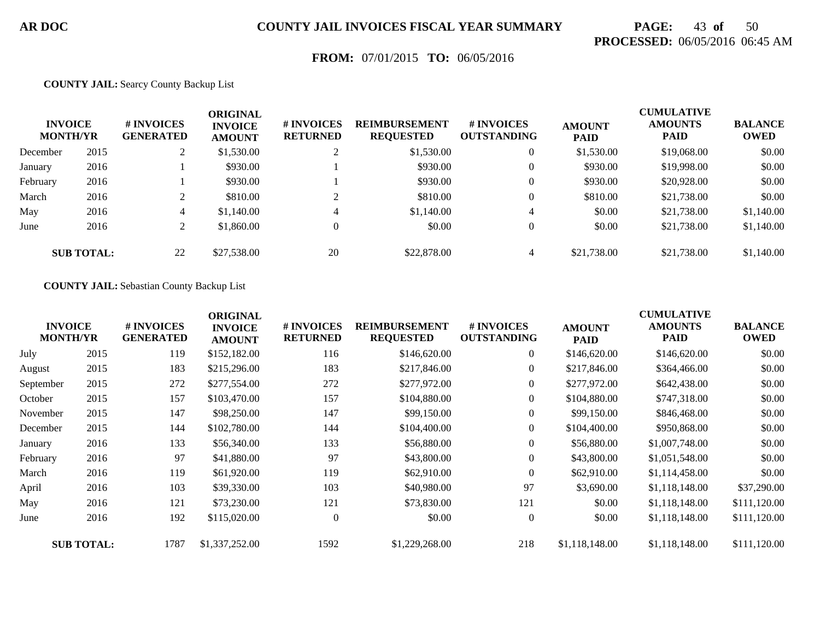# **PAGE:** 43 **of** 50 **PROCESSED:** 06/05/2016 06:45 AM

### **FROM:** 07/01/2015 **TO:** 06/05/2016

#### **COUNTY JAIL:** Searcy County Backup List

| <b>INVOICE</b><br><b>MONTH/YR</b> |                   | # INVOICES<br><b>GENERATED</b> | ORIGINAL<br><b>INVOICE</b><br><b>AMOUNT</b> | # INVOICES<br><b>RETURNED</b> | <b>REIMBURSEMENT</b><br><b>REQUESTED</b> | <b>#INVOICES</b><br><b>OUTSTANDING</b> | <b>AMOUNT</b><br><b>PAID</b> | <b>CUMULATIVE</b><br><b>AMOUNTS</b><br><b>PAID</b> | <b>BALANCE</b><br><b>OWED</b> |
|-----------------------------------|-------------------|--------------------------------|---------------------------------------------|-------------------------------|------------------------------------------|----------------------------------------|------------------------------|----------------------------------------------------|-------------------------------|
| December                          | 2015              |                                | \$1,530.00                                  | ↑                             | \$1,530.00                               | $\overline{0}$                         | \$1,530.00                   | \$19,068.00                                        | \$0.00                        |
| January                           | 2016              |                                | \$930.00                                    |                               | \$930.00                                 | $\overline{0}$                         | \$930.00                     | \$19,998.00                                        | \$0.00                        |
| February                          | 2016              |                                | \$930.00                                    |                               | \$930.00                                 | $\overline{0}$                         | \$930.00                     | \$20,928.00                                        | \$0.00                        |
| March                             | 2016              | $\bigcap$                      | \$810.00                                    | ◠                             | \$810.00                                 | $\overline{0}$                         | \$810.00                     | \$21,738.00                                        | \$0.00                        |
| May                               | 2016              | $\overline{4}$                 | \$1,140.00                                  | 4                             | \$1,140.00                               | $\overline{4}$                         | \$0.00                       | \$21,738.00                                        | \$1,140.00                    |
| June                              | 2016              | ∠                              | \$1,860.00                                  | $\Omega$                      | \$0.00                                   | $\overline{0}$                         | \$0.00                       | \$21,738.00                                        | \$1,140.00                    |
|                                   | <b>SUB TOTAL:</b> | 22                             | \$27,538.00                                 | 20                            | \$22,878.00                              | $\overline{4}$                         | \$21,738.00                  | \$21,738.00                                        | \$1,140.00                    |

#### **COUNTY JAIL:** Sebastian County Backup List

|           | <b>INVOICE</b><br><b>MONTH/YR</b> | # INVOICES<br><b>GENERATED</b> | <b>ORIGINAL</b><br><b>INVOICE</b><br><b>AMOUNT</b> | # INVOICES<br><b>RETURNED</b> | <b>REIMBURSEMENT</b><br><b>REQUESTED</b> | # INVOICES<br><b>OUTSTANDING</b> | <b>AMOUNT</b><br><b>PAID</b> | <b>CUMULATIVE</b><br><b>AMOUNTS</b><br><b>PAID</b> | <b>BALANCE</b><br><b>OWED</b> |
|-----------|-----------------------------------|--------------------------------|----------------------------------------------------|-------------------------------|------------------------------------------|----------------------------------|------------------------------|----------------------------------------------------|-------------------------------|
| July      | 2015                              | 119                            | \$152,182.00                                       | 116                           | \$146,620.00                             | $\boldsymbol{0}$                 | \$146,620.00                 | \$146,620.00                                       | \$0.00                        |
| August    | 2015                              | 183                            | \$215,296.00                                       | 183                           | \$217,846.00                             | $\Omega$                         | \$217,846.00                 | \$364,466.00                                       | \$0.00                        |
| September | 2015                              | 272                            | \$277,554.00                                       | 272                           | \$277,972.00                             | $\overline{0}$                   | \$277,972.00                 | \$642,438.00                                       | \$0.00                        |
| October   | 2015                              | 157                            | \$103,470.00                                       | 157                           | \$104,880.00                             | $\boldsymbol{0}$                 | \$104,880.00                 | \$747,318.00                                       | \$0.00                        |
| November  | 2015                              | 147                            | \$98,250.00                                        | 147                           | \$99,150.00                              | $\overline{0}$                   | \$99,150.00                  | \$846,468.00                                       | \$0.00                        |
| December  | 2015                              | 144                            | \$102,780.00                                       | 144                           | \$104,400.00                             | $\overline{0}$                   | \$104,400.00                 | \$950,868.00                                       | \$0.00                        |
| January   | 2016                              | 133                            | \$56,340.00                                        | 133                           | \$56,880.00                              | $\boldsymbol{0}$                 | \$56,880.00                  | \$1,007,748.00                                     | \$0.00                        |
| February  | 2016                              | 97                             | \$41,880.00                                        | 97                            | \$43,800.00                              | $\boldsymbol{0}$                 | \$43,800.00                  | \$1,051,548.00                                     | \$0.00                        |
| March     | 2016                              | 119                            | \$61,920.00                                        | 119                           | \$62,910.00                              | $\Omega$                         | \$62,910.00                  | \$1,114,458.00                                     | \$0.00                        |
| April     | 2016                              | 103                            | \$39,330.00                                        | 103                           | \$40,980.00                              | 97                               | \$3,690.00                   | \$1,118,148.00                                     | \$37,290.00                   |
| May       | 2016                              | 121                            | \$73,230.00                                        | 121                           | \$73,830.00                              | 121                              | \$0.00                       | \$1,118,148.00                                     | \$111,120.00                  |
| June      | 2016                              | 192                            | \$115,020.00                                       | $\Omega$                      | \$0.00                                   | $\overline{0}$                   | \$0.00                       | \$1,118,148.00                                     | \$111,120.00                  |
|           | <b>SUB TOTAL:</b>                 | 1787                           | \$1,337,252.00                                     | 1592                          | \$1,229,268.00                           | 218                              | \$1,118,148.00               | \$1,118,148.00                                     | \$111,120.00                  |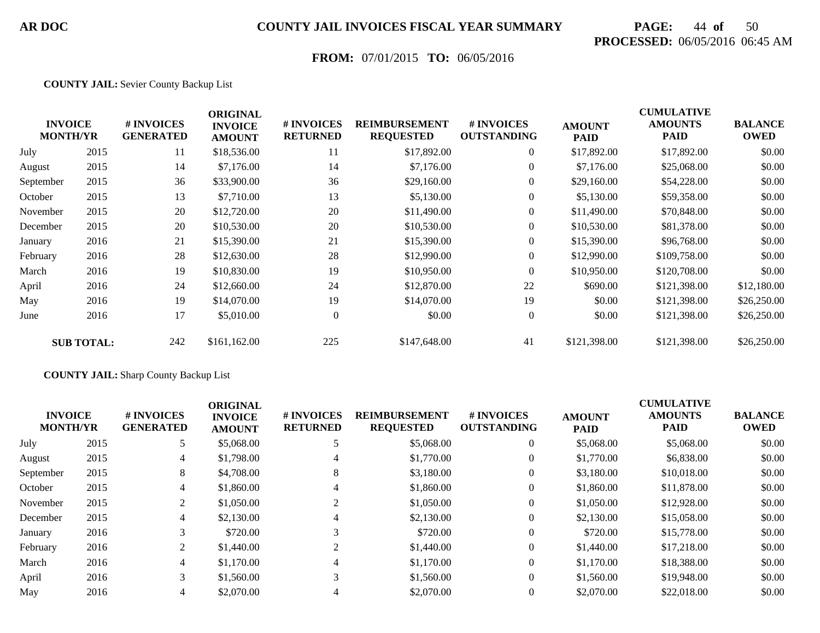# **PAGE:** 44 **of** 50 **PROCESSED:** 06/05/2016 06:45 AM

## **FROM:** 07/01/2015 **TO:** 06/05/2016

#### **COUNTY JAIL:** Sevier County Backup List

|           | <b>INVOICE</b><br><b>MONTH/YR</b> | # INVOICES<br><b>GENERATED</b> | <b>ORIGINAL</b><br><b>INVOICE</b><br><b>AMOUNT</b> | # INVOICES<br><b>RETURNED</b> | <b>REIMBURSEMENT</b><br><b>REQUESTED</b> | # INVOICES<br><b>OUTSTANDING</b> | <b>AMOUNT</b><br><b>PAID</b> | <b>CUMULATIVE</b><br><b>AMOUNTS</b><br><b>PAID</b> | <b>BALANCE</b><br><b>OWED</b> |
|-----------|-----------------------------------|--------------------------------|----------------------------------------------------|-------------------------------|------------------------------------------|----------------------------------|------------------------------|----------------------------------------------------|-------------------------------|
| July      | 2015                              | 11                             | \$18,536.00                                        | 11                            | \$17,892.00                              | $\overline{0}$                   | \$17,892.00                  | \$17,892.00                                        | \$0.00                        |
| August    | 2015                              | 14                             | \$7,176.00                                         | 14                            | \$7,176.00                               | $\overline{0}$                   | \$7,176.00                   | \$25,068.00                                        | \$0.00                        |
| September | 2015                              | 36                             | \$33,900.00                                        | 36                            | \$29,160.00                              | $\overline{0}$                   | \$29,160.00                  | \$54,228.00                                        | \$0.00                        |
| October   | 2015                              | 13                             | \$7,710.00                                         | 13                            | \$5,130.00                               | $\overline{0}$                   | \$5,130.00                   | \$59,358.00                                        | \$0.00                        |
| November  | 2015                              | 20                             | \$12,720.00                                        | 20                            | \$11,490.00                              | $\overline{0}$                   | \$11,490.00                  | \$70,848.00                                        | \$0.00                        |
| December  | 2015                              | 20                             | \$10,530.00                                        | 20                            | \$10,530.00                              | $\overline{0}$                   | \$10,530.00                  | \$81,378.00                                        | \$0.00                        |
| January   | 2016                              | 21                             | \$15,390.00                                        | 21                            | \$15,390.00                              | $\overline{0}$                   | \$15,390.00                  | \$96,768.00                                        | \$0.00                        |
| February  | 2016                              | 28                             | \$12,630.00                                        | 28                            | \$12,990.00                              | $\overline{0}$                   | \$12,990.00                  | \$109,758.00                                       | \$0.00                        |
| March     | 2016                              | 19                             | \$10,830.00                                        | 19                            | \$10,950.00                              | $\overline{0}$                   | \$10,950.00                  | \$120,708.00                                       | \$0.00                        |
| April     | 2016                              | 24                             | \$12,660.00                                        | 24                            | \$12,870.00                              | 22                               | \$690.00                     | \$121,398.00                                       | \$12,180.00                   |
| May       | 2016                              | 19                             | \$14,070.00                                        | 19                            | \$14,070.00                              | 19                               | \$0.00                       | \$121,398.00                                       | \$26,250.00                   |
| June      | 2016                              | 17                             | \$5,010.00                                         | $\overline{0}$                | \$0.00                                   | $\overline{0}$                   | \$0.00                       | \$121,398.00                                       | \$26,250.00                   |
|           | <b>SUB TOTAL:</b>                 | 242                            | \$161,162.00                                       | 225                           | \$147,648.00                             | 41                               | \$121,398.00                 | \$121,398.00                                       | \$26,250.00                   |

#### **COUNTY JAIL:** Sharp County Backup List

| <b>INVOICE</b><br><b>MONTH/YR</b> |      | # INVOICES<br><b>GENERATED</b> | <b>ORIGINAL</b><br><b>INVOICE</b><br><b>AMOUNT</b> | # INVOICES<br><b>RETURNED</b> | <b>REIMBURSEMENT</b><br><b>REQUESTED</b> | # INVOICES<br><b>OUTSTANDING</b> | <b>AMOUNT</b><br><b>PAID</b> | <b>CUMULATIVE</b><br><b>AMOUNTS</b><br><b>PAID</b> | <b>BALANCE</b><br><b>OWED</b> |
|-----------------------------------|------|--------------------------------|----------------------------------------------------|-------------------------------|------------------------------------------|----------------------------------|------------------------------|----------------------------------------------------|-------------------------------|
| July                              | 2015 | 5                              | \$5,068.00                                         |                               | \$5,068.00                               | $\overline{0}$                   | \$5,068.00                   | \$5,068.00                                         | \$0.00                        |
| August                            | 2015 | 4                              | \$1,798.00                                         | 4                             | \$1,770.00                               | $\overline{0}$                   | \$1,770.00                   | \$6,838.00                                         | \$0.00                        |
| September                         | 2015 | 8                              | \$4,708.00                                         | 8                             | \$3,180.00                               | $\theta$                         | \$3,180.00                   | \$10,018.00                                        | \$0.00                        |
| October                           | 2015 | 4                              | \$1,860.00                                         | 4                             | \$1,860.00                               | $\mathbf{0}$                     | \$1,860.00                   | \$11,878.00                                        | \$0.00                        |
| November                          | 2015 | 2                              | \$1,050.00                                         | 2                             | \$1,050.00                               | $\theta$                         | \$1,050.00                   | \$12,928.00                                        | \$0.00                        |
| December                          | 2015 | 4                              | \$2,130.00                                         | 4                             | \$2,130.00                               | $\theta$                         | \$2,130.00                   | \$15,058.00                                        | \$0.00                        |
| January                           | 2016 | 3                              | \$720.00                                           |                               | \$720.00                                 | $\theta$                         | \$720.00                     | \$15,778.00                                        | \$0.00                        |
| February                          | 2016 | 2                              | \$1,440.00                                         | $\sim$                        | \$1,440.00                               | $\overline{0}$                   | \$1,440.00                   | \$17,218.00                                        | \$0.00                        |
| March                             | 2016 | 4                              | \$1,170.00                                         | 4                             | \$1,170.00                               | $\theta$                         | \$1,170.00                   | \$18,388,00                                        | \$0.00                        |
| April                             | 2016 | 3                              | \$1,560.00                                         | 3                             | \$1,560.00                               | $\Omega$                         | \$1,560.00                   | \$19,948.00                                        | \$0.00                        |
| May                               | 2016 | $\overline{4}$                 | \$2,070.00                                         |                               | \$2,070.00                               | $\theta$                         | \$2,070.00                   | \$22,018.00                                        | \$0.00                        |
|                                   |      |                                |                                                    |                               |                                          |                                  |                              |                                                    |                               |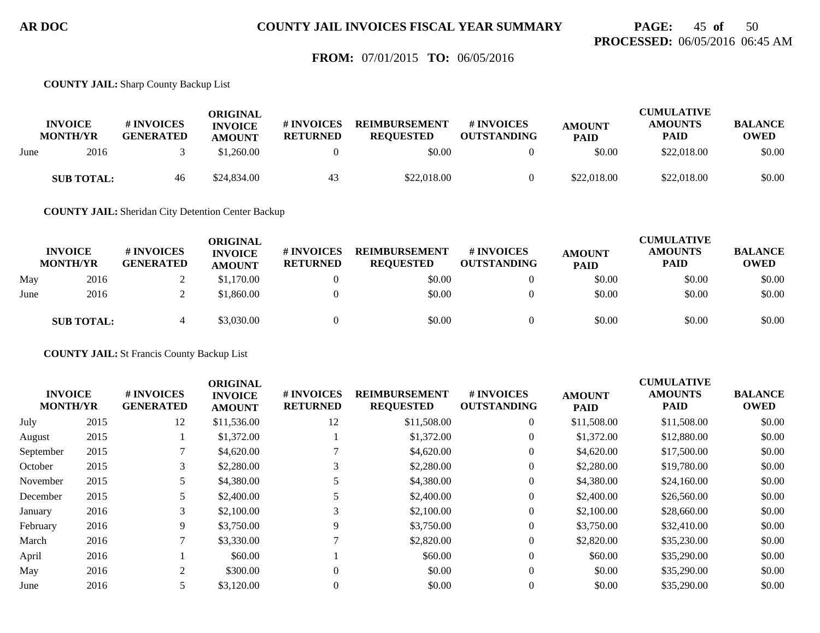## **PAGE:** 45 **of** 50 **PROCESSED:** 06/05/2016 06:45 AM

### **FROM:** 07/01/2015 **TO:** 06/05/2016

**COUNTY JAIL:** Sharp County Backup List

|      | <b>INVOICE</b><br><b>MONTH/YR</b> | # INVOICES<br><b>GENERATED</b> | ORIGINAL<br><b>INVOICE</b><br><b>AMOUNT</b> | <b># INVOICES</b><br><b>RETURNED</b> | <b>REIMBURSEMENT</b><br><b>REOUESTED</b> | # INVOICES<br><b>OUTSTANDING</b> | <b>AMOUNT</b><br><b>PAID</b> | <b>CUMULATIVE</b><br><b>AMOUNTS</b><br><b>PAID</b> | <b>BALANCE</b><br><b>OWED</b> |
|------|-----------------------------------|--------------------------------|---------------------------------------------|--------------------------------------|------------------------------------------|----------------------------------|------------------------------|----------------------------------------------------|-------------------------------|
| June | 2016                              |                                | \$1.260.00                                  |                                      | \$0.00                                   |                                  | \$0.00                       | \$22,018.00                                        | \$0.00                        |
|      | <b>SUB TOTAL:</b>                 | 46                             | \$24,834.00                                 | 43                                   | \$22,018.00                              |                                  | \$22,018.00                  | \$22,018.00                                        | \$0.00                        |

**COUNTY JAIL:** Sheridan City Detention Center Backup

|      | <b>INVOICE</b><br><b>MONTH/YR</b> | # INVOICES<br><b>GENERATED</b> | ORIGINAL<br><b>INVOICE</b><br><b>AMOUNT</b> | # INVOICES<br><b>RETURNED</b> | <b>REIMBURSEMENT</b><br><b>REQUESTED</b> | # INVOICES<br><b>OUTSTANDING</b> | <b>AMOUNT</b><br><b>PAID</b> | <b>CUMULATIVE</b><br><b>AMOUNTS</b><br><b>PAID</b> | <b>BALANCE</b><br><b>OWED</b> |
|------|-----------------------------------|--------------------------------|---------------------------------------------|-------------------------------|------------------------------------------|----------------------------------|------------------------------|----------------------------------------------------|-------------------------------|
| May  | 2016                              |                                | \$1,170.00                                  |                               | \$0.00                                   |                                  | \$0.00                       | \$0.00                                             | \$0.00                        |
| June | 2016                              |                                | \$1,860.00                                  |                               | \$0.00                                   |                                  | \$0.00                       | \$0.00                                             | \$0.00                        |
|      | <b>SUB TOTAL:</b>                 |                                | \$3,030.00                                  |                               | \$0.00                                   |                                  | \$0.00                       | \$0.00                                             | \$0.00                        |

**COUNTY JAIL:** St Francis County Backup List

|                                   |      |                                | <b>ORIGINAL</b>                 |                                     |                                          |                                        |                              | <b>CUMULATIVE</b>             |                               |
|-----------------------------------|------|--------------------------------|---------------------------------|-------------------------------------|------------------------------------------|----------------------------------------|------------------------------|-------------------------------|-------------------------------|
| <b>INVOICE</b><br><b>MONTH/YR</b> |      | # INVOICES<br><b>GENERATED</b> | <b>INVOICE</b><br><b>AMOUNT</b> | <b>#INVOICES</b><br><b>RETURNED</b> | <b>REIMBURSEMENT</b><br><b>REQUESTED</b> | <b>#INVOICES</b><br><b>OUTSTANDING</b> | <b>AMOUNT</b><br><b>PAID</b> | <b>AMOUNTS</b><br><b>PAID</b> | <b>BALANCE</b><br><b>OWED</b> |
| July                              | 2015 | 12                             | \$11,536.00                     | 12                                  | \$11,508.00                              | $\overline{0}$                         | \$11,508.00                  | \$11,508.00                   | \$0.00                        |
| August                            | 2015 |                                | \$1,372.00                      |                                     | \$1,372.00                               | $\overline{0}$                         | \$1,372.00                   | \$12,880.00                   | \$0.00                        |
| September                         | 2015 |                                | \$4,620.00                      |                                     | \$4,620.00                               | $\overline{0}$                         | \$4,620.00                   | \$17,500.00                   | \$0.00                        |
| October                           | 2015 | 3                              | \$2,280.00                      |                                     | \$2,280.00                               | $\overline{0}$                         | \$2,280.00                   | \$19,780.00                   | \$0.00                        |
| November                          | 2015 |                                | \$4,380.00                      |                                     | \$4,380.00                               | $\overline{0}$                         | \$4,380.00                   | \$24,160.00                   | \$0.00                        |
| December                          | 2015 |                                | \$2,400.00                      |                                     | \$2,400.00                               | $\overline{0}$                         | \$2,400.00                   | \$26,560.00                   | \$0.00                        |
| January                           | 2016 | 3                              | \$2,100.00                      | 3                                   | \$2,100.00                               | $\Omega$                               | \$2,100.00                   | \$28,660.00                   | \$0.00                        |
| February                          | 2016 | 9                              | \$3,750.00                      | 9                                   | \$3,750.00                               | $\overline{0}$                         | \$3,750.00                   | \$32,410.00                   | \$0.00                        |
| March                             | 2016 |                                | \$3,330.00                      |                                     | \$2,820.00                               | $\overline{0}$                         | \$2,820.00                   | \$35,230.00                   | \$0.00                        |
| April                             | 2016 |                                | \$60.00                         |                                     | \$60.00                                  | $\overline{0}$                         | \$60.00                      | \$35,290.00                   | \$0.00                        |
| May                               | 2016 | 2                              | \$300.00                        |                                     | \$0.00                                   | $\overline{0}$                         | \$0.00                       | \$35,290.00                   | \$0.00                        |
| June                              | 2016 |                                | \$3,120.00                      |                                     | \$0.00                                   | $\Omega$                               | \$0.00                       | \$35,290.00                   | \$0.00                        |
|                                   |      |                                |                                 |                                     |                                          |                                        |                              |                               |                               |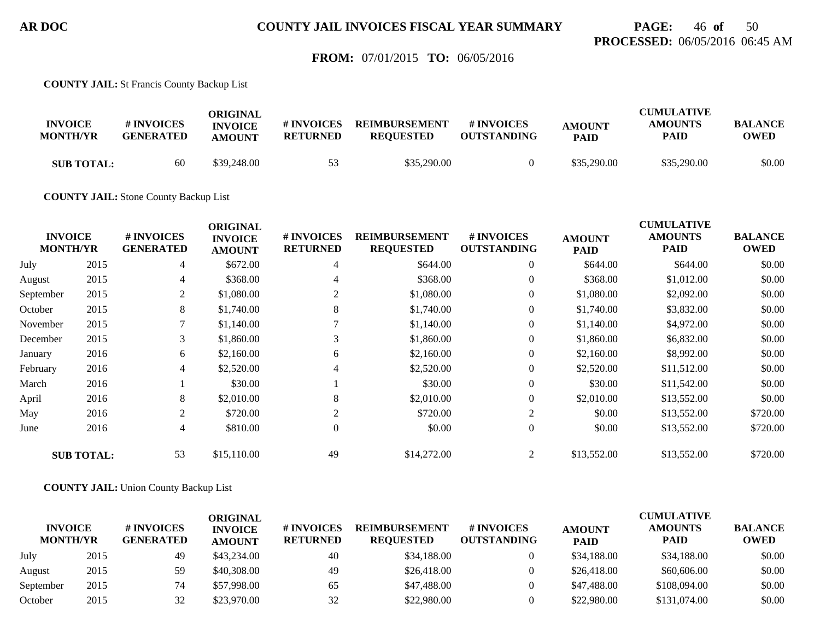# **PAGE:** 46 **of** 50 **PROCESSED:** 06/05/2016 06:45 AM

### **FROM:** 07/01/2015 **TO:** 06/05/2016

**COUNTY JAIL:** St Francis County Backup List

| <b>INVOICE</b><br><b>MONTH/YR</b> | # INVOICES<br><b>GENERATED</b> | ORIGINAL<br><b>INVOICE</b><br><b>AMOUNT</b> | # INVOICES<br><b>RETURNED</b> | <b>REIMBURSEMENT</b><br><b>REOUESTED</b> | # INVOICES<br><b>OUTSTANDING</b> | <b>AMOUNT</b><br><b>PAID</b> | <b>CUMULATIVE</b><br><b>AMOUNTS</b><br><b>PAID</b> | <b>BALANCE</b><br><b>OWED</b> |
|-----------------------------------|--------------------------------|---------------------------------------------|-------------------------------|------------------------------------------|----------------------------------|------------------------------|----------------------------------------------------|-------------------------------|
| <b>SUB TOTAL:</b>                 | 60                             | \$39,248.00                                 | -53.                          | \$35,290.00                              |                                  | \$35,290.00                  | \$35,290.00                                        | \$0.00                        |

**COUNTY JAIL:** Stone County Backup List

|           | <b>INVOICE</b><br><b>MONTH/YR</b> | # INVOICES<br><b>GENERATED</b> | <b>ORIGINAL</b><br><b>INVOICE</b><br><b>AMOUNT</b> | # INVOICES<br><b>RETURNED</b> | <b>REIMBURSEMENT</b><br><b>REQUESTED</b> | # INVOICES<br><b>OUTSTANDING</b> | <b>AMOUNT</b><br><b>PAID</b> | <b>CUMULATIVE</b><br><b>AMOUNTS</b><br><b>PAID</b> | <b>BALANCE</b><br><b>OWED</b> |
|-----------|-----------------------------------|--------------------------------|----------------------------------------------------|-------------------------------|------------------------------------------|----------------------------------|------------------------------|----------------------------------------------------|-------------------------------|
| July      | 2015                              | 4                              | \$672.00                                           | 4                             | \$644.00                                 | $\overline{0}$                   | \$644.00                     | \$644.00                                           | \$0.00                        |
| August    | 2015                              | 4                              | \$368.00                                           | 4                             | \$368.00                                 | $\overline{0}$                   | \$368.00                     | \$1,012.00                                         | \$0.00                        |
| September | 2015                              | 2                              | \$1,080.00                                         | 2                             | \$1,080.00                               | $\mathbf{0}$                     | \$1,080.00                   | \$2,092.00                                         | \$0.00                        |
| October   | 2015                              | 8                              | \$1,740.00                                         | 8                             | \$1,740.00                               | $\boldsymbol{0}$                 | \$1,740.00                   | \$3,832.00                                         | \$0.00                        |
| November  | 2015                              |                                | \$1,140.00                                         |                               | \$1,140.00                               | $\overline{0}$                   | \$1,140.00                   | \$4,972.00                                         | \$0.00                        |
| December  | 2015                              | 3                              | \$1,860.00                                         | 3                             | \$1,860.00                               | $\mathbf{0}$                     | \$1,860.00                   | \$6,832.00                                         | \$0.00                        |
| January   | 2016                              | 6                              | \$2,160.00                                         | 6                             | \$2,160.00                               | $\overline{0}$                   | \$2,160.00                   | \$8,992.00                                         | \$0.00                        |
| February  | 2016                              | 4                              | \$2,520.00                                         |                               | \$2,520.00                               | $\boldsymbol{0}$                 | \$2,520.00                   | \$11,512.00                                        | \$0.00                        |
| March     | 2016                              |                                | \$30.00                                            |                               | \$30.00                                  | $\overline{0}$                   | \$30.00                      | \$11,542.00                                        | \$0.00                        |
| April     | 2016                              | 8                              | \$2,010.00                                         | 8                             | \$2,010.00                               | $\overline{0}$                   | \$2,010.00                   | \$13,552.00                                        | \$0.00                        |
| May       | 2016                              | $\overline{2}$                 | \$720.00                                           | 2                             | \$720.00                                 | 2                                | \$0.00                       | \$13,552.00                                        | \$720.00                      |
| June      | 2016                              | 4                              | \$810.00                                           | $\Omega$                      | \$0.00                                   | $\overline{0}$                   | \$0.00                       | \$13,552.00                                        | \$720.00                      |
|           | <b>SUB TOTAL:</b>                 | 53                             | \$15,110.00                                        | 49                            | \$14,272.00                              | 2                                | \$13,552.00                  | \$13,552.00                                        | \$720.00                      |

**COUNTY JAIL:** Union County Backup List

| <b>INVOICE</b><br><b>MONTH/YR</b> |      | # INVOICES<br><b>GENERATED</b> | ORIGINAL<br><b>INVOICE</b><br><b>AMOUNT</b> | <b># INVOICES</b><br><b>RETURNED</b> | <b>REIMBURSEMENT</b><br><b>REOUESTED</b> | <b>#INVOICES</b><br><b>OUTSTANDING</b> | <b>AMOUNT</b><br><b>PAID</b> | <b>CUMULATIVE</b><br><b>AMOUNTS</b><br><b>PAID</b> | <b>BALANCE</b><br><b>OWED</b> |
|-----------------------------------|------|--------------------------------|---------------------------------------------|--------------------------------------|------------------------------------------|----------------------------------------|------------------------------|----------------------------------------------------|-------------------------------|
| July                              | 2015 | 49                             | \$43,234.00                                 | 40                                   | \$34,188.00                              |                                        | \$34,188.00                  | \$34,188.00                                        | \$0.00                        |
| August                            | 2015 | 59                             | \$40,308.00                                 | 49                                   | \$26,418.00                              |                                        | \$26,418.00                  | \$60,606.00                                        | \$0.00                        |
| September                         | 2015 | 74                             | \$57,998.00                                 | 65                                   | \$47,488,00                              |                                        | \$47,488.00                  | \$108,094.00                                       | \$0.00                        |
| October                           | 2015 | 32                             | \$23,970.00                                 | 32                                   | \$22,980.00                              |                                        | \$22,980.00                  | \$131,074.00                                       | \$0.00                        |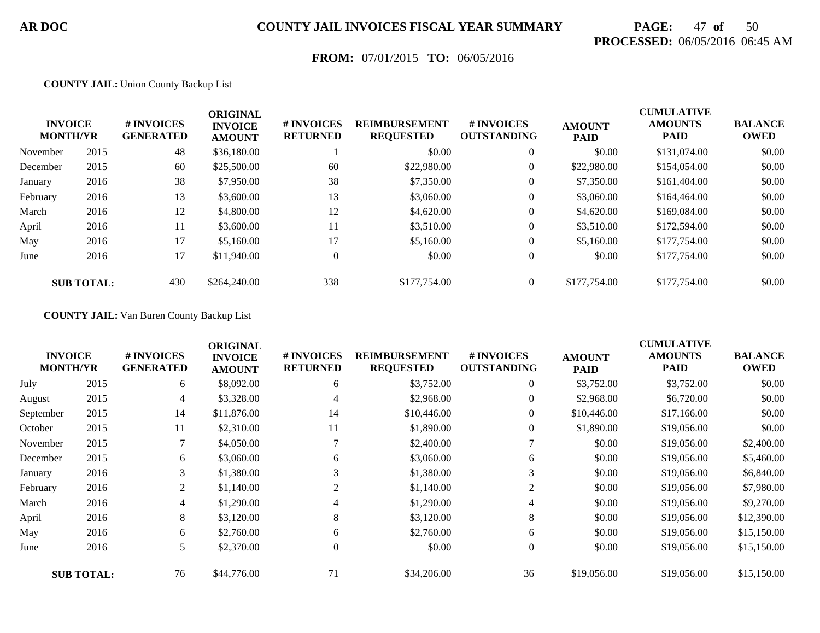# **PAGE:** 47 **of** 50 **PROCESSED:** 06/05/2016 06:45 AM

## **FROM:** 07/01/2015 **TO:** 06/05/2016

#### **COUNTY JAIL:** Union County Backup List

|          | <b>INVOICE</b><br><b>MONTH/YR</b> | # INVOICES<br><b>GENERATED</b> | <b>ORIGINAL</b><br><b>INVOICE</b><br><b>AMOUNT</b> | # INVOICES<br><b>RETURNED</b> | <b>REIMBURSEMENT</b><br><b>REQUESTED</b> | # INVOICES<br><b>OUTSTANDING</b> | <b>AMOUNT</b><br><b>PAID</b> | <b>CUMULATIVE</b><br><b>AMOUNTS</b><br><b>PAID</b> | <b>BALANCE</b><br><b>OWED</b> |
|----------|-----------------------------------|--------------------------------|----------------------------------------------------|-------------------------------|------------------------------------------|----------------------------------|------------------------------|----------------------------------------------------|-------------------------------|
| November | 2015                              | 48                             | \$36,180.00                                        |                               | \$0.00                                   | $\overline{0}$                   | \$0.00                       | \$131,074.00                                       | \$0.00                        |
| December | 2015                              | 60                             | \$25,500.00                                        | 60                            | \$22,980.00                              | $\boldsymbol{0}$                 | \$22,980.00                  | \$154,054.00                                       | \$0.00                        |
| January  | 2016                              | 38                             | \$7,950.00                                         | 38                            | \$7,350.00                               | $\overline{0}$                   | \$7,350.00                   | \$161,404.00                                       | \$0.00                        |
| February | 2016                              | 13                             | \$3,600.00                                         | 13                            | \$3,060.00                               | 0                                | \$3,060.00                   | \$164,464.00                                       | \$0.00                        |
| March    | 2016                              | 12                             | \$4,800.00                                         | 12                            | \$4,620.00                               | $\boldsymbol{0}$                 | \$4,620.00                   | \$169,084.00                                       | \$0.00                        |
| April    | 2016                              | 11                             | \$3,600.00                                         | 11                            | \$3,510.00                               | $\overline{0}$                   | \$3,510.00                   | \$172,594.00                                       | \$0.00                        |
| May      | 2016                              | 17                             | \$5,160.00                                         | 17                            | \$5,160.00                               | $\overline{0}$                   | \$5,160.00                   | \$177,754.00                                       | \$0.00                        |
| June     | 2016                              | 17                             | \$11,940.00                                        | $\theta$                      | \$0.00                                   | $\overline{0}$                   | \$0.00                       | \$177,754.00                                       | \$0.00                        |
|          | <b>SUB TOTAL:</b>                 | 430                            | \$264,240.00                                       | 338                           | \$177,754.00                             | $\theta$                         | \$177,754.00                 | \$177,754.00                                       | \$0.00                        |

#### **COUNTY JAIL:** Van Buren County Backup List

| <b>INVOICE</b><br><b>MONTH/YR</b> |                   | # INVOICES<br><b>GENERATED</b> | <b>ORIGINAL</b><br><b>INVOICE</b><br><b>AMOUNT</b> | # INVOICES<br><b>RETURNED</b> | <b>REIMBURSEMENT</b><br><b>REQUESTED</b> | # INVOICES<br><b>OUTSTANDING</b> | <b>AMOUNT</b><br><b>PAID</b> | <b>CUMULATIVE</b><br><b>AMOUNTS</b><br><b>PAID</b> | <b>BALANCE</b><br><b>OWED</b> |
|-----------------------------------|-------------------|--------------------------------|----------------------------------------------------|-------------------------------|------------------------------------------|----------------------------------|------------------------------|----------------------------------------------------|-------------------------------|
| July                              | 2015              | 6                              | \$8,092.00                                         | 6                             | \$3,752.00                               | $\overline{0}$                   | \$3,752.00                   | \$3,752.00                                         | \$0.00                        |
| August                            | 2015              | 4                              | \$3,328.00                                         | 4                             | \$2,968.00                               | $\overline{0}$                   | \$2,968.00                   | \$6,720.00                                         | \$0.00                        |
| September                         | 2015              | 14                             | \$11,876.00                                        | 14                            | \$10,446.00                              | $\overline{0}$                   | \$10,446.00                  | \$17,166.00                                        | \$0.00                        |
| October                           | 2015              | 11                             | \$2,310.00                                         | 11                            | \$1,890.00                               | $\overline{0}$                   | \$1,890.00                   | \$19,056.00                                        | \$0.00                        |
| November                          | 2015              | 7                              | \$4,050.00                                         |                               | \$2,400.00                               |                                  | \$0.00                       | \$19,056.00                                        | \$2,400.00                    |
| December                          | 2015              | 6                              | \$3,060.00                                         | 6                             | \$3,060.00                               | 6                                | \$0.00                       | \$19,056.00                                        | \$5,460.00                    |
| January                           | 2016              | 3                              | \$1,380.00                                         |                               | \$1,380.00                               | 3                                | \$0.00                       | \$19,056.00                                        | \$6,840.00                    |
| February                          | 2016              | 2                              | \$1,140.00                                         | 2                             | \$1,140.00                               | 2                                | \$0.00                       | \$19,056.00                                        | \$7,980.00                    |
| March                             | 2016              | 4                              | \$1,290.00                                         | 4                             | \$1,290.00                               | $\overline{4}$                   | \$0.00                       | \$19,056.00                                        | \$9,270.00                    |
| April                             | 2016              | 8                              | \$3,120.00                                         | 8                             | \$3,120.00                               | 8                                | \$0.00                       | \$19,056.00                                        | \$12,390.00                   |
| May                               | 2016              | 6                              | \$2,760.00                                         | 6                             | \$2,760.00                               | 6                                | \$0.00                       | \$19,056.00                                        | \$15,150.00                   |
| June                              | 2016              | 5                              | \$2,370.00                                         | $\mathbf{0}$                  | \$0.00                                   | $\overline{0}$                   | \$0.00                       | \$19,056.00                                        | \$15,150.00                   |
|                                   | <b>SUB TOTAL:</b> | 76                             | \$44,776.00                                        | 71                            | \$34,206.00                              | 36                               | \$19,056.00                  | \$19,056.00                                        | \$15,150.00                   |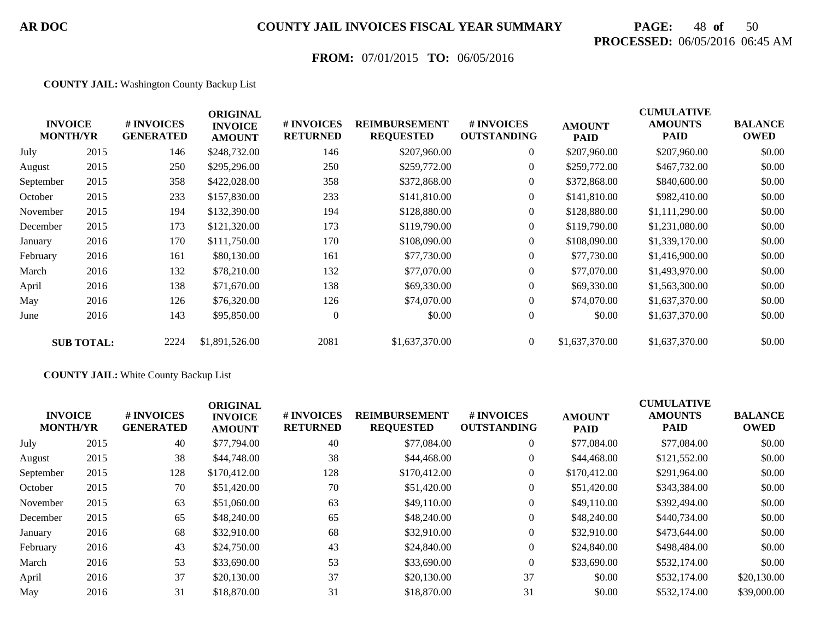# **PAGE:** 48 **of** 50 **PROCESSED:** 06/05/2016 06:45 AM

## **FROM:** 07/01/2015 **TO:** 06/05/2016

#### **COUNTY JAIL:** Washington County Backup List

|           | <b>INVOICE</b><br><b>MONTH/YR</b> | # INVOICES<br><b>GENERATED</b> | <b>ORIGINAL</b><br><b>INVOICE</b><br><b>AMOUNT</b> | # INVOICES<br><b>RETURNED</b> | <b>REIMBURSEMENT</b><br><b>REQUESTED</b> | # INVOICES<br><b>OUTSTANDING</b> | <b>AMOUNT</b><br><b>PAID</b> | <b>CUMULATIVE</b><br><b>AMOUNTS</b><br><b>PAID</b> | <b>BALANCE</b><br><b>OWED</b> |
|-----------|-----------------------------------|--------------------------------|----------------------------------------------------|-------------------------------|------------------------------------------|----------------------------------|------------------------------|----------------------------------------------------|-------------------------------|
| July      | 2015                              | 146                            | \$248,732.00                                       | 146                           | \$207,960.00                             | $\overline{0}$                   | \$207,960.00                 | \$207,960.00                                       | \$0.00                        |
| August    | 2015                              | 250                            | \$295,296.00                                       | 250                           | \$259,772.00                             | $\overline{0}$                   | \$259,772.00                 | \$467,732.00                                       | \$0.00                        |
| September | 2015                              | 358                            | \$422,028.00                                       | 358                           | \$372,868.00                             | $\overline{0}$                   | \$372,868.00                 | \$840,600.00                                       | \$0.00                        |
| October   | 2015                              | 233                            | \$157,830.00                                       | 233                           | \$141,810.00                             | $\overline{0}$                   | \$141,810.00                 | \$982,410.00                                       | \$0.00                        |
| November  | 2015                              | 194                            | \$132,390.00                                       | 194                           | \$128,880.00                             | $\overline{0}$                   | \$128,880.00                 | \$1,111,290.00                                     | \$0.00                        |
| December  | 2015                              | 173                            | \$121,320.00                                       | 173                           | \$119,790.00                             | $\Omega$                         | \$119,790.00                 | \$1,231,080.00                                     | \$0.00                        |
| January   | 2016                              | 170                            | \$111,750.00                                       | 170                           | \$108,090.00                             | $\theta$                         | \$108,090.00                 | \$1,339,170.00                                     | \$0.00                        |
| February  | 2016                              | 161                            | \$80,130.00                                        | 161                           | \$77,730.00                              | $\mathbf{0}$                     | \$77,730.00                  | \$1,416,900.00                                     | \$0.00                        |
| March     | 2016                              | 132                            | \$78,210.00                                        | 132                           | \$77,070.00                              | $\overline{0}$                   | \$77,070.00                  | \$1,493,970.00                                     | \$0.00                        |
| April     | 2016                              | 138                            | \$71,670.00                                        | 138                           | \$69,330.00                              | $\overline{0}$                   | \$69,330.00                  | \$1,563,300.00                                     | \$0.00                        |
| May       | 2016                              | 126                            | \$76,320.00                                        | 126                           | \$74,070.00                              | $\overline{0}$                   | \$74,070.00                  | \$1,637,370.00                                     | \$0.00                        |
| June      | 2016                              | 143                            | \$95,850.00                                        | $\overline{0}$                | \$0.00                                   | $\overline{0}$                   | \$0.00                       | \$1,637,370.00                                     | \$0.00                        |
|           | <b>SUB TOTAL:</b>                 | 2224                           | \$1,891,526.00                                     | 2081                          | \$1,637,370.00                           | $\overline{0}$                   | \$1,637,370.00               | \$1,637,370.00                                     | \$0.00                        |

#### **COUNTY JAIL:** White County Backup List

| <b>INVOICE</b><br><b>MONTH/YR</b> | # INVOICES<br><b>GENERATED</b> | <b>ORIGINAL</b><br><b>INVOICE</b><br><b>AMOUNT</b> | # INVOICES<br><b>RETURNED</b> | <b>REIMBURSEMENT</b><br><b>REQUESTED</b> | # INVOICES<br><b>OUTSTANDING</b> | <b>AMOUNT</b><br><b>PAID</b> | <b>CUMULATIVE</b><br><b>AMOUNTS</b><br><b>PAID</b> | <b>BALANCE</b><br><b>OWED</b> |
|-----------------------------------|--------------------------------|----------------------------------------------------|-------------------------------|------------------------------------------|----------------------------------|------------------------------|----------------------------------------------------|-------------------------------|
| 2015                              | 40                             | \$77,794.00                                        | 40                            | \$77,084.00                              | $\overline{0}$                   | \$77,084.00                  | \$77,084.00                                        | \$0.00                        |
| 2015                              | 38                             | \$44,748.00                                        | 38                            | \$44,468.00                              | $\overline{0}$                   | \$44,468.00                  | \$121,552.00                                       | \$0.00                        |
| 2015                              | 128                            | \$170,412.00                                       | 128                           | \$170,412.00                             | $\overline{0}$                   | \$170,412.00                 | \$291,964.00                                       | \$0.00                        |
| 2015                              | 70                             | \$51,420.00                                        | 70                            | \$51,420.00                              | $\boldsymbol{0}$                 | \$51,420.00                  | \$343,384.00                                       | \$0.00                        |
| 2015                              | 63                             | \$51,060.00                                        | 63                            | \$49,110.00                              | $\overline{0}$                   | \$49,110.00                  | \$392,494.00                                       | \$0.00                        |
| 2015                              | 65                             | \$48,240.00                                        | 65                            | \$48,240.00                              | $\overline{0}$                   | \$48,240.00                  | \$440,734,00                                       | \$0.00                        |
| 2016                              | 68                             | \$32,910.00                                        | 68                            | \$32,910.00                              | $\overline{0}$                   | \$32,910.00                  | \$473,644.00                                       | \$0.00                        |
| 2016                              | 43                             | \$24,750.00                                        | 43                            | \$24,840.00                              | $\boldsymbol{0}$                 | \$24,840.00                  | \$498,484.00                                       | \$0.00                        |
| 2016                              | 53                             | \$33,690.00                                        | 53                            | \$33,690.00                              | $\overline{0}$                   | \$33,690.00                  | \$532,174.00                                       | \$0.00                        |
| 2016                              | 37                             | \$20,130.00                                        | 37                            | \$20,130.00                              | 37                               | \$0.00                       | \$532,174.00                                       | \$20,130.00                   |
| 2016                              | 31                             | \$18,870.00                                        | 31                            | \$18,870.00                              | 31                               | \$0.00                       | \$532,174.00                                       | \$39,000.00                   |
|                                   |                                |                                                    |                               |                                          |                                  |                              |                                                    |                               |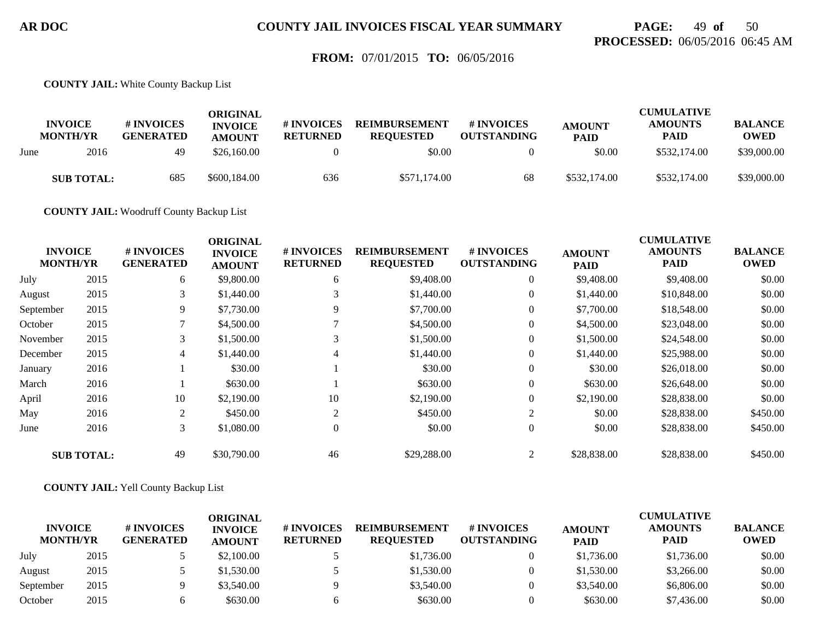## **PAGE:** 49 **of** 50 **PROCESSED:** 06/05/2016 06:45 AM

### **FROM:** 07/01/2015 **TO:** 06/05/2016

**COUNTY JAIL:** White County Backup List

|      | <b>INVOICE</b><br><b>MONTH/YR</b> | # INVOICES<br><b>GENERATED</b> | ORIGINAL<br><b>INVOICE</b><br><b>AMOUNT</b> | # INVOICES<br><b>RETURNED</b> | <b>REIMBURSEMENT</b><br><b>REQUESTED</b> | # INVOICES<br><b>OUTSTANDING</b> | <b>AMOUNT</b><br><b>PAID</b> | <b>CUMULATIVE</b><br><b>AMOUNTS</b><br>PAID | <b>BALANCE</b><br><b>OWED</b> |
|------|-----------------------------------|--------------------------------|---------------------------------------------|-------------------------------|------------------------------------------|----------------------------------|------------------------------|---------------------------------------------|-------------------------------|
| June | 2016                              | 49                             | \$26,160.00                                 |                               | \$0.00                                   |                                  | \$0.00                       | \$532,174.00                                | \$39,000.00                   |
|      | <b>SUB TOTAL:</b>                 | 685                            | \$600,184.00                                | 636                           | \$571,174.00                             | 68                               | \$532,174.00                 | \$532,174.00                                | \$39,000.00                   |

**COUNTY JAIL:** Woodruff County Backup List

|           |                                   |                                | <b>ORIGINAL</b>                 |                               |                                          |                                  |                              | <b>CUMULATIVE</b>      |                               |
|-----------|-----------------------------------|--------------------------------|---------------------------------|-------------------------------|------------------------------------------|----------------------------------|------------------------------|------------------------|-------------------------------|
|           | <b>INVOICE</b><br><b>MONTH/YR</b> | # INVOICES<br><b>GENERATED</b> | <b>INVOICE</b><br><b>AMOUNT</b> | # INVOICES<br><b>RETURNED</b> | <b>REIMBURSEMENT</b><br><b>REQUESTED</b> | # INVOICES<br><b>OUTSTANDING</b> | <b>AMOUNT</b><br><b>PAID</b> | <b>AMOUNTS</b><br>PAID | <b>BALANCE</b><br><b>OWED</b> |
| July      | 2015                              | 6                              | \$9,800.00                      | 6                             | \$9,408.00                               | $\overline{0}$                   | \$9,408.00                   | \$9,408.00             | \$0.00                        |
| August    | 2015                              | 3                              | \$1,440.00                      |                               | \$1,440.00                               | $\overline{0}$                   | \$1,440.00                   | \$10,848.00            | \$0.00                        |
| September | 2015                              | 9                              | \$7,730.00                      | 9                             | \$7,700.00                               | $\overline{0}$                   | \$7,700.00                   | \$18,548.00            | \$0.00                        |
| October   | 2015                              | 7                              | \$4,500.00                      |                               | \$4,500.00                               | $\overline{0}$                   | \$4,500.00                   | \$23,048.00            | \$0.00                        |
| November  | 2015                              | 3                              | \$1,500.00                      | 3                             | \$1,500.00                               | $\overline{0}$                   | \$1,500.00                   | \$24,548.00            | \$0.00                        |
| December  | 2015                              | $\overline{4}$                 | \$1,440.00                      | 4                             | \$1,440.00                               | $\overline{0}$                   | \$1,440.00                   | \$25,988.00            | \$0.00                        |
| January   | 2016                              |                                | \$30.00                         |                               | \$30.00                                  | $\overline{0}$                   | \$30.00                      | \$26,018.00            | \$0.00                        |
| March     | 2016                              |                                | \$630.00                        |                               | \$630.00                                 | $\overline{0}$                   | \$630.00                     | \$26,648.00            | \$0.00                        |
| April     | 2016                              | 10                             | \$2,190.00                      | 10                            | \$2,190.00                               | $\overline{0}$                   | \$2,190.00                   | \$28,838.00            | \$0.00                        |
| May       | 2016                              | 2                              | \$450.00                        | 2                             | \$450.00                                 | 2                                | \$0.00                       | \$28,838.00            | \$450.00                      |
| June      | 2016                              | 3                              | \$1,080.00                      | $\theta$                      | \$0.00                                   | $\boldsymbol{0}$                 | \$0.00                       | \$28,838.00            | \$450.00                      |
|           | <b>SUB TOTAL:</b>                 | 49                             | \$30,790.00                     | 46                            | \$29,288.00                              | 2                                | \$28,838.00                  | \$28,838.00            | \$450.00                      |

**COUNTY JAIL:** Yell County Backup List

| <b>INVOICE</b>  |      | <b># INVOICES</b> | ORIGINAL<br><b>INVOICE</b> | <b>#INVOICES</b> | <b>REIMBURSEMENT</b> | # INVOICES         | <b>AMOUNT</b> | <b>CUMULATIVE</b><br><b>AMOUNTS</b> | <b>BALANCE</b> |
|-----------------|------|-------------------|----------------------------|------------------|----------------------|--------------------|---------------|-------------------------------------|----------------|
| <b>MONTH/YR</b> |      | <b>GENERATED</b>  | <b>AMOUNT</b>              | <b>RETURNED</b>  | <b>REOUESTED</b>     | <b>OUTSTANDING</b> | <b>PAID</b>   | <b>PAID</b>                         | <b>OWED</b>    |
| July            | 2015 |                   | \$2,100.00                 |                  | \$1,736.00           |                    | \$1,736.00    | \$1,736.00                          | \$0.00         |
| August          | 2015 |                   | \$1,530.00                 |                  | \$1,530.00           |                    | \$1,530.00    | \$3,266.00                          | \$0.00         |
| September       | 2015 |                   | \$3,540.00                 |                  | \$3,540.00           |                    | \$3,540.00    | \$6,806.00                          | \$0.00         |
| October         | 2015 |                   | \$630.00                   |                  | \$630.00             |                    | \$630.00      | \$7,436.00                          | \$0.00         |